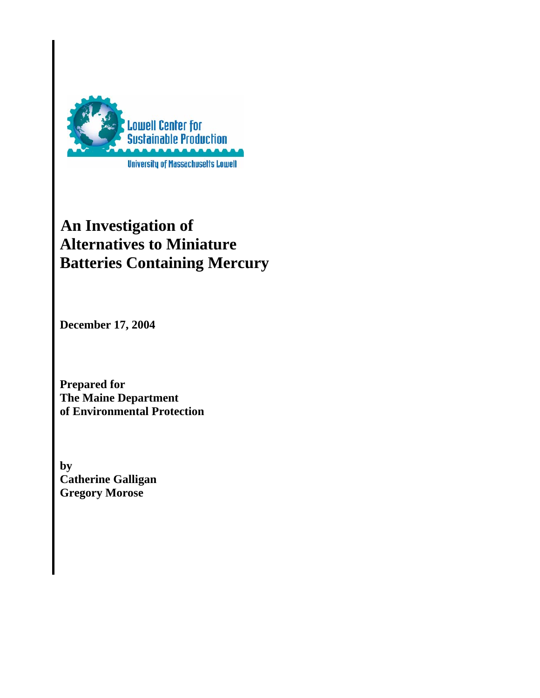

# **An Investigation of Alternatives to Miniature Batteries Containing Mercury**

**December 17, 2004** 

**Prepared for The Maine Department of Environmental Protection** 

**by Catherine Galligan Gregory Morose**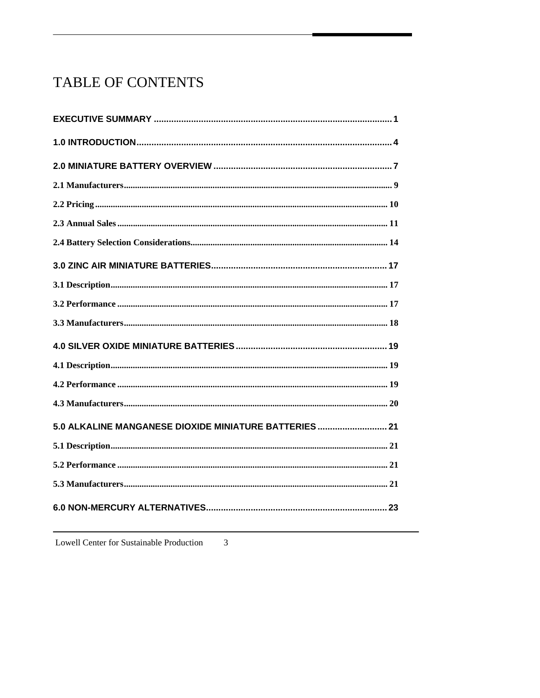# TABLE OF CONTENTS

| 5.0 ALKALINE MANGANESE DIOXIDE MINIATURE BATTERIES  21 |
|--------------------------------------------------------|
|                                                        |
|                                                        |
|                                                        |
|                                                        |

Lowell Center for Sustainable Production  $\mathfrak{Z}$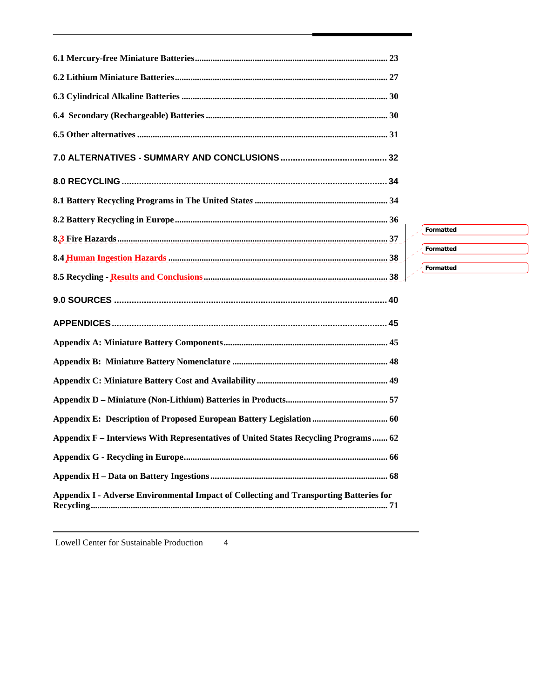| $\mathscr{S}$                                                                          |
|----------------------------------------------------------------------------------------|
|                                                                                        |
|                                                                                        |
|                                                                                        |
|                                                                                        |
|                                                                                        |
|                                                                                        |
| Appendix E: Description of Proposed European Battery Legislation  60                   |
| Appendix F – Interviews With Representatives of United States Recycling Programs 62    |
|                                                                                        |
|                                                                                        |
| Appendix I - Adverse Environmental Impact of Collecting and Transporting Batteries for |

**Formatted Formatted Formatted**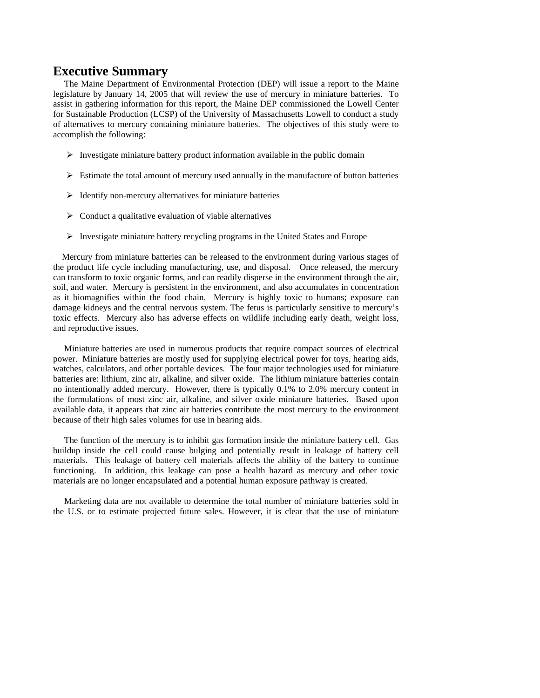### <span id="page-4-0"></span>**Executive Summary**

 The Maine Department of Environmental Protection (DEP) will issue a report to the Maine legislature by January 14, 2005 that will review the use of mercury in miniature batteries. To assist in gathering information for this report, the Maine DEP commissioned the Lowell Center for Sustainable Production (LCSP) of the University of Massachusetts Lowell to conduct a study of alternatives to mercury containing miniature batteries. The objectives of this study were to accomplish the following:

- $\triangleright$  Investigate miniature battery product information available in the public domain
- $\triangleright$  Estimate the total amount of mercury used annually in the manufacture of button batteries
- $\triangleright$  Identify non-mercury alternatives for miniature batteries
- $\triangleright$  Conduct a qualitative evaluation of viable alternatives
- ¾ Investigate miniature battery recycling programs in the United States and Europe

 Mercury from miniature batteries can be released to the environment during various stages of the product life cycle including manufacturing, use, and disposal. Once released, the mercury can transform to toxic organic forms, and can readily disperse in the environment through the air, soil, and water. Mercury is persistent in the environment, and also accumulates in concentration as it biomagnifies within the food chain. Mercury is highly toxic to humans; exposure can damage kidneys and the central nervous system. The fetus is particularly sensitive to mercury's toxic effects. Mercury also has adverse effects on wildlife including early death, weight loss, and reproductive issues.

 Miniature batteries are used in numerous products that require compact sources of electrical power. Miniature batteries are mostly used for supplying electrical power for toys, hearing aids, watches, calculators, and other portable devices. The four major technologies used for miniature batteries are: lithium, zinc air, alkaline, and silver oxide. The lithium miniature batteries contain no intentionally added mercury. However, there is typically 0.1% to 2.0% mercury content in the formulations of most zinc air, alkaline, and silver oxide miniature batteries. Based upon available data, it appears that zinc air batteries contribute the most mercury to the environment because of their high sales volumes for use in hearing aids.

 The function of the mercury is to inhibit gas formation inside the miniature battery cell. Gas buildup inside the cell could cause bulging and potentially result in leakage of battery cell materials. This leakage of battery cell materials affects the ability of the battery to continue functioning. In addition, this leakage can pose a health hazard as mercury and other toxic materials are no longer encapsulated and a potential human exposure pathway is created.

 Marketing data are not available to determine the total number of miniature batteries sold in the U.S. or to estimate projected future sales. However, it is clear that the use of miniature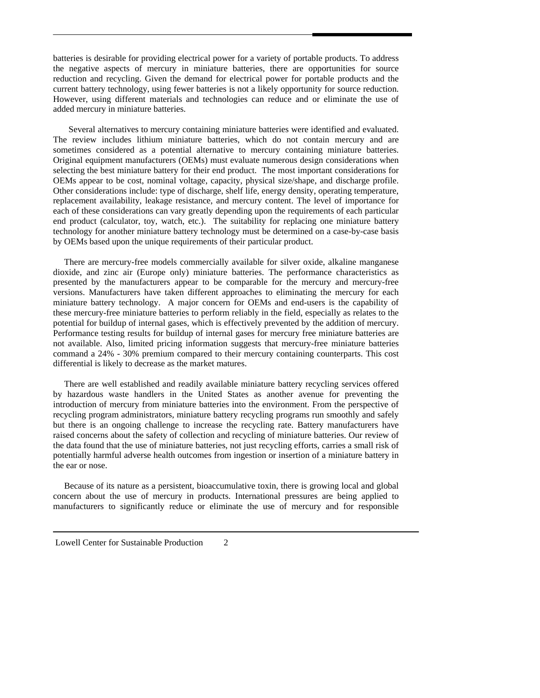batteries is desirable for providing electrical power for a variety of portable products. To address the negative aspects of mercury in miniature batteries, there are opportunities for source reduction and recycling. Given the demand for electrical power for portable products and the current battery technology, using fewer batteries is not a likely opportunity for source reduction. However, using different materials and technologies can reduce and or eliminate the use of added mercury in miniature batteries.

 Several alternatives to mercury containing miniature batteries were identified and evaluated. The review includes lithium miniature batteries, which do not contain mercury and are sometimes considered as a potential alternative to mercury containing miniature batteries. Original equipment manufacturers (OEMs) must evaluate numerous design considerations when selecting the best miniature battery for their end product. The most important considerations for OEMs appear to be cost, nominal voltage, capacity, physical size/shape, and discharge profile. Other considerations include: type of discharge, shelf life, energy density, operating temperature, replacement availability, leakage resistance, and mercury content. The level of importance for each of these considerations can vary greatly depending upon the requirements of each particular end product (calculator, toy, watch, etc.). The suitability for replacing one miniature battery technology for another miniature battery technology must be determined on a case-by-case basis by OEMs based upon the unique requirements of their particular product.

 There are mercury-free models commercially available for silver oxide, alkaline manganese dioxide, and zinc air (Europe only) miniature batteries. The performance characteristics as presented by the manufacturers appear to be comparable for the mercury and mercury-free versions. Manufacturers have taken different approaches to eliminating the mercury for each miniature battery technology. A major concern for OEMs and end-users is the capability of these mercury-free miniature batteries to perform reliably in the field, especially as relates to the potential for buildup of internal gases, which is effectively prevented by the addition of mercury. Performance testing results for buildup of internal gases for mercury free miniature batteries are not available. Also, limited pricing information suggests that mercury-free miniature batteries command a 24% - 30% premium compared to their mercury containing counterparts. This cost differential is likely to decrease as the market matures.

 There are well established and readily available miniature battery recycling services offered by hazardous waste handlers in the United States as another avenue for preventing the introduction of mercury from miniature batteries into the environment. From the perspective of recycling program administrators, miniature battery recycling programs run smoothly and safely but there is an ongoing challenge to increase the recycling rate. Battery manufacturers have raised concerns about the safety of collection and recycling of miniature batteries. Our review of the data found that the use of miniature batteries, not just recycling efforts, carries a small risk of potentially harmful adverse health outcomes from ingestion or insertion of a miniature battery in the ear or nose.

 Because of its nature as a persistent, bioaccumulative toxin, there is growing local and global concern about the use of mercury in products. International pressures are being applied to manufacturers to significantly reduce or eliminate the use of mercury and for responsible

Lowell Center for Sustainable Production 2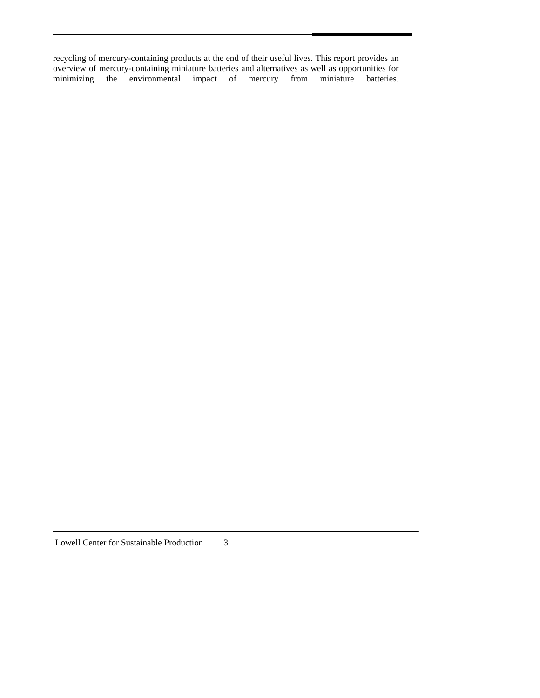recycling of mercury-containing products at the end of their useful lives. This report provides an overview of mercury-containing miniature batteries and alternatives as well as opportunities for minimizing the environmental impact of mercury from miniature batteries.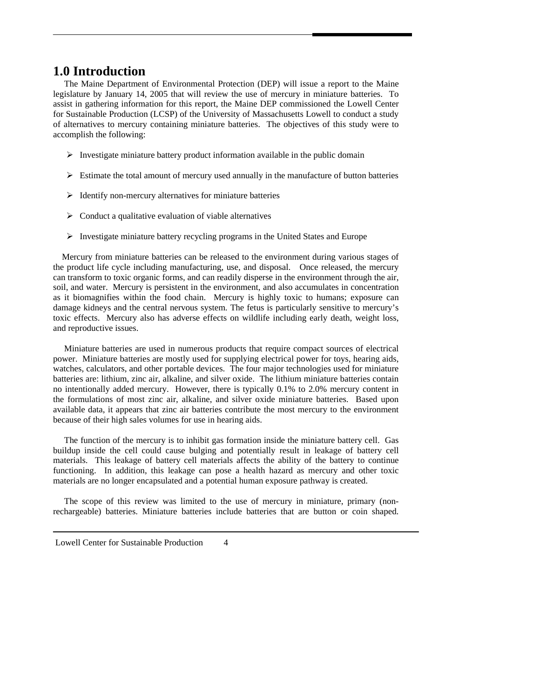### <span id="page-7-0"></span>**1.0 Introduction**

 The Maine Department of Environmental Protection (DEP) will issue a report to the Maine legislature by January 14, 2005 that will review the use of mercury in miniature batteries. To assist in gathering information for this report, the Maine DEP commissioned the Lowell Center for Sustainable Production (LCSP) of the University of Massachusetts Lowell to conduct a study of alternatives to mercury containing miniature batteries. The objectives of this study were to accomplish the following:

- $\triangleright$  Investigate miniature battery product information available in the public domain
- $\triangleright$  Estimate the total amount of mercury used annually in the manufacture of button batteries
- $\triangleright$  Identify non-mercury alternatives for miniature batteries
- $\triangleright$  Conduct a qualitative evaluation of viable alternatives
- $\triangleright$  Investigate miniature battery recycling programs in the United States and Europe

 Mercury from miniature batteries can be released to the environment during various stages of the product life cycle including manufacturing, use, and disposal. Once released, the mercury can transform to toxic organic forms, and can readily disperse in the environment through the air, soil, and water. Mercury is persistent in the environment, and also accumulates in concentration as it biomagnifies within the food chain. Mercury is highly toxic to humans; exposure can damage kidneys and the central nervous system. The fetus is particularly sensitive to mercury's toxic effects. Mercury also has adverse effects on wildlife including early death, weight loss, and reproductive issues.

 Miniature batteries are used in numerous products that require compact sources of electrical power. Miniature batteries are mostly used for supplying electrical power for toys, hearing aids, watches, calculators, and other portable devices. The four major technologies used for miniature batteries are: lithium, zinc air, alkaline, and silver oxide. The lithium miniature batteries contain no intentionally added mercury. However, there is typically 0.1% to 2.0% mercury content in the formulations of most zinc air, alkaline, and silver oxide miniature batteries. Based upon available data, it appears that zinc air batteries contribute the most mercury to the environment because of their high sales volumes for use in hearing aids.

 The function of the mercury is to inhibit gas formation inside the miniature battery cell. Gas buildup inside the cell could cause bulging and potentially result in leakage of battery cell materials. This leakage of battery cell materials affects the ability of the battery to continue functioning. In addition, this leakage can pose a health hazard as mercury and other toxic materials are no longer encapsulated and a potential human exposure pathway is created.

 The scope of this review was limited to the use of mercury in miniature, primary (nonrechargeable) batteries. Miniature batteries include batteries that are button or coin shaped.

Lowell Center for Sustainable Production 4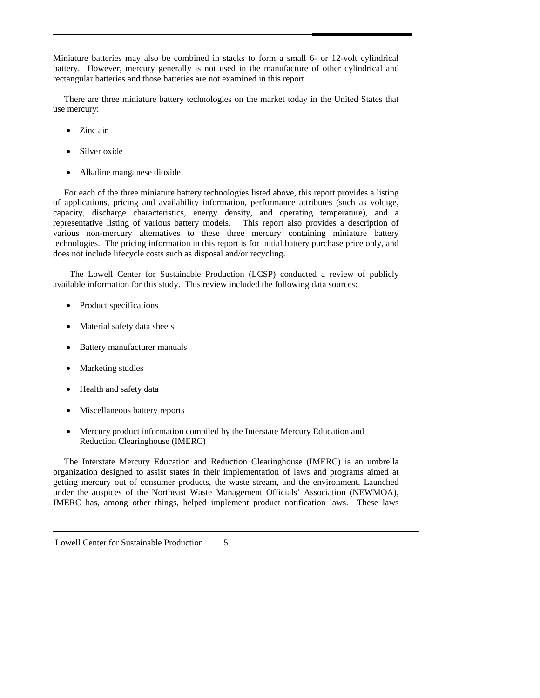Miniature batteries may also be combined in stacks to form a small 6- or 12-volt cylindrical battery. However, mercury generally is not used in the manufacture of other cylindrical and rectangular batteries and those batteries are not examined in this report.

 There are three miniature battery technologies on the market today in the United States that use mercury:

- Zinc air
- Silver oxide
- Alkaline manganese dioxide

 For each of the three miniature battery technologies listed above, this report provides a listing of applications, pricing and availability information, performance attributes (such as voltage, capacity, discharge characteristics, energy density, and operating temperature), and a representative listing of various battery models. This report also provides a description of various non-mercury alternatives to these three mercury containing miniature battery technologies. The pricing information in this report is for initial battery purchase price only, and does not include lifecycle costs such as disposal and/or recycling.

The Lowell Center for Sustainable Production (LCSP) conducted a review of publicly available information for this study. This review included the following data sources:

- Product specifications
- Material safety data sheets
- Battery manufacturer manuals
- Marketing studies
- Health and safety data
- Miscellaneous battery reports
- Mercury product information compiled by the Interstate Mercury Education and Reduction Clearinghouse (IMERC)

 The Interstate Mercury Education and Reduction Clearinghouse (IMERC) is an umbrella organization designed to assist states in their implementation of laws and programs aimed at getting mercury out of consumer products, the waste stream, and the environment. Launched under the auspices of the Northeast Waste Management Officials' Association (NEWMOA), IMERC has, among other things, helped implement product notification laws. These laws

Lowell Center for Sustainable Production 5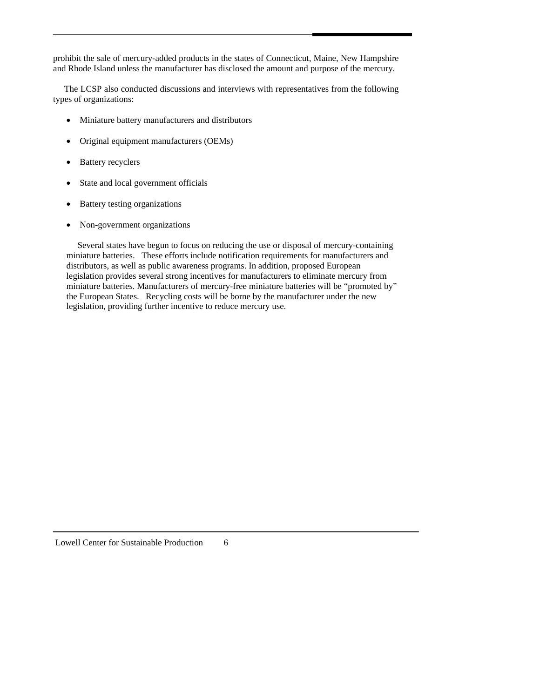prohibit the sale of mercury-added products in the states of Connecticut, Maine, New Hampshire and Rhode Island unless the manufacturer has disclosed the amount and purpose of the mercury.

 The LCSP also conducted discussions and interviews with representatives from the following types of organizations:

- Miniature battery manufacturers and distributors
- Original equipment manufacturers (OEMs)
- Battery recyclers
- State and local government officials
- Battery testing organizations
- Non-government organizations

 Several states have begun to focus on reducing the use or disposal of mercury-containing miniature batteries. These efforts include notification requirements for manufacturers and distributors, as well as public awareness programs. In addition, proposed European legislation provides several strong incentives for manufacturers to eliminate mercury from miniature batteries. Manufacturers of mercury-free miniature batteries will be "promoted by" the European States. Recycling costs will be borne by the manufacturer under the new legislation, providing further incentive to reduce mercury use.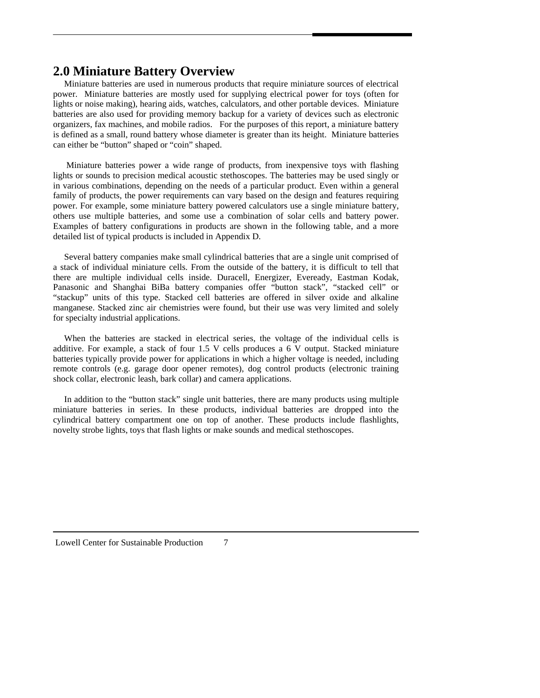### <span id="page-10-0"></span>**2.0 Miniature Battery Overview**

 Miniature batteries are used in numerous products that require miniature sources of electrical power. Miniature batteries are mostly used for supplying electrical power for toys (often for lights or noise making), hearing aids, watches, calculators, and other portable devices. Miniature batteries are also used for providing memory backup for a variety of devices such as electronic organizers, fax machines, and mobile radios. For the purposes of this report, a miniature battery is defined as a small, round battery whose diameter is greater than its height. Miniature batteries can either be "button" shaped or "coin" shaped.

 Miniature batteries power a wide range of products, from inexpensive toys with flashing lights or sounds to precision medical acoustic stethoscopes. The batteries may be used singly or in various combinations, depending on the needs of a particular product. Even within a general family of products, the power requirements can vary based on the design and features requiring power. For example, some miniature battery powered calculators use a single miniature battery, others use multiple batteries, and some use a combination of solar cells and battery power. Examples of battery configurations in products are shown in the following table, and a more detailed list of typical products is included in Appendix D.

 Several battery companies make small cylindrical batteries that are a single unit comprised of a stack of individual miniature cells. From the outside of the battery, it is difficult to tell that there are multiple individual cells inside. Duracell, Energizer, Eveready, Eastman Kodak, Panasonic and Shanghai BiBa battery companies offer "button stack", "stacked cell" or "stackup" units of this type. Stacked cell batteries are offered in silver oxide and alkaline manganese. Stacked zinc air chemistries were found, but their use was very limited and solely for specialty industrial applications.

 When the batteries are stacked in electrical series, the voltage of the individual cells is additive. For example, a stack of four 1.5 V cells produces a 6 V output. Stacked miniature batteries typically provide power for applications in which a higher voltage is needed, including remote controls (e.g. garage door opener remotes), dog control products (electronic training shock collar, electronic leash, bark collar) and camera applications.

 In addition to the "button stack" single unit batteries, there are many products using multiple miniature batteries in series. In these products, individual batteries are dropped into the cylindrical battery compartment one on top of another. These products include flashlights, novelty strobe lights, toys that flash lights or make sounds and medical stethoscopes.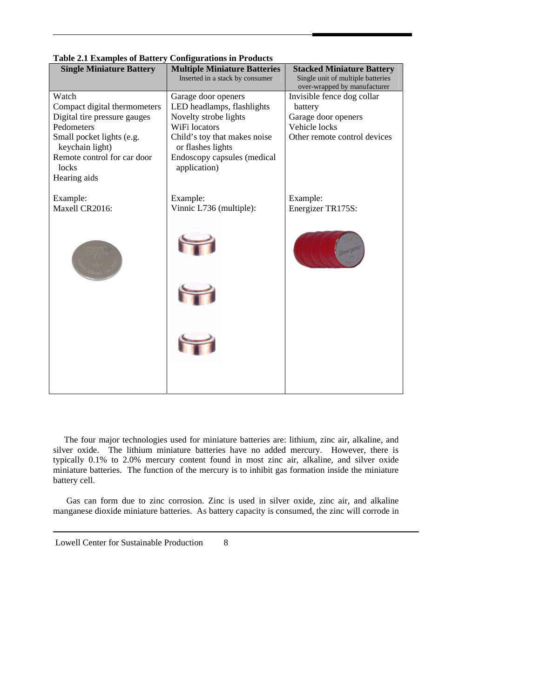| <b>Single Miniature Battery</b>                                                                                                                                                             | <b>Multiple Miniature Batteries</b>                                                                                                                                                             | <b>Stacked Miniature Battery</b>                                                                              |
|---------------------------------------------------------------------------------------------------------------------------------------------------------------------------------------------|-------------------------------------------------------------------------------------------------------------------------------------------------------------------------------------------------|---------------------------------------------------------------------------------------------------------------|
|                                                                                                                                                                                             | Inserted in a stack by consumer                                                                                                                                                                 | Single unit of multiple batteries<br>over-wrapped by manufacturer                                             |
| Watch<br>Compact digital thermometers<br>Digital tire pressure gauges<br>Pedometers<br>Small pocket lights (e.g.<br>keychain light)<br>Remote control for car door<br>locks<br>Hearing aids | Garage door openers<br>LED headlamps, flashlights<br>Novelty strobe lights<br>WiFi locators<br>Child's toy that makes noise<br>or flashes lights<br>Endoscopy capsules (medical<br>application) | Invisible fence dog collar<br>battery<br>Garage door openers<br>Vehicle locks<br>Other remote control devices |
| Example:<br>Maxell CR2016:                                                                                                                                                                  | Example:<br>Vinnic L736 (multiple):                                                                                                                                                             | Example:<br>Energizer TR175S:                                                                                 |
|                                                                                                                                                                                             |                                                                                                                                                                                                 | Fnergize                                                                                                      |
|                                                                                                                                                                                             |                                                                                                                                                                                                 |                                                                                                               |
|                                                                                                                                                                                             |                                                                                                                                                                                                 |                                                                                                               |
|                                                                                                                                                                                             |                                                                                                                                                                                                 |                                                                                                               |

**Table 2.1 Examples of Battery Configurations in Products** 

 The four major technologies used for miniature batteries are: lithium, zinc air, alkaline, and silver oxide. The lithium miniature batteries have no added mercury. However, there is typically 0.1% to 2.0% mercury content found in most zinc air, alkaline, and silver oxide miniature batteries. The function of the mercury is to inhibit gas formation inside the miniature battery cell.

Gas can form due to zinc corrosion. Zinc is used in silver oxide, zinc air, and alkaline manganese dioxide miniature batteries. As battery capacity is consumed, the zinc will corrode in

Lowell Center for Sustainable Production 8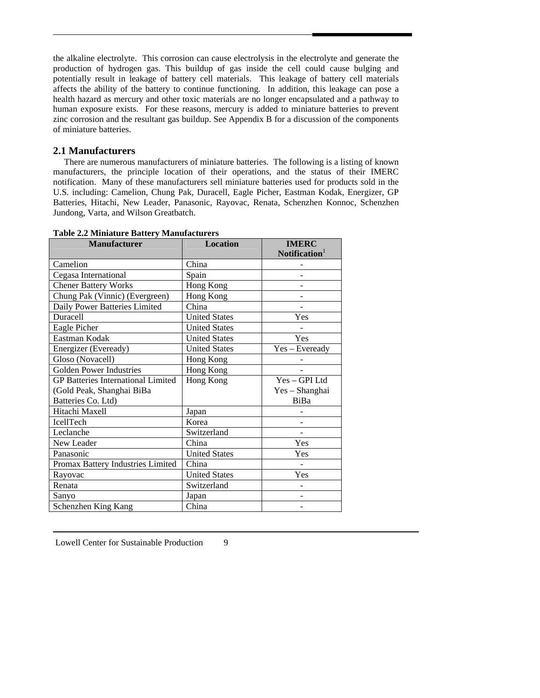<span id="page-12-0"></span>the alkaline electrolyte. This corrosion can cause electrolysis in the electrolyte and generate the production of hydrogen gas. This buildup of gas inside the cell could cause bulging and potentially result in leakage of battery cell materials. This leakage of battery cell materials affects the ability of the battery to continue functioning. In addition, this leakage can pose a health hazard as mercury and other toxic materials are no longer encapsulated and a pathway to human exposure exists. For these reasons, mercury is added to miniature batteries to prevent zinc corrosion and the resultant gas buildup. See Appendix B for a discussion of the components of miniature batteries.

#### **2.1 Manufacturers**

 There are numerous manufacturers of miniature batteries. The following is a listing of known manufacturers, the principle location of their operations, and the status of their IMERC notification. Many of these manufacturers sell miniature batteries used for products sold in the U.S. including: Camelion, Chung Pak, Duracell, Eagle Picher, Eastman Kodak, Energizer, GP Batteries, Hitachi, New Leader, Panasonic, Rayovac, Renata, Schenzhen Konnoc, Schenzhen Jundong, Varta, and Wilson Greatbatch.

| <b>Manufacturer</b>                       | <b>Location</b>      | <b>IMERC</b><br>Notification $1$ |
|-------------------------------------------|----------------------|----------------------------------|
| Camelion                                  | China                |                                  |
| Cegasa International                      | Spain                |                                  |
| <b>Chener Battery Works</b>               | Hong Kong            |                                  |
| Chung Pak (Vinnic) (Evergreen)            | Hong Kong            |                                  |
| Daily Power Batteries Limited             | China                |                                  |
| <b>Duracell</b>                           | <b>United States</b> | Yes                              |
| Eagle Picher                              | <b>United States</b> |                                  |
| Eastman Kodak                             | <b>United States</b> | Yes                              |
| Energizer (Eveready)                      | <b>United States</b> | Yes - Eveready                   |
| Gloso (Novacell)                          | Hong Kong            |                                  |
| <b>Golden Power Industries</b>            | Hong Kong            |                                  |
| <b>GP Batteries International Limited</b> | Hong Kong            | $Yes - GPL$                      |
| (Gold Peak, Shanghai BiBa                 |                      | Yes - Shanghai                   |
| Batteries Co. Ltd)                        |                      | BiBa                             |
| Hitachi Maxell                            | Japan                |                                  |
| <b>IcellTech</b>                          | Korea                |                                  |
| Leclanche                                 | Switzerland          |                                  |
| New Leader                                | China                | Yes                              |
| Panasonic                                 | <b>United States</b> | Yes                              |
| Promax Battery Industries Limited         | China                |                                  |
| Rayovac                                   | <b>United States</b> | Yes                              |
| Renata                                    | Switzerland          |                                  |
| Sanyo                                     | Japan                |                                  |
| Schenzhen King Kang                       | China                |                                  |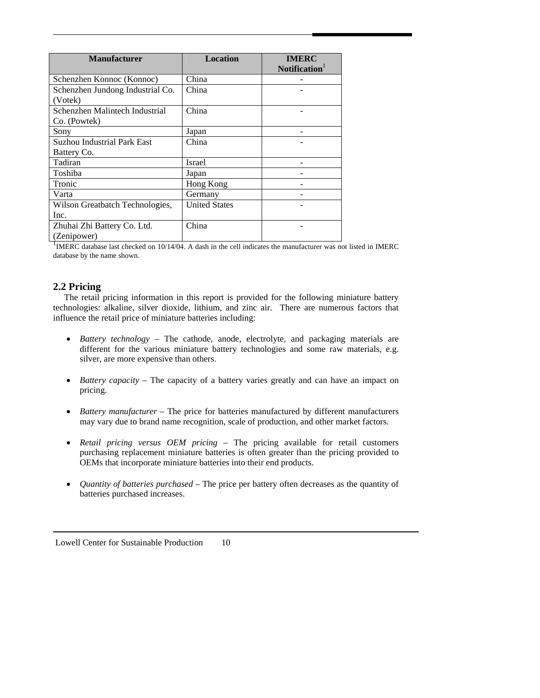<span id="page-13-0"></span>

| <b>Manufacturer</b>                            | Location             | <b>IMERC</b><br>Notification <sup>1</sup> |
|------------------------------------------------|----------------------|-------------------------------------------|
| Schenzhen Konnoc (Konnoc)                      | China                |                                           |
| Schenzhen Jundong Industrial Co.<br>(Votek)    | China                |                                           |
| Schenzhen Malintech Industrial<br>Co. (Powtek) | China                |                                           |
| Sony                                           | Japan                |                                           |
| <b>Suzhou Industrial Park East</b>             | China                |                                           |
| Battery Co.                                    |                      |                                           |
| Tadiran                                        | <b>Israel</b>        |                                           |
| Toshiba                                        | Japan                |                                           |
| Tronic                                         | Hong Kong            |                                           |
| Varta                                          | Germany              |                                           |
| Wilson Greatbatch Technologies,                | <b>United States</b> |                                           |
| Inc.                                           |                      |                                           |
| Zhuhai Zhi Battery Co. Ltd.<br>(Zenipower)     | China                |                                           |

<sup>1</sup>IMERC database last checked on 10/14/04. A dash in the cell indicates the manufacturer was not listed in IMERC database by the name shown.

#### **2.2 Pricing**

 The retail pricing information in this report is provided for the following miniature battery technologies: alkaline, silver dioxide, lithium, and zinc air. There are numerous factors that influence the retail price of miniature batteries including:

- *Battery technology* The cathode, anode, electrolyte, and packaging materials are different for the various miniature battery technologies and some raw materials, e.g. silver, are more expensive than others.
- *Battery capacity* The capacity of a battery varies greatly and can have an impact on pricing.
- *Battery manufacturer* The price for batteries manufactured by different manufacturers may vary due to brand name recognition, scale of production, and other market factors.
- *Retail pricing versus OEM pricing* The pricing available for retail customers purchasing replacement miniature batteries is often greater than the pricing provided to OEMs that incorporate miniature batteries into their end products.
- *Quantity of batteries purchased* The price per battery often decreases as the quantity of batteries purchased increases.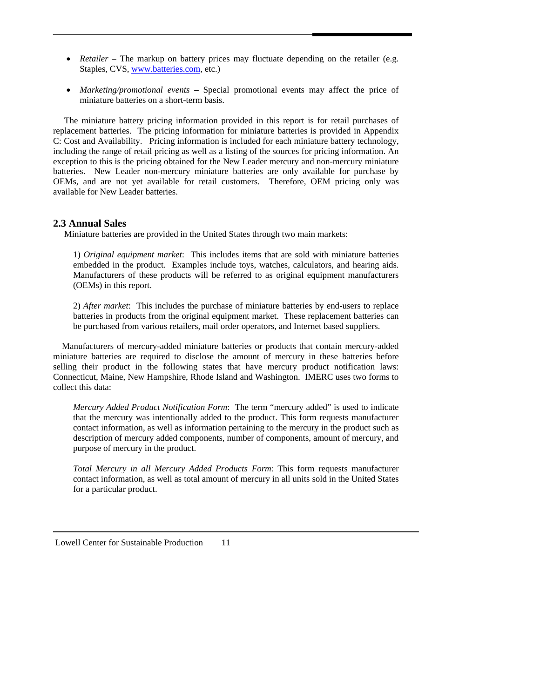- <span id="page-14-0"></span>• *Retailer* – The markup on battery prices may fluctuate depending on the retailer (e.g. Staples, CVS, [www.batteries.com](http://www.batteries.com/), etc.)
- *Marketing/promotional events* Special promotional events may affect the price of miniature batteries on a short-term basis.

 The miniature battery pricing information provided in this report is for retail purchases of replacement batteries. The pricing information for miniature batteries is provided in Appendix C: Cost and Availability. Pricing information is included for each miniature battery technology, including the range of retail pricing as well as a listing of the sources for pricing information. An exception to this is the pricing obtained for the New Leader mercury and non-mercury miniature batteries. New Leader non-mercury miniature batteries are only available for purchase by OEMs, and are not yet available for retail customers. Therefore, OEM pricing only was available for New Leader batteries.

#### **2.3 Annual Sales**

Miniature batteries are provided in the United States through two main markets:

1) *Original equipment market*: This includes items that are sold with miniature batteries embedded in the product. Examples include toys, watches, calculators, and hearing aids. Manufacturers of these products will be referred to as original equipment manufacturers (OEMs) in this report.

2) *After market*: This includes the purchase of miniature batteries by end-users to replace batteries in products from the original equipment market. These replacement batteries can be purchased from various retailers, mail order operators, and Internet based suppliers.

 Manufacturers of mercury-added miniature batteries or products that contain mercury-added miniature batteries are required to disclose the amount of mercury in these batteries before selling their product in the following states that have mercury product notification laws: Connecticut, Maine, New Hampshire, Rhode Island and Washington. IMERC uses two forms to collect this data:

*Mercury Added Product Notification Form*: The term "mercury added" is used to indicate that the mercury was intentionally added to the product. This form requests manufacturer contact information, as well as information pertaining to the mercury in the product such as description of mercury added components, number of components, amount of mercury, and purpose of mercury in the product.

*Total Mercury in all Mercury Added Products Form*: This form requests manufacturer contact information, as well as total amount of mercury in all units sold in the United States for a particular product.

Lowell Center for Sustainable Production 11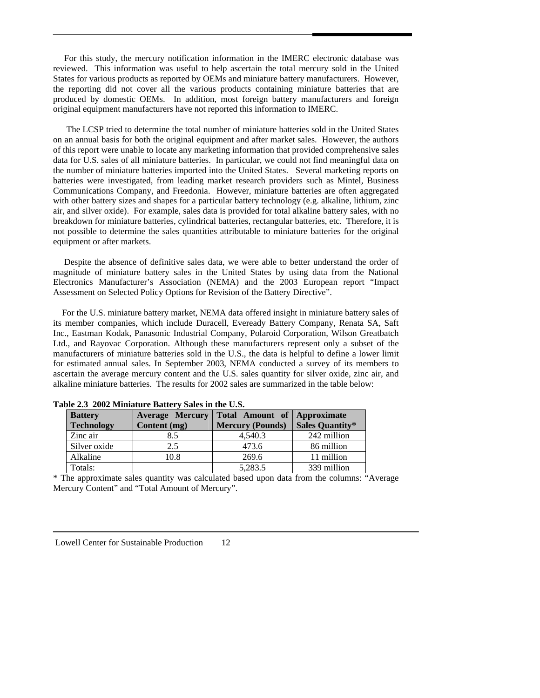For this study, the mercury notification information in the IMERC electronic database was reviewed. This information was useful to help ascertain the total mercury sold in the United States for various products as reported by OEMs and miniature battery manufacturers. However, the reporting did not cover all the various products containing miniature batteries that are produced by domestic OEMs. In addition, most foreign battery manufacturers and foreign original equipment manufacturers have not reported this information to IMERC.

 The LCSP tried to determine the total number of miniature batteries sold in the United States on an annual basis for both the original equipment and after market sales. However, the authors of this report were unable to locate any marketing information that provided comprehensive sales data for U.S. sales of all miniature batteries. In particular, we could not find meaningful data on the number of miniature batteries imported into the United States. Several marketing reports on batteries were investigated, from leading market research providers such as Mintel, Business Communications Company, and Freedonia. However, miniature batteries are often aggregated with other battery sizes and shapes for a particular battery technology (e.g. alkaline, lithium, zinc air, and silver oxide). For example, sales data is provided for total alkaline battery sales, with no breakdown for miniature batteries, cylindrical batteries, rectangular batteries, etc. Therefore, it is not possible to determine the sales quantities attributable to miniature batteries for the original equipment or after markets.

 Despite the absence of definitive sales data, we were able to better understand the order of magnitude of miniature battery sales in the United States by using data from the National Electronics Manufacturer's Association (NEMA) and the 2003 European report "Impact Assessment on Selected Policy Options for Revision of the Battery Directive".

 For the U.S. miniature battery market, NEMA data offered insight in miniature battery sales of its member companies, which include Duracell, Eveready Battery Company, Renata SA, Saft Inc., Eastman Kodak, Panasonic Industrial Company, Polaroid Corporation, Wilson Greatbatch Ltd., and Rayovac Corporation. Although these manufacturers represent only a subset of the manufacturers of miniature batteries sold in the U.S., the data is helpful to define a lower limit for estimated annual sales. In September 2003, NEMA conducted a survey of its members to ascertain the average mercury content and the U.S. sales quantity for silver oxide, zinc air, and alkaline miniature batteries. The results for 2002 sales are summarized in the table below:

| radio 210  2002 minimaturo Dattor I dalos in the Cidi |                        |                             |                        |  |  |  |
|-------------------------------------------------------|------------------------|-----------------------------|------------------------|--|--|--|
| <b>Battery</b>                                        | <b>Average Mercury</b> | Total Amount of Approximate |                        |  |  |  |
| <b>Technology</b>                                     | Content (mg)           | <b>Mercury (Pounds)</b>     | <b>Sales Quantity*</b> |  |  |  |
| Zinc air                                              | 8.5                    | 4.540.3                     | 242 million            |  |  |  |
| Silver oxide                                          | 2.5                    | 473.6                       | 86 million             |  |  |  |
| Alkaline                                              | 10.8                   | 269.6                       | 11 million             |  |  |  |
| Totals:                                               |                        | 5,283.5                     | 339 million            |  |  |  |

**Table 2.3 2002 Miniature Battery Sales in the U.S.** 

\* The approximate sales quantity was calculated based upon data from the columns: "Average Mercury Content" and "Total Amount of Mercury".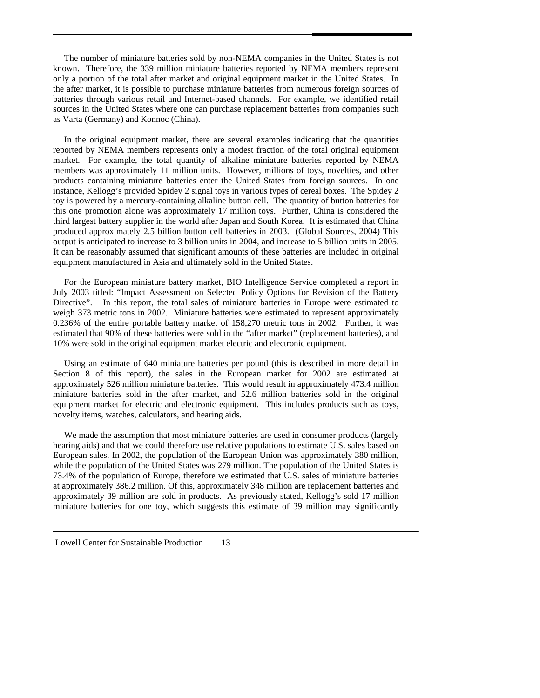The number of miniature batteries sold by non-NEMA companies in the United States is not known. Therefore, the 339 million miniature batteries reported by NEMA members represent only a portion of the total after market and original equipment market in the United States. In the after market, it is possible to purchase miniature batteries from numerous foreign sources of batteries through various retail and Internet-based channels. For example, we identified retail sources in the United States where one can purchase replacement batteries from companies such as Varta (Germany) and Konnoc (China).

 In the original equipment market, there are several examples indicating that the quantities reported by NEMA members represents only a modest fraction of the total original equipment market. For example, the total quantity of alkaline miniature batteries reported by NEMA members was approximately 11 million units. However, millions of toys, novelties, and other products containing miniature batteries enter the United States from foreign sources. In one instance, Kellogg's provided Spidey 2 signal toys in various types of cereal boxes. The Spidey 2 toy is powered by a mercury-containing alkaline button cell. The quantity of button batteries for this one promotion alone was approximately 17 million toys. Further, China is considered the third largest battery supplier in the world after Japan and South Korea. It is estimated that China produced approximately 2.5 billion button cell batteries in 2003. (Global Sources, 2004) This output is anticipated to increase to 3 billion units in 2004, and increase to 5 billion units in 2005. It can be reasonably assumed that significant amounts of these batteries are included in original equipment manufactured in Asia and ultimately sold in the United States.

 For the European miniature battery market, BIO Intelligence Service completed a report in July 2003 titled: "Impact Assessment on Selected Policy Options for Revision of the Battery Directive". In this report, the total sales of miniature batteries in Europe were estimated to weigh 373 metric tons in 2002. Miniature batteries were estimated to represent approximately 0.236% of the entire portable battery market of 158,270 metric tons in 2002. Further, it was estimated that 90% of these batteries were sold in the "after market" (replacement batteries), and 10% were sold in the original equipment market electric and electronic equipment.

 Using an estimate of 640 miniature batteries per pound (this is described in more detail in Section 8 of this report), the sales in the European market for 2002 are estimated at approximately 526 million miniature batteries. This would result in approximately 473.4 million miniature batteries sold in the after market, and 52.6 million batteries sold in the original equipment market for electric and electronic equipment. This includes products such as toys, novelty items, watches, calculators, and hearing aids.

 We made the assumption that most miniature batteries are used in consumer products (largely hearing aids) and that we could therefore use relative populations to estimate U.S. sales based on European sales. In 2002, the population of the European Union was approximately 380 million, while the population of the United States was 279 million. The population of the United States is 73.4% of the population of Europe, therefore we estimated that U.S. sales of miniature batteries at approximately 386.2 million. Of this, approximately 348 million are replacement batteries and approximately 39 million are sold in products. As previously stated, Kellogg's sold 17 million miniature batteries for one toy, which suggests this estimate of 39 million may significantly

Lowell Center for Sustainable Production 13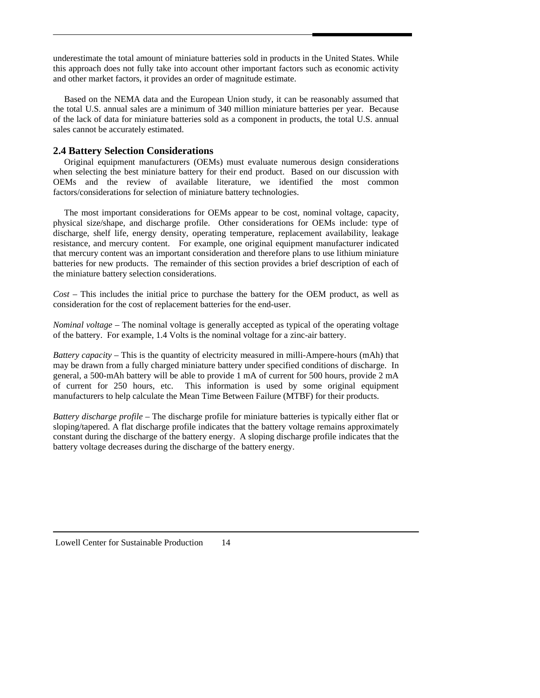<span id="page-17-0"></span>underestimate the total amount of miniature batteries sold in products in the United States. While this approach does not fully take into account other important factors such as economic activity and other market factors, it provides an order of magnitude estimate.

 Based on the NEMA data and the European Union study, it can be reasonably assumed that the total U.S. annual sales are a minimum of 340 million miniature batteries per year. Because of the lack of data for miniature batteries sold as a component in products, the total U.S. annual sales cannot be accurately estimated.

#### **2.4 Battery Selection Considerations**

Original equipment manufacturers (OEMs) must evaluate numerous design considerations when selecting the best miniature battery for their end product. Based on our discussion with OEMs and the review of available literature, we identified the most common factors/considerations for selection of miniature battery technologies.

 The most important considerations for OEMs appear to be cost, nominal voltage, capacity, physical size/shape, and discharge profile. Other considerations for OEMs include: type of discharge, shelf life, energy density, operating temperature, replacement availability, leakage resistance, and mercury content. For example, one original equipment manufacturer indicated that mercury content was an important consideration and therefore plans to use lithium miniature batteries for new products. The remainder of this section provides a brief description of each of the miniature battery selection considerations.

*Cost* – This includes the initial price to purchase the battery for the OEM product, as well as consideration for the cost of replacement batteries for the end-user.

*Nominal voltage* – The nominal voltage is generally accepted as typical of the operating voltage of the battery. For example, 1.4 Volts is the nominal voltage for a zinc-air battery.

*Battery capacity* – This is the quantity of electricity measured in milli-Ampere-hours (mAh) that may be drawn from a fully charged miniature battery under specified conditions of discharge. In general, a 500-mAh battery will be able to provide 1 mA of current for 500 hours, provide 2 mA of current for 250 hours, etc. This information is used by some original equipment manufacturers to help calculate the Mean Time Between Failure (MTBF) for their products.

*Battery discharge profile* – The discharge profile for miniature batteries is typically either flat or sloping/tapered. A flat discharge profile indicates that the battery voltage remains approximately constant during the discharge of the battery energy. A sloping discharge profile indicates that the battery voltage decreases during the discharge of the battery energy.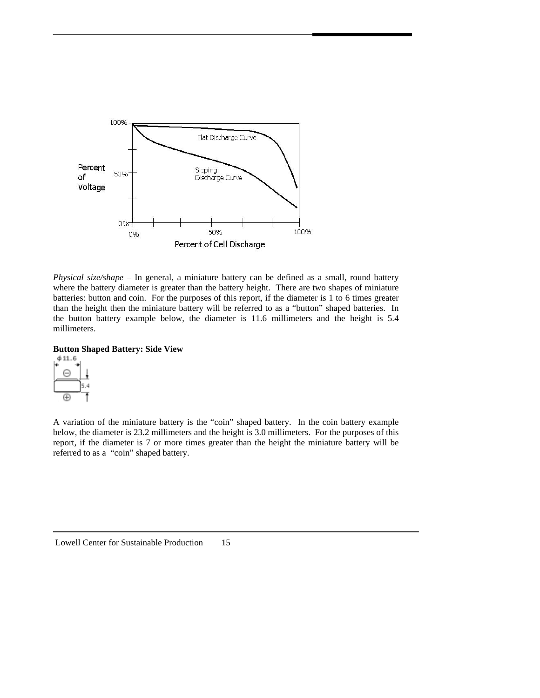

*Physical size/shape* – In general, a miniature battery can be defined as a small, round battery where the battery diameter is greater than the battery height. There are two shapes of miniature batteries: button and coin. For the purposes of this report, if the diameter is 1 to 6 times greater than the height then the miniature battery will be referred to as a "button" shaped batteries. In the button battery example below, the diameter is 11.6 millimeters and the height is 5.4 millimeters.

#### **Button Shaped Battery: Side View**



A variation of the miniature battery is the "coin" shaped battery. In the coin battery example below, the diameter is 23.2 millimeters and the height is 3.0 millimeters. For the purposes of this report, if the diameter is 7 or more times greater than the height the miniature battery will be referred to as a "coin" shaped battery.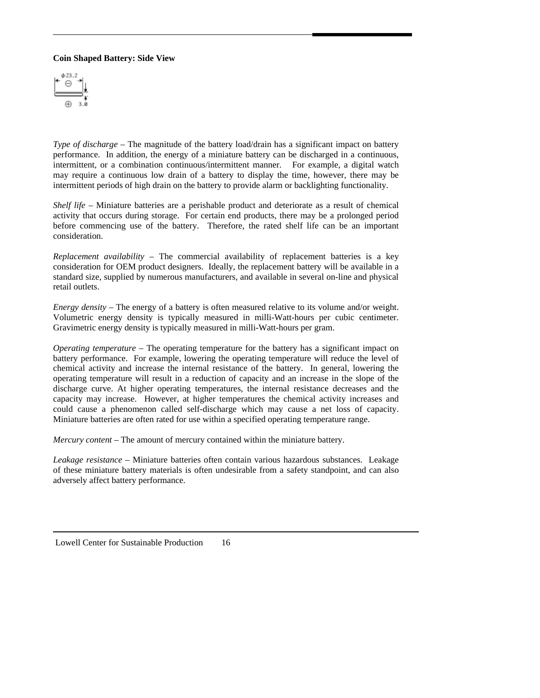#### **Coin Shaped Battery: Side View**



*Type of discharge* – The magnitude of the battery load/drain has a significant impact on battery performance. In addition, the energy of a miniature battery can be discharged in a continuous, intermittent, or a combination continuous/intermittent manner. For example, a digital watch may require a continuous low drain of a battery to display the time, however, there may be intermittent periods of high drain on the battery to provide alarm or backlighting functionality.

*Shelf life* – Miniature batteries are a perishable product and deteriorate as a result of chemical activity that occurs during storage. For certain end products, there may be a prolonged period before commencing use of the battery. Therefore, the rated shelf life can be an important consideration.

*Replacement availability* – The commercial availability of replacement batteries is a key consideration for OEM product designers. Ideally, the replacement battery will be available in a standard size, supplied by numerous manufacturers, and available in several on-line and physical retail outlets.

*Energy density* – The energy of a battery is often measured relative to its volume and/or weight. Volumetric energy density is typically measured in milli-Watt-hours per cubic centimeter. Gravimetric energy density is typically measured in milli-Watt-hours per gram.

*Operating temperature* – The operating temperature for the battery has a significant impact on battery performance. For example, lowering the operating temperature will reduce the level of chemical activity and increase the internal resistance of the battery. In general, lowering the operating temperature will result in a reduction of capacity and an increase in the slope of the discharge curve. At higher operating temperatures, the internal resistance decreases and the capacity may increase. However, at higher temperatures the chemical activity increases and could cause a phenomenon called self-discharge which may cause a net loss of capacity. Miniature batteries are often rated for use within a specified operating temperature range.

*Mercury content* – The amount of mercury contained within the miniature battery.

*Leakage resistance* – Miniature batteries often contain various hazardous substances. Leakage of these miniature battery materials is often undesirable from a safety standpoint, and can also adversely affect battery performance.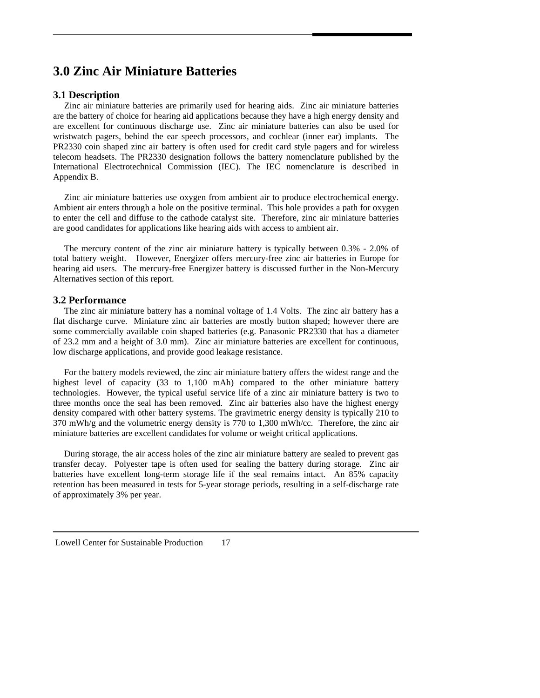## <span id="page-20-0"></span>**3.0 Zinc Air Miniature Batteries**

#### **3.1 Description**

 Zinc air miniature batteries are primarily used for hearing aids. Zinc air miniature batteries are the battery of choice for hearing aid applications because they have a high energy density and are excellent for continuous discharge use. Zinc air miniature batteries can also be used for wristwatch pagers, behind the ear speech processors, and cochlear (inner ear) implants. The PR2330 coin shaped zinc air battery is often used for credit card style pagers and for wireless telecom headsets. The PR2330 designation follows the battery nomenclature published by the International Electrotechnical Commission (IEC). The IEC nomenclature is described in Appendix B.

Zinc air miniature batteries use oxygen from ambient air to produce electrochemical energy. Ambient air enters through a hole on the positive terminal. This hole provides a path for oxygen to enter the cell and diffuse to the cathode catalyst site. Therefore, zinc air miniature batteries are good candidates for applications like hearing aids with access to ambient air.

 The mercury content of the zinc air miniature battery is typically between 0.3% - 2.0% of total battery weight. However, Energizer offers mercury-free zinc air batteries in Europe for hearing aid users. The mercury-free Energizer battery is discussed further in the Non-Mercury Alternatives section of this report.

#### **3.2 Performance**

 The zinc air miniature battery has a nominal voltage of 1.4 Volts. The zinc air battery has a flat discharge curve. Miniature zinc air batteries are mostly button shaped; however there are some commercially available coin shaped batteries (e.g. Panasonic PR2330 that has a diameter of 23.2 mm and a height of 3.0 mm). Zinc air miniature batteries are excellent for continuous, low discharge applications, and provide good leakage resistance.

 For the battery models reviewed, the zinc air miniature battery offers the widest range and the highest level of capacity (33 to 1,100 mAh) compared to the other miniature battery technologies. However, the typical useful service life of a zinc air miniature battery is two to three months once the seal has been removed. Zinc air batteries also have the highest energy density compared with other battery systems. The gravimetric energy density is typically 210 to 370 mWh/g and the volumetric energy density is 770 to 1,300 mWh/cc. Therefore, the zinc air miniature batteries are excellent candidates for volume or weight critical applications.

 During storage, the air access holes of the zinc air miniature battery are sealed to prevent gas transfer decay. Polyester tape is often used for sealing the battery during storage. Zinc air batteries have excellent long-term storage life if the seal remains intact. An 85% capacity retention has been measured in tests for 5-year storage periods, resulting in a self-discharge rate of approximately 3% per year.

Lowell Center for Sustainable Production 17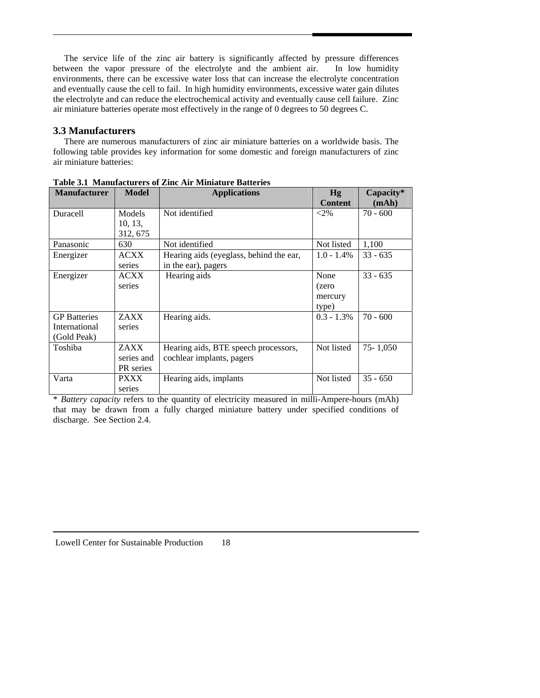<span id="page-21-0"></span> The service life of the zinc air battery is significantly affected by pressure differences between the vapor pressure of the electrolyte and the ambient air. In low humidity environments, there can be excessive water loss that can increase the electrolyte concentration and eventually cause the cell to fail. In high humidity environments, excessive water gain dilutes the electrolyte and can reduce the electrochemical activity and eventually cause cell failure. Zinc air miniature batteries operate most effectively in the range of 0 degrees to 50 degrees C.

#### **3.3 Manufacturers**

 There are numerous manufacturers of zinc air miniature batteries on a worldwide basis. The following table provides key information for some domestic and foreign manufacturers of zinc air miniature batteries:

| <b>Manufacturer</b> | <b>Model</b> | <b>Applications</b>                     | Hg             | Capacity*  |
|---------------------|--------------|-----------------------------------------|----------------|------------|
|                     |              |                                         | <b>Content</b> | (mAh)      |
| <b>Duracell</b>     | Models       | Not identified                          | $<$ 2%         | $70 - 600$ |
|                     | 10, 13,      |                                         |                |            |
|                     | 312, 675     |                                         |                |            |
| Panasonic           | 630          | Not identified                          | Not listed     | 1,100      |
| Energizer           | <b>ACXX</b>  | Hearing aids (eyeglass, behind the ear, | $1.0 - 1.4\%$  | $33 - 635$ |
|                     | series       | in the ear), pagers                     |                |            |
| Energizer           | <b>ACXX</b>  | Hearing aids                            | None           | $33 - 635$ |
|                     | series       |                                         | (zero          |            |
|                     |              |                                         | mercury        |            |
|                     |              |                                         | type)          |            |
| <b>GP</b> Batteries | ZAXX         | Hearing aids.                           | $0.3 - 1.3\%$  | $70 - 600$ |
| International       | series       |                                         |                |            |
| (Gold Peak)         |              |                                         |                |            |
| Toshiba             | ZAXX         | Hearing aids, BTE speech processors,    | Not listed     | 75-1,050   |
|                     | series and   | cochlear implants, pagers               |                |            |
|                     | PR series    |                                         |                |            |
| Varta               | <b>PXXX</b>  | Hearing aids, implants                  | Not listed     | $35 - 650$ |
|                     | series       |                                         |                |            |

**Table 3.1 Manufacturers of Zinc Air Miniature Batteries** 

\* *Battery capacity* refers to the quantity of electricity measured in milli-Ampere-hours (mAh) that may be drawn from a fully charged miniature battery under specified conditions of discharge. See Section 2.4.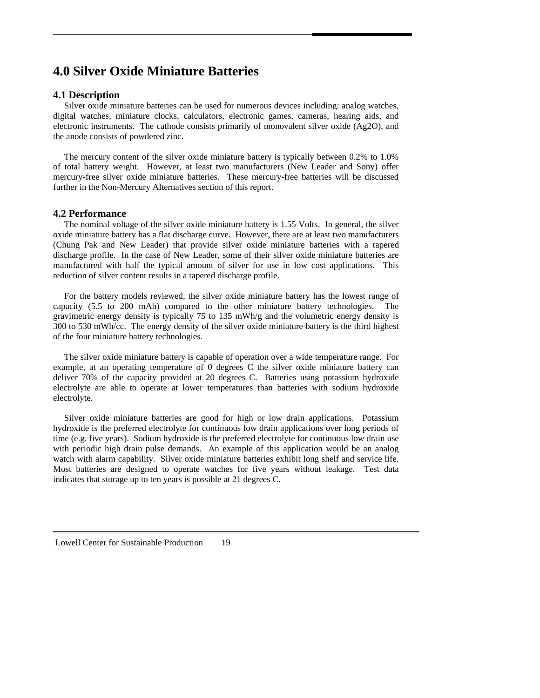### <span id="page-22-0"></span>**4.0 Silver Oxide Miniature Batteries**

#### **4.1 Description**

 Silver oxide miniature batteries can be used for numerous devices including: analog watches, digital watches, miniature clocks, calculators, electronic games, cameras, hearing aids, and electronic instruments. The cathode consists primarily of monovalent silver oxide (Ag2O), and the anode consists of powdered zinc.

 The mercury content of the silver oxide miniature battery is typically between 0.2% to 1.0% of total battery weight. However, at least two manufacturers (New Leader and Sony) offer mercury-free silver oxide miniature batteries. These mercury-free batteries will be discussed further in the Non-Mercury Alternatives section of this report.

#### **4.2 Performance**

 The nominal voltage of the silver oxide miniature battery is 1.55 Volts. In general, the silver oxide miniature battery has a flat discharge curve. However, there are at least two manufacturers (Chung Pak and New Leader) that provide silver oxide miniature batteries with a tapered discharge profile. In the case of New Leader, some of their silver oxide miniature batteries are manufactured with half the typical amount of silver for use in low cost applications. This reduction of silver content results in a tapered discharge profile.

 For the battery models reviewed, the silver oxide miniature battery has the lowest range of capacity (5.5 to 200 mAh) compared to the other miniature battery technologies. The gravimetric energy density is typically 75 to 135 mWh/g and the volumetric energy density is 300 to 530 mWh/cc. The energy density of the silver oxide miniature battery is the third highest of the four miniature battery technologies.

 The silver oxide miniature battery is capable of operation over a wide temperature range. For example, at an operating temperature of 0 degrees C the silver oxide miniature battery can deliver 70% of the capacity provided at 20 degrees C. Batteries using potassium hydroxide electrolyte are able to operate at lower temperatures than batteries with sodium hydroxide electrolyte.

 Silver oxide miniature batteries are good for high or low drain applications. Potassium hydroxide is the preferred electrolyte for continuous low drain applications over long periods of time (e.g. five years). Sodium hydroxide is the preferred electrolyte for continuous low drain use with periodic high drain pulse demands. An example of this application would be an analog watch with alarm capability. Silver oxide miniature batteries exhibit long shelf and service life. Most batteries are designed to operate watches for five years without leakage. Test data indicates that storage up to ten years is possible at 21 degrees C.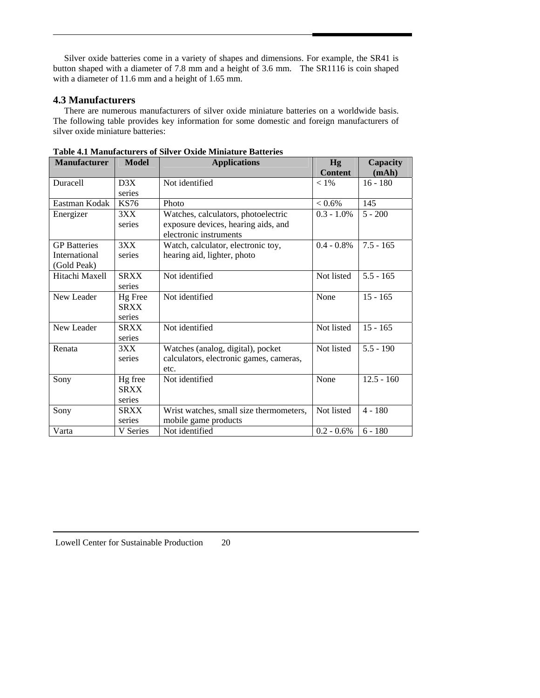<span id="page-23-0"></span> Silver oxide batteries come in a variety of shapes and dimensions. For example, the SR41 is button shaped with a diameter of 7.8 mm and a height of 3.6 mm. The SR1116 is coin shaped with a diameter of 11.6 mm and a height of 1.65 mm.

#### **4.3 Manufacturers**

 There are numerous manufacturers of silver oxide miniature batteries on a worldwide basis. The following table provides key information for some domestic and foreign manufacturers of silver oxide miniature batteries:

| <b>Manufacturer</b> | <b>Model</b> | <b>Applications</b>                     | <b>Hg</b><br><b>Content</b> | Capacity<br>(mAh) |
|---------------------|--------------|-----------------------------------------|-----------------------------|-------------------|
| <b>Duracell</b>     | D3X          | Not identified                          | $< 1\%$                     | $16 - 180$        |
|                     | series       |                                         |                             |                   |
| Eastman Kodak       | KS76         | Photo                                   | $< 0.6\%$                   | 145               |
| Energizer           | 3XX          | Watches, calculators, photoelectric     | $0.3 - 1.0\%$               | $5 - 200$         |
|                     | series       | exposure devices, hearing aids, and     |                             |                   |
|                     |              | electronic instruments                  |                             |                   |
| <b>GP</b> Batteries | 3XX          | Watch, calculator, electronic toy,      | $0.4 - 0.8\%$               | $7.5 - 165$       |
| International       | series       | hearing aid, lighter, photo             |                             |                   |
| (Gold Peak)         |              |                                         |                             |                   |
| Hitachi Maxell      | <b>SRXX</b>  | Not identified                          | Not listed                  | $5.5 - 165$       |
|                     | series       |                                         |                             |                   |
| New Leader          | Hg Free      | Not identified                          | None                        | $15 - 165$        |
|                     | <b>SRXX</b>  |                                         |                             |                   |
|                     | series       |                                         |                             |                   |
| New Leader          | <b>SRXX</b>  | Not identified                          | Not listed                  | $15 - 165$        |
|                     | series       |                                         |                             |                   |
| Renata              | 3XX          | Watches (analog, digital), pocket       | Not listed                  | $5.5 - 190$       |
|                     | series       | calculators, electronic games, cameras, |                             |                   |
|                     |              | etc.                                    |                             |                   |
| Sony                | Hg free      | Not identified                          | None                        | $12.5 - 160$      |
|                     | <b>SRXX</b>  |                                         |                             |                   |
|                     | series       |                                         |                             |                   |
| Sony                | <b>SRXX</b>  | Wrist watches, small size thermometers, | Not listed                  | $4 - 180$         |
|                     | series       | mobile game products                    |                             |                   |
| Varta               | V Series     | Not identified                          | $0.2 - 0.6\%$               | $6 - 180$         |

|  | Table 4.1 Manufacturers of Silver Oxide Miniature Batteries |  |  |  |  |
|--|-------------------------------------------------------------|--|--|--|--|
|--|-------------------------------------------------------------|--|--|--|--|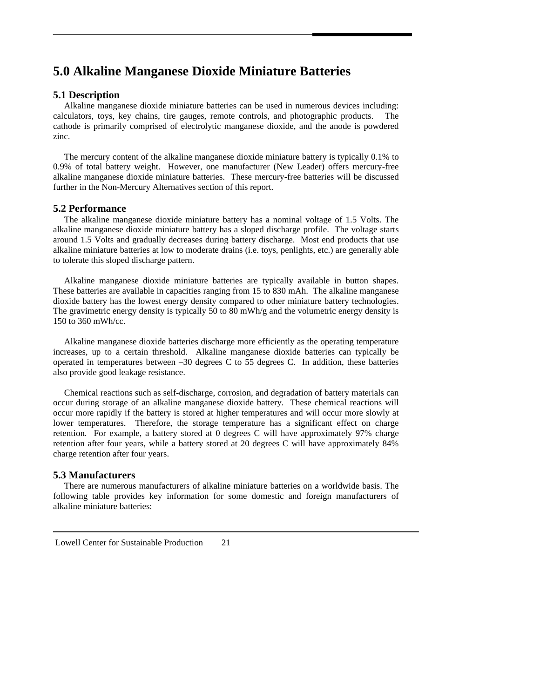## <span id="page-24-0"></span>**5.0 Alkaline Manganese Dioxide Miniature Batteries**

#### **5.1 Description**

 Alkaline manganese dioxide miniature batteries can be used in numerous devices including: calculators, toys, key chains, tire gauges, remote controls, and photographic products. The cathode is primarily comprised of electrolytic manganese dioxide, and the anode is powdered zinc.

The mercury content of the alkaline manganese dioxide miniature battery is typically 0.1% to 0.9% of total battery weight. However, one manufacturer (New Leader) offers mercury-free alkaline manganese dioxide miniature batteries. These mercury-free batteries will be discussed further in the Non-Mercury Alternatives section of this report.

#### **5.2 Performance**

 The alkaline manganese dioxide miniature battery has a nominal voltage of 1.5 Volts. The alkaline manganese dioxide miniature battery has a sloped discharge profile. The voltage starts around 1.5 Volts and gradually decreases during battery discharge. Most end products that use alkaline miniature batteries at low to moderate drains (i.e. toys, penlights, etc.) are generally able to tolerate this sloped discharge pattern.

 Alkaline manganese dioxide miniature batteries are typically available in button shapes. These batteries are available in capacities ranging from 15 to 830 mAh. The alkaline manganese dioxide battery has the lowest energy density compared to other miniature battery technologies. The gravimetric energy density is typically 50 to 80 mWh/g and the volumetric energy density is 150 to 360 mWh/cc.

 Alkaline manganese dioxide batteries discharge more efficiently as the operating temperature increases, up to a certain threshold. Alkaline manganese dioxide batteries can typically be operated in temperatures between  $-30$  degrees C to 55 degrees C. In addition, these batteries also provide good leakage resistance.

 Chemical reactions such as self-discharge, corrosion, and degradation of battery materials can occur during storage of an alkaline manganese dioxide battery. These chemical reactions will occur more rapidly if the battery is stored at higher temperatures and will occur more slowly at lower temperatures. Therefore, the storage temperature has a significant effect on charge retention. For example, a battery stored at 0 degrees C will have approximately 97% charge retention after four years, while a battery stored at 20 degrees C will have approximately 84% charge retention after four years.

#### **5.3 Manufacturers**

 There are numerous manufacturers of alkaline miniature batteries on a worldwide basis. The following table provides key information for some domestic and foreign manufacturers of alkaline miniature batteries: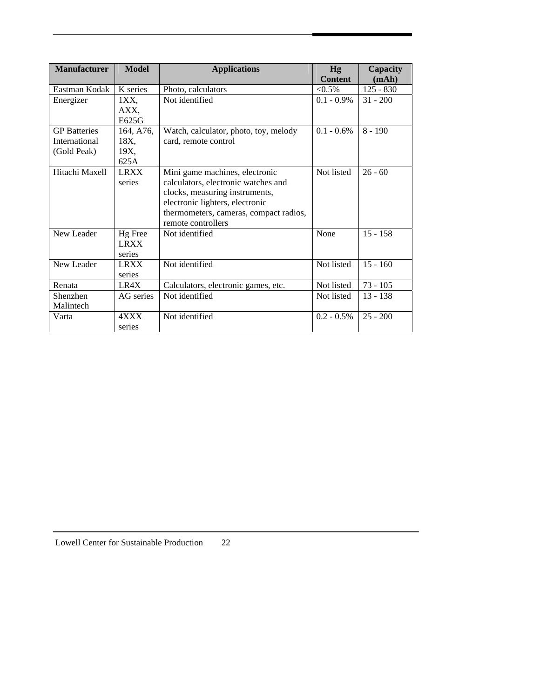| <b>Manufacturer</b>                                 | <b>Model</b>                      | <b>Applications</b>                                                                                                                                                                                        | Hg<br><b>Content</b> | Capacity<br>(mAh) |
|-----------------------------------------------------|-----------------------------------|------------------------------------------------------------------------------------------------------------------------------------------------------------------------------------------------------------|----------------------|-------------------|
| Eastman Kodak                                       | K series                          | Photo, calculators                                                                                                                                                                                         | $< 0.5\%$            | $125 - 830$       |
| Energizer                                           | 1XX,                              | Not identified                                                                                                                                                                                             | $0.1 - 0.9\%$        | $31 - 200$        |
|                                                     | AXX,<br>E625G                     |                                                                                                                                                                                                            |                      |                   |
| <b>GP</b> Batteries<br>International<br>(Gold Peak) | 164, A76,<br>18X,<br>19X,<br>625A | Watch, calculator, photo, toy, melody<br>card, remote control                                                                                                                                              | $0.1 - 0.6\%$        | $8 - 190$         |
| Hitachi Maxell                                      | <b>LRXX</b><br>series             | Mini game machines, electronic<br>calculators, electronic watches and<br>clocks, measuring instruments,<br>electronic lighters, electronic<br>thermometers, cameras, compact radios,<br>remote controllers | Not listed           | $26 - 60$         |
| New Leader                                          | Hg Free<br><b>LRXX</b><br>series  | Not identified                                                                                                                                                                                             | None                 | $15 - 158$        |
| New Leader                                          | <b>LRXX</b><br>series             | Not identified                                                                                                                                                                                             | Not listed           | $15 - 160$        |
| Renata                                              | LR4X                              | Calculators, electronic games, etc.                                                                                                                                                                        | Not listed           | $73 - 105$        |
| Shenzhen<br>Malintech                               | AG series                         | Not identified                                                                                                                                                                                             | Not listed           | $13 - 138$        |
| Varta                                               | 4XXX<br>series                    | Not identified                                                                                                                                                                                             | $0.2 - 0.5\%$        | $25 - 200$        |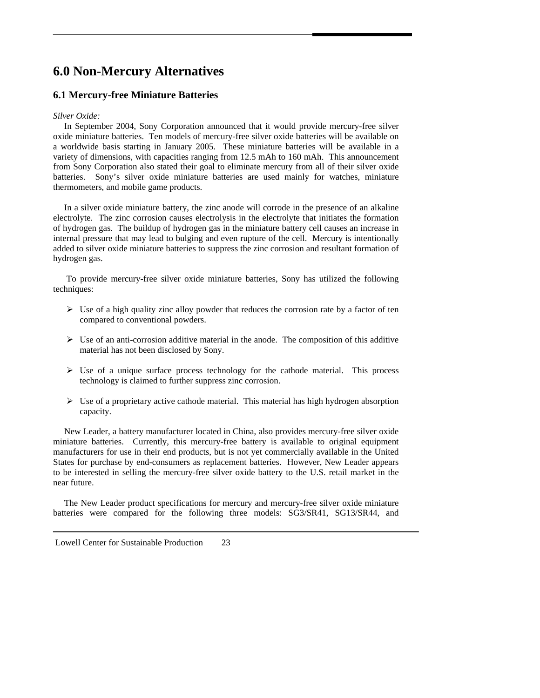## <span id="page-26-0"></span>**6.0 Non-Mercury Alternatives**

### **6.1 Mercury-free Miniature Batteries**

#### *Silver Oxide:*

 In September 2004, Sony Corporation announced that it would provide mercury-free silver oxide miniature batteries. Ten models of mercury-free silver oxide batteries will be available on a worldwide basis starting in January 2005. These miniature batteries will be available in a variety of dimensions, with capacities ranging from 12.5 mAh to 160 mAh. This announcement from Sony Corporation also stated their goal to eliminate mercury from all of their silver oxide batteries. Sony's silver oxide miniature batteries are used mainly for watches, miniature thermometers, and mobile game products.

 In a silver oxide miniature battery, the zinc anode will corrode in the presence of an alkaline electrolyte. The zinc corrosion causes electrolysis in the electrolyte that initiates the formation of hydrogen gas. The buildup of hydrogen gas in the miniature battery cell causes an increase in internal pressure that may lead to bulging and even rupture of the cell. Mercury is intentionally added to silver oxide miniature batteries to suppress the zinc corrosion and resultant formation of hydrogen gas.

 To provide mercury-free silver oxide miniature batteries, Sony has utilized the following techniques:

- $\triangleright$  Use of a high quality zinc alloy powder that reduces the corrosion rate by a factor of ten compared to conventional powders.
- $\triangleright$  Use of an anti-corrosion additive material in the anode. The composition of this additive material has not been disclosed by Sony.
- $\triangleright$  Use of a unique surface process technology for the cathode material. This process technology is claimed to further suppress zinc corrosion.
- $\triangleright$  Use of a proprietary active cathode material. This material has high hydrogen absorption capacity.

 New Leader, a battery manufacturer located in China, also provides mercury-free silver oxide miniature batteries. Currently, this mercury-free battery is available to original equipment manufacturers for use in their end products, but is not yet commercially available in the United States for purchase by end-consumers as replacement batteries. However, New Leader appears to be interested in selling the mercury-free silver oxide battery to the U.S. retail market in the near future.

 The New Leader product specifications for mercury and mercury-free silver oxide miniature batteries were compared for the following three models: SG3/SR41, SG13/SR44, and

Lowell Center for Sustainable Production 23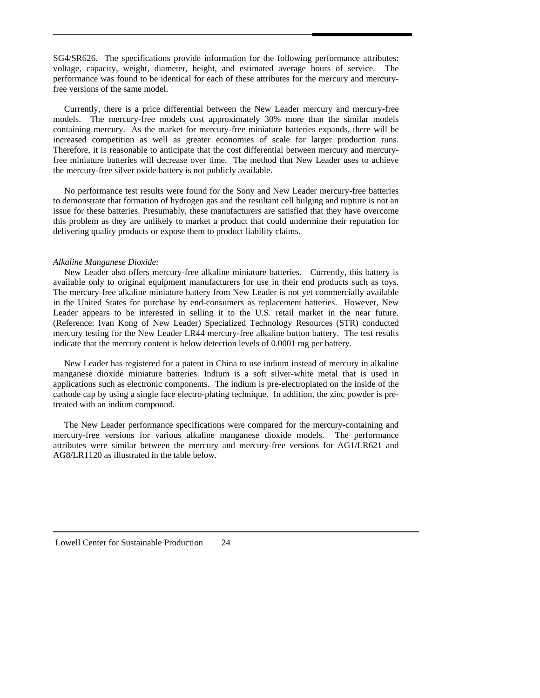SG4/SR626. The specifications provide information for the following performance attributes: voltage, capacity, weight, diameter, height, and estimated average hours of service. The performance was found to be identical for each of these attributes for the mercury and mercuryfree versions of the same model.

 Currently, there is a price differential between the New Leader mercury and mercury-free models. The mercury-free models cost approximately 30% more than the similar models containing mercury. As the market for mercury-free miniature batteries expands, there will be increased competition as well as greater economies of scale for larger production runs. Therefore, it is reasonable to anticipate that the cost differential between mercury and mercuryfree miniature batteries will decrease over time. The method that New Leader uses to achieve the mercury-free silver oxide battery is not publicly available.

 No performance test results were found for the Sony and New Leader mercury-free batteries to demonstrate that formation of hydrogen gas and the resultant cell bulging and rupture is not an issue for these batteries. Presumably, these manufacturers are satisfied that they have overcome this problem as they are unlikely to market a product that could undermine their reputation for delivering quality products or expose them to product liability claims.

#### *Alkaline Manganese Dioxide:*

 New Leader also offers mercury-free alkaline miniature batteries. Currently, this battery is available only to original equipment manufacturers for use in their end products such as toys. The mercury-free alkaline miniature battery from New Leader is not yet commercially available in the United States for purchase by end-consumers as replacement batteries. However, New Leader appears to be interested in selling it to the U.S. retail market in the near future. (Reference: Ivan Kong of New Leader) Specialized Technology Resources (STR) conducted mercury testing for the New Leader LR44 mercury-free alkaline button battery. The test results indicate that the mercury content is below detection levels of 0.0001 mg per battery.

 New Leader has registered for a patent in China to use indium instead of mercury in alkaline manganese dioxide miniature batteries. Indium is a soft silver-white metal that is used in applications such as electronic components. The indium is pre-electroplated on the inside of the cathode cap by using a single face electro-plating technique. In addition, the zinc powder is pretreated with an indium compound.

 The New Leader performance specifications were compared for the mercury-containing and mercury-free versions for various alkaline manganese dioxide models. The performance attributes were similar between the mercury and mercury-free versions for AG1/LR621 and AG8/LR1120 as illustrated in the table below.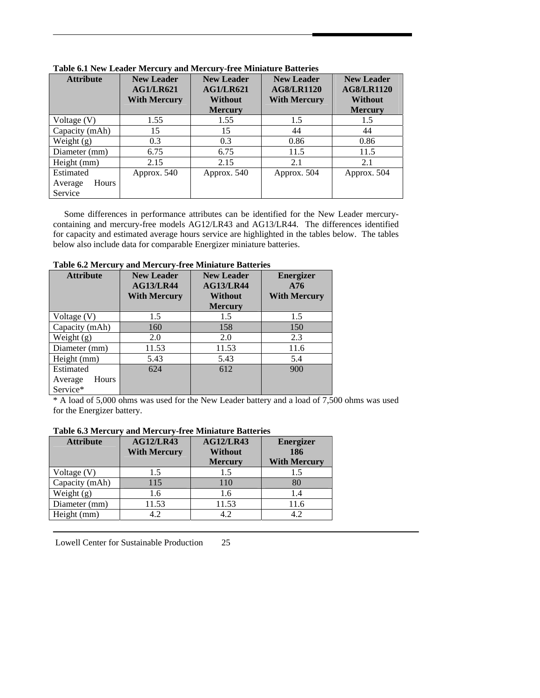| <b>Attribute</b>            | <b>New Leader</b><br><b>AG1/LR621</b><br><b>With Mercury</b> | <b>New Leader</b><br><b>AG1/LR621</b><br><b>Without</b><br><b>Mercury</b> | <b>New Leader</b><br><b>AG8/LR1120</b><br><b>With Mercury</b> | <b>New Leader</b><br><b>AG8/LR1120</b><br><b>Without</b><br><b>Mercury</b> |
|-----------------------------|--------------------------------------------------------------|---------------------------------------------------------------------------|---------------------------------------------------------------|----------------------------------------------------------------------------|
| Voltage (V)                 | 1.55                                                         | 1.55                                                                      | 1.5                                                           | 1.5                                                                        |
| Capacity (mAh)              | 15                                                           | 15                                                                        | 44                                                            | 44                                                                         |
| Weight $(g)$                | 0.3                                                          | 0.3                                                                       | 0.86                                                          | 0.86                                                                       |
| Diameter (mm)               | 6.75                                                         | 6.75                                                                      | 11.5                                                          | 11.5                                                                       |
| Height (mm)                 | 2.15                                                         | 2.15                                                                      | 2.1                                                           | 2.1                                                                        |
| Estimated                   | Approx. 540                                                  | Approx. 540                                                               | Approx. 504                                                   | Approx. 504                                                                |
| Hours<br>Average<br>Service |                                                              |                                                                           |                                                               |                                                                            |

**Table 6.1 New Leader Mercury and Mercury-free Miniature Batteries** 

 Some differences in performance attributes can be identified for the New Leader mercurycontaining and mercury-free models AG12/LR43 and AG13/LR44. The differences identified for capacity and estimated average hours service are highlighted in the tables below. The tables below also include data for comparable Energizer miniature batteries.

| 1 adie 0.2 mercury           | and mercury-free minimure batteries                          |                                                         |                                                |  |  |
|------------------------------|--------------------------------------------------------------|---------------------------------------------------------|------------------------------------------------|--|--|
| <b>Attribute</b>             | <b>New Leader</b><br><b>AG13/LR44</b><br><b>With Mercury</b> | <b>New Leader</b><br><b>AG13/LR44</b><br><b>Without</b> | <b>Energizer</b><br>A76<br><b>With Mercury</b> |  |  |
|                              |                                                              | <b>Mercury</b>                                          |                                                |  |  |
| Voltage $(V)$                | 1.5                                                          | 1.5                                                     | 1.5                                            |  |  |
| Capacity (mAh)               | 160                                                          | 158                                                     | 150                                            |  |  |
| Weight $(g)$                 | 2.0                                                          | 2.0                                                     | 2.3                                            |  |  |
| Diameter (mm)                | 11.53                                                        | 11.53                                                   | 11.6                                           |  |  |
| Height (mm)                  | 5.43                                                         | 5.43                                                    | 5.4                                            |  |  |
| Estimated                    | 624                                                          | 612                                                     | 900                                            |  |  |
| Average<br>Hours<br>Service* |                                                              |                                                         |                                                |  |  |

**Table 6.2 Mercury and Mercury-free Miniature Batteries** 

\* A load of 5,000 ohms was used for the New Leader battery and a load of 7,500 ohms was used for the Energizer battery.

#### **Table 6.3 Mercury and Mercury-free Miniature Batteries**

| <b>Attribute</b> | <b>AG12/LR43</b><br><b>AG12/LR43</b> |                | <b>Energizer</b>    |  |  |  |
|------------------|--------------------------------------|----------------|---------------------|--|--|--|
|                  | <b>With Mercury</b>                  | <b>Without</b> | 186                 |  |  |  |
|                  |                                      | <b>Mercury</b> | <b>With Mercury</b> |  |  |  |
| Voltage (V)      | 1.5                                  | 1.5            | 1.5                 |  |  |  |
| Capacity (mAh)   | 115                                  | 110            | 80                  |  |  |  |
| Weight $(g)$     | 1.6                                  | 1.6            | 1.4                 |  |  |  |
| Diameter (mm)    | 11.53                                | 11.53          | 11.6                |  |  |  |
| Height (mm)      | 4.2                                  | 4.2            | 4.2                 |  |  |  |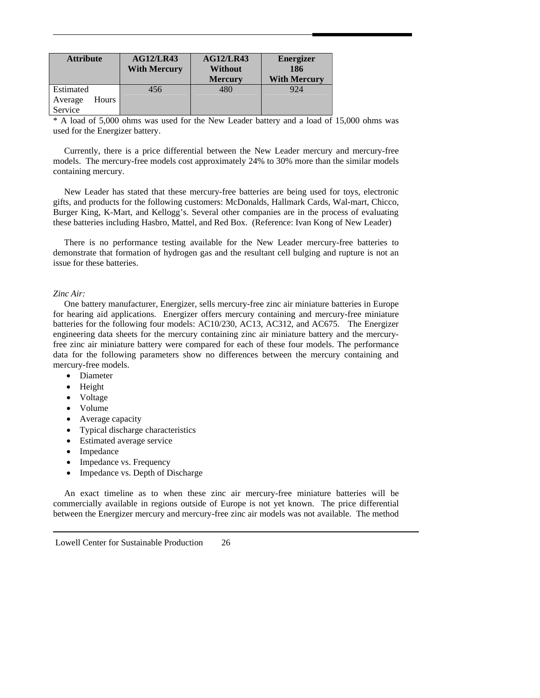| <b>Attribute</b>                         | AG12/LR43<br><b>With Mercury</b> | <b>AG12/LR43</b><br><b>Without</b><br><b>Mercury</b> | <b>Energizer</b><br>186<br><b>With Mercury</b> |
|------------------------------------------|----------------------------------|------------------------------------------------------|------------------------------------------------|
| Estimated<br>Hours<br>Average<br>Service | 456                              | 480                                                  | 924                                            |

\* A load of 5,000 ohms was used for the New Leader battery and a load of 15,000 ohms was used for the Energizer battery.

 Currently, there is a price differential between the New Leader mercury and mercury-free models. The mercury-free models cost approximately 24% to 30% more than the similar models containing mercury.

 New Leader has stated that these mercury-free batteries are being used for toys, electronic gifts, and products for the following customers: McDonalds, Hallmark Cards, Wal-mart, Chicco, Burger King, K-Mart, and Kellogg's. Several other companies are in the process of evaluating these batteries including Hasbro, Mattel, and Red Box. (Reference: Ivan Kong of New Leader)

 There is no performance testing available for the New Leader mercury-free batteries to demonstrate that formation of hydrogen gas and the resultant cell bulging and rupture is not an issue for these batteries.

#### *Zinc Air:*

 One battery manufacturer, Energizer, sells mercury-free zinc air miniature batteries in Europe for hearing aid applications. Energizer offers mercury containing and mercury-free miniature batteries for the following four models: AC10/230, AC13, AC312, and AC675. The Energizer engineering data sheets for the mercury containing zinc air miniature battery and the mercuryfree zinc air miniature battery were compared for each of these four models. The performance data for the following parameters show no differences between the mercury containing and mercury-free models.

- Diameter
- Height
- Voltage
- Volume
- Average capacity
- Typical discharge characteristics
- Estimated average service
- Impedance
- Impedance vs. Frequency
- Impedance vs. Depth of Discharge

 An exact timeline as to when these zinc air mercury-free miniature batteries will be commercially available in regions outside of Europe is not yet known. The price differential between the Energizer mercury and mercury-free zinc air models was not available. The method

Lowell Center for Sustainable Production 26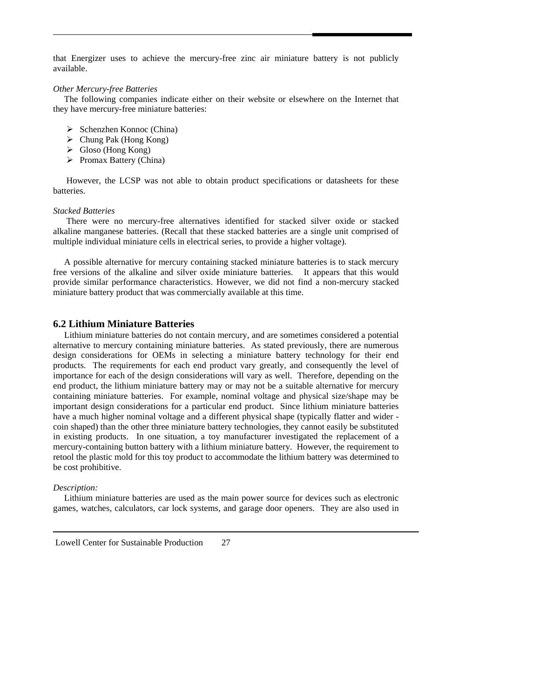<span id="page-30-0"></span>that Energizer uses to achieve the mercury-free zinc air miniature battery is not publicly available.

#### *Other Mercury-free Batteries*

 The following companies indicate either on their website or elsewhere on the Internet that they have mercury-free miniature batteries:

- $\triangleright$  Schenzhen Konnoc (China)
- $\triangleright$  Chung Pak (Hong Kong)
- $\triangleright$  Gloso (Hong Kong)
- $\triangleright$  Promax Battery (China)

 However, the LCSP was not able to obtain product specifications or datasheets for these batteries.

#### *Stacked Batteries*

 There were no mercury-free alternatives identified for stacked silver oxide or stacked alkaline manganese batteries. (Recall that these stacked batteries are a single unit comprised of multiple individual miniature cells in electrical series, to provide a higher voltage).

 A possible alternative for mercury containing stacked miniature batteries is to stack mercury free versions of the alkaline and silver oxide miniature batteries. It appears that this would provide similar performance characteristics. However, we did not find a non-mercury stacked miniature battery product that was commercially available at this time.

#### **6.2 Lithium Miniature Batteries**

 Lithium miniature batteries do not contain mercury, and are sometimes considered a potential alternative to mercury containing miniature batteries. As stated previously, there are numerous design considerations for OEMs in selecting a miniature battery technology for their end products. The requirements for each end product vary greatly, and consequently the level of importance for each of the design considerations will vary as well. Therefore, depending on the end product, the lithium miniature battery may or may not be a suitable alternative for mercury containing miniature batteries. For example, nominal voltage and physical size/shape may be important design considerations for a particular end product. Since lithium miniature batteries have a much higher nominal voltage and a different physical shape (typically flatter and wider coin shaped) than the other three miniature battery technologies, they cannot easily be substituted in existing products. In one situation, a toy manufacturer investigated the replacement of a mercury-containing button battery with a lithium miniature battery. However, the requirement to retool the plastic mold for this toy product to accommodate the lithium battery was determined to be cost prohibitive.

#### *Description:*

 Lithium miniature batteries are used as the main power source for devices such as electronic games, watches, calculators, car lock systems, and garage door openers. They are also used in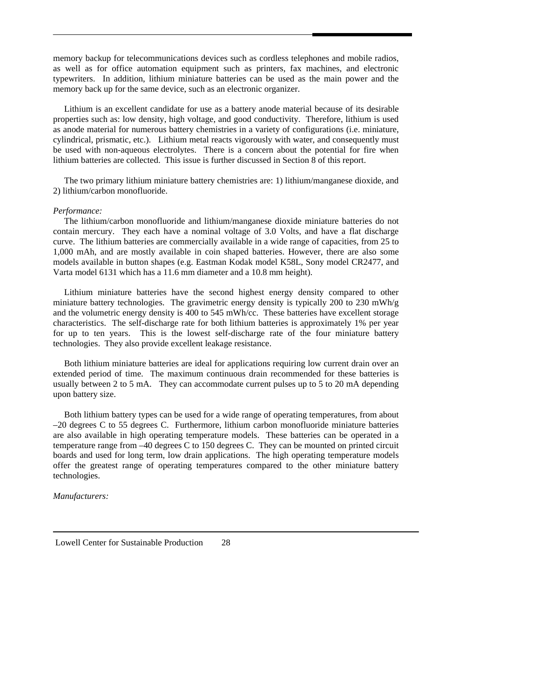memory backup for telecommunications devices such as cordless telephones and mobile radios, as well as for office automation equipment such as printers, fax machines, and electronic typewriters. In addition, lithium miniature batteries can be used as the main power and the memory back up for the same device, such as an electronic organizer.

Lithium is an excellent candidate for use as a battery anode material because of its desirable properties such as: low density, high voltage, and good conductivity. Therefore, lithium is used as anode material for numerous battery chemistries in a variety of configurations (i.e. miniature, cylindrical, prismatic, etc.). Lithium metal reacts vigorously with water, and consequently must be used with non-aqueous electrolytes. There is a concern about the potential for fire when lithium batteries are collected. This issue is further discussed in Section 8 of this report.

 The two primary lithium miniature battery chemistries are: 1) lithium/manganese dioxide, and 2) lithium/carbon monofluoride.

#### *Performance:*

 The lithium/carbon monofluoride and lithium/manganese dioxide miniature batteries do not contain mercury. They each have a nominal voltage of 3.0 Volts, and have a flat discharge curve. The lithium batteries are commercially available in a wide range of capacities, from 25 to 1,000 mAh, and are mostly available in coin shaped batteries. However, there are also some models available in button shapes (e.g. Eastman Kodak model K58L, Sony model CR2477, and Varta model 6131 which has a 11.6 mm diameter and a 10.8 mm height).

 Lithium miniature batteries have the second highest energy density compared to other miniature battery technologies. The gravimetric energy density is typically 200 to 230 mWh/g and the volumetric energy density is 400 to 545 mWh/cc. These batteries have excellent storage characteristics. The self-discharge rate for both lithium batteries is approximately 1% per year for up to ten years. This is the lowest self-discharge rate of the four miniature battery technologies. They also provide excellent leakage resistance.

 Both lithium miniature batteries are ideal for applications requiring low current drain over an extended period of time. The maximum continuous drain recommended for these batteries is usually between 2 to 5 mA. They can accommodate current pulses up to 5 to 20 mA depending upon battery size.

 Both lithium battery types can be used for a wide range of operating temperatures, from about –20 degrees C to 55 degrees C. Furthermore, lithium carbon monofluoride miniature batteries are also available in high operating temperature models. These batteries can be operated in a temperature range from –40 degrees C to 150 degrees C. They can be mounted on printed circuit boards and used for long term, low drain applications. The high operating temperature models offer the greatest range of operating temperatures compared to the other miniature battery technologies.

*Manufacturers:* 

Lowell Center for Sustainable Production 28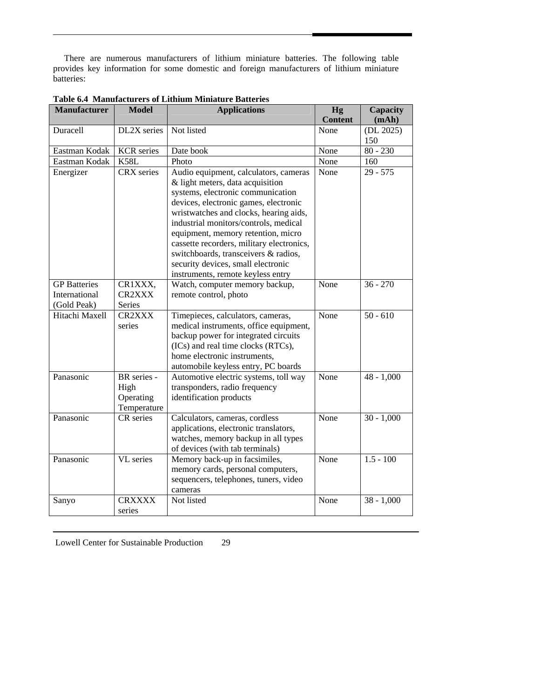There are numerous manufacturers of lithium miniature batteries. The following table provides key information for some domestic and foreign manufacturers of lithium miniature batteries:

| <b>Manufacturer</b>                                 | <b>Model</b>                                    | <b>Applications</b>                                                                                                                                                                                                                                                                                                                                                                                         | Hg             | Capacity         |
|-----------------------------------------------------|-------------------------------------------------|-------------------------------------------------------------------------------------------------------------------------------------------------------------------------------------------------------------------------------------------------------------------------------------------------------------------------------------------------------------------------------------------------------------|----------------|------------------|
|                                                     | DL2X series                                     | Not listed                                                                                                                                                                                                                                                                                                                                                                                                  | <b>Content</b> | (mAh)            |
| Duracell                                            |                                                 |                                                                                                                                                                                                                                                                                                                                                                                                             | None           | (DL 2025)<br>150 |
| Eastman Kodak                                       | <b>KCR</b> series                               | Date book                                                                                                                                                                                                                                                                                                                                                                                                   | None           | $80 - 230$       |
| Eastman Kodak                                       | <b>K58L</b>                                     | Photo                                                                                                                                                                                                                                                                                                                                                                                                       | None           | 160              |
| Energizer                                           | CRX series                                      | Audio equipment, calculators, cameras<br>& light meters, data acquisition<br>systems, electronic communication<br>devices, electronic games, electronic<br>wristwatches and clocks, hearing aids,<br>industrial monitors/controls, medical<br>equipment, memory retention, micro<br>cassette recorders, military electronics,<br>switchboards, transceivers & radios,<br>security devices, small electronic | None           | $29 - 575$       |
| <b>GP</b> Batteries<br>International<br>(Gold Peak) | CR1XXX,<br><b>CR2XXX</b><br>Series              | instruments, remote keyless entry<br>Watch, computer memory backup,<br>remote control, photo                                                                                                                                                                                                                                                                                                                | None           | $36 - 270$       |
| Hitachi Maxell                                      | CR2XXX<br>series                                | Timepieces, calculators, cameras,<br>medical instruments, office equipment,<br>backup power for integrated circuits<br>(ICs) and real time clocks (RTCs),<br>home electronic instruments,<br>automobile keyless entry, PC boards                                                                                                                                                                            | None           | $50 - 610$       |
| Panasonic                                           | BR series -<br>High<br>Operating<br>Temperature | Automotive electric systems, toll way<br>transponders, radio frequency<br>identification products                                                                                                                                                                                                                                                                                                           | None           | $48 - 1,000$     |
| Panasonic                                           | CR series                                       | Calculators, cameras, cordless<br>applications, electronic translators,<br>watches, memory backup in all types<br>of devices (with tab terminals)                                                                                                                                                                                                                                                           | None           | $30 - 1,000$     |
| Panasonic                                           | VL series                                       | Memory back-up in facsimiles,<br>memory cards, personal computers,<br>sequencers, telephones, tuners, video<br>cameras                                                                                                                                                                                                                                                                                      | None           | $1.5 - 100$      |
| Sanyo                                               | <b>CRXXXX</b><br>series                         | Not listed                                                                                                                                                                                                                                                                                                                                                                                                  | None           | $38 - 1,000$     |

| <b>Table 6.4 Manufacturers of Lithium Miniature Batteries</b> |  |  |
|---------------------------------------------------------------|--|--|
|                                                               |  |  |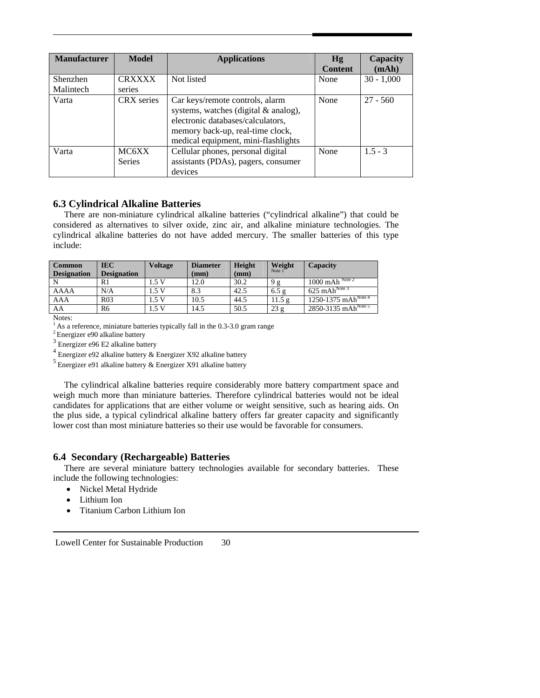<span id="page-33-0"></span>

| <b>Manufacturer</b> | <b>Model</b>           | <b>Applications</b>                                                                                                                                                                     | Hg<br><b>Content</b> | Capacity<br>(mAh) |
|---------------------|------------------------|-----------------------------------------------------------------------------------------------------------------------------------------------------------------------------------------|----------------------|-------------------|
| Shenzhen            | <b>CRXXXX</b>          | Not listed                                                                                                                                                                              | None                 | $30 - 1,000$      |
| Malintech           | series                 |                                                                                                                                                                                         |                      |                   |
| Varta               | <b>CRX</b> series      | Car keys/remote controls, alarm<br>systems, watches (digital & analog),<br>electronic databases/calculators,<br>memory back-up, real-time clock,<br>medical equipment, mini-flashlights | None                 | $27 - 560$        |
| Varta               | MC6XX<br><b>Series</b> | Cellular phones, personal digital<br>assistants (PDAs), pagers, consumer<br>devices                                                                                                     | None                 | $1.5 - 3$         |

#### **6.3 Cylindrical Alkaline Batteries**

 There are non-miniature cylindrical alkaline batteries ("cylindrical alkaline") that could be considered as alternatives to silver oxide, zinc air, and alkaline miniature technologies. The cylindrical alkaline batteries do not have added mercury. The smaller batteries of this type include:

| <b>Common</b><br><b>Designation</b> | <b>IEC</b><br><b>Designation</b> | <b>Voltage</b> | <b>Diameter</b><br>(mm) | Height<br>(mm) | Weight<br>Note 1 | Capacity                                         |
|-------------------------------------|----------------------------------|----------------|-------------------------|----------------|------------------|--------------------------------------------------|
|                                     | -Rì                              | 1.5 V          | 12.0                    | 30.2           | 9 g              | $1000 \overline{\mathrm{mAh}}^{\mathrm{Note 2}}$ |
| AAAA                                | N/A                              | 1.5 V          | 8.3                     | 42.5           | 6.5 g            | $625 \text{ mAh}^{\text{Note 3}}$                |
| AAA                                 | R <sub>03</sub>                  | 1.5V           | 10.5                    | 44.5           | 11.5g            | $1250 - 1375$ mAh <sup>Note 4</sup>              |
| AA                                  | R6                               | 1.5 V          | 14.5                    | 50.5           | 23 g             | $2850 - 3135$ mAh <sup>Note 5</sup>              |
|                                     |                                  |                |                         |                |                  |                                                  |

Notes:

 $1$  As a reference, miniature batteries typically fall in the 0.3-3.0 gram range

2 Energizer e90 alkaline battery

3 Energizer e96 E2 alkaline battery

4 Energizer e92 alkaline battery & Energizer X92 alkaline battery

5 Energizer e91 alkaline battery & Energizer X91 alkaline battery

 The cylindrical alkaline batteries require considerably more battery compartment space and weigh much more than miniature batteries. Therefore cylindrical batteries would not be ideal candidates for applications that are either volume or weight sensitive, such as hearing aids. On the plus side, a typical cylindrical alkaline battery offers far greater capacity and significantly lower cost than most miniature batteries so their use would be favorable for consumers.

#### **6.4 Secondary (Rechargeable) Batteries**

 There are several miniature battery technologies available for secondary batteries. These include the following technologies:

- Nickel Metal Hydride
- Lithium Ion
- Titanium Carbon Lithium Ion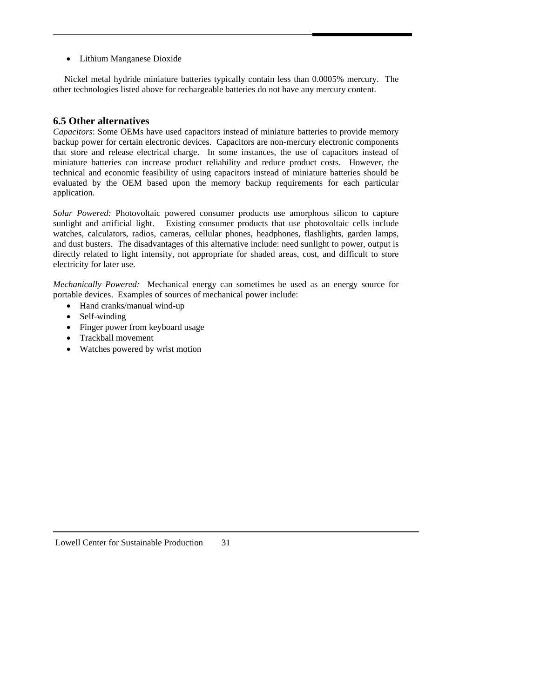<span id="page-34-0"></span>• Lithium Manganese Dioxide

 Nickel metal hydride miniature batteries typically contain less than 0.0005% mercury. The other technologies listed above for rechargeable batteries do not have any mercury content.

#### **6.5 Other alternatives**

*Capacitors*: Some OEMs have used capacitors instead of miniature batteries to provide memory backup power for certain electronic devices. Capacitors are non-mercury electronic components that store and release electrical charge. In some instances, the use of capacitors instead of miniature batteries can increase product reliability and reduce product costs. However, the technical and economic feasibility of using capacitors instead of miniature batteries should be evaluated by the OEM based upon the memory backup requirements for each particular application.

*Solar Powered:* Photovoltaic powered consumer products use amorphous silicon to capture sunlight and artificial light. Existing consumer products that use photovoltaic cells include watches, calculators, radios, cameras, cellular phones, headphones, flashlights, garden lamps, and dust busters. The disadvantages of this alternative include: need sunlight to power, output is directly related to light intensity, not appropriate for shaded areas, cost, and difficult to store electricity for later use.

*Mechanically Powered:* Mechanical energy can sometimes be used as an energy source for portable devices. Examples of sources of mechanical power include:

- Hand cranks/manual wind-up
- Self-winding
- Finger power from keyboard usage
- Trackball movement
- Watches powered by wrist motion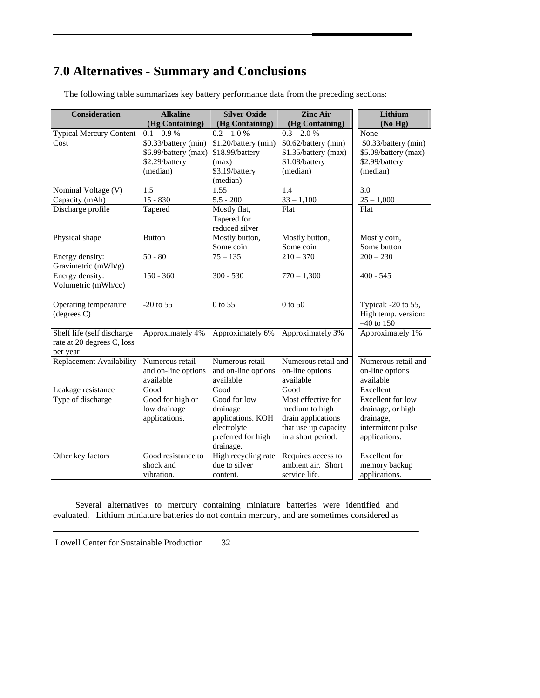# <span id="page-35-0"></span>**7.0 Alternatives - Summary and Conclusions**

| <b>Consideration</b>           | <b>Alkaline</b>      | <b>Silver Oxide</b>  | <b>Zinc Air</b>                          | Lithium              |
|--------------------------------|----------------------|----------------------|------------------------------------------|----------------------|
|                                | (Hg Containing)      | (Hg Containing)      | (Hg Containing)                          | (No Hg)              |
| <b>Typical Mercury Content</b> | $0.1 - 0.9 %$        | $0.2-1.0$ $\%$       | $0.3-2.0~\%$                             | None                 |
| Cost                           | \$0.33/battery (min) | \$1.20/battery (min) | \$0.62/battery (min)                     | \$0.33/battery (min) |
|                                | \$6.99/battery (max) | \$18.99/battery      | \$1.35/battery (max)                     | \$5.09/battery (max) |
|                                | \$2.29/battery       | (max)                | \$1.08/battery                           | \$2.99/battery       |
|                                | (median)             | \$3.19/battery       | (median)                                 | (median)             |
|                                |                      | (median)             |                                          |                      |
| Nominal Voltage (V)            | 1.5                  | 1.55                 | $\overline{1.4}$                         | 3.0                  |
| Capacity (mAh)                 | $15 - 830$           | $5.5 - 200$          | $33 - 1,100$                             | $25 - 1,000$         |
| Discharge profile              | Tapered              | Mostly flat,         | Flat                                     | Flat                 |
|                                |                      | Tapered for          |                                          |                      |
|                                |                      | reduced silver       |                                          |                      |
| Physical shape                 | <b>Button</b>        | Mostly button,       | Mostly button,                           | Mostly coin,         |
|                                |                      | Some coin            | Some coin                                | Some button          |
| Energy density:                | $50 - 80$            | $75 - 135$           | $210 - 370$                              | $200 - 230$          |
| Gravimetric (mWh/g)            |                      |                      |                                          |                      |
| Energy density:                | $150 - 360$          | $300 - 530$          | $770 - 1,300$                            | $400 - 545$          |
| Volumetric (mWh/cc)            |                      |                      |                                          |                      |
|                                |                      |                      |                                          |                      |
| Operating temperature          | $-20$ to 55          | 0 to 55              | 0 to 50                                  | Typical: -20 to 55,  |
| $(\text{degrees } C)$          |                      |                      |                                          | High temp. version:  |
|                                |                      |                      |                                          | $-40$ to 150         |
| Shelf life (self discharge     | Approximately 4%     | Approximately 6%     | Approximately 3%                         | Approximately 1%     |
| rate at 20 degrees C, loss     |                      |                      |                                          |                      |
| per year                       |                      |                      |                                          |                      |
| Replacement Availability       | Numerous retail      | Numerous retail      | Numerous retail and                      | Numerous retail and  |
|                                | and on-line options  | and on-line options  | on-line options                          | on-line options      |
|                                | available            | available            | available                                | available            |
| Leakage resistance             | Good                 | Good                 | Good                                     | Excellent            |
| Type of discharge              | Good for high or     | Good for low         | Most effective for                       | Excellent for low    |
|                                | low drainage         | drainage             | medium to high                           | drainage, or high    |
|                                | applications.        | applications. KOH    | drain applications                       | drainage,            |
|                                |                      | electrolyte          | that use up capacity                     | intermittent pulse   |
|                                |                      | preferred for high   | in a short period.                       | applications.        |
|                                |                      | drainage.            |                                          |                      |
| Other key factors              | Good resistance to   | High recycling rate  | Requires access to<br>ambient air. Short | <b>Excellent</b> for |
|                                | shock and            | due to silver        |                                          | memory backup        |
|                                | vibration.           | content.             | service life.                            | applications.        |

The following table summarizes key battery performance data from the preceding sections:

 Several alternatives to mercury containing miniature batteries were identified and evaluated. Lithium miniature batteries do not contain mercury, and are sometimes considered as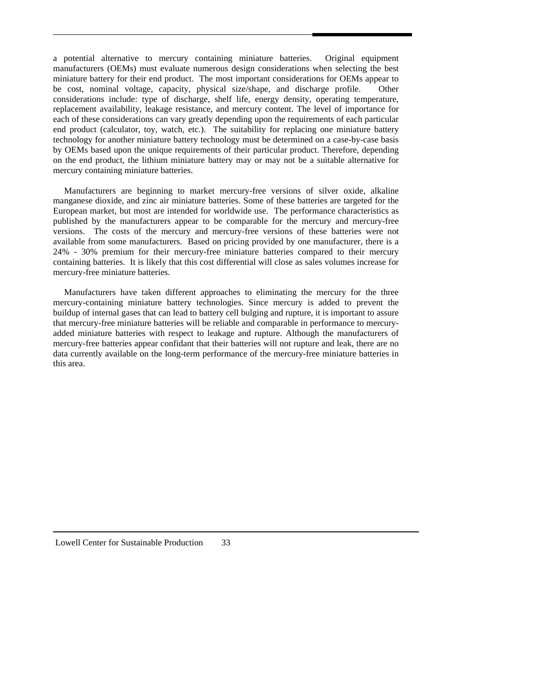a potential alternative to mercury containing miniature batteries. Original equipment manufacturers (OEMs) must evaluate numerous design considerations when selecting the best miniature battery for their end product. The most important considerations for OEMs appear to be cost, nominal voltage, capacity, physical size/shape, and discharge profile. Other considerations include: type of discharge, shelf life, energy density, operating temperature, replacement availability, leakage resistance, and mercury content. The level of importance for each of these considerations can vary greatly depending upon the requirements of each particular end product (calculator, toy, watch, etc.). The suitability for replacing one miniature battery technology for another miniature battery technology must be determined on a case-by-case basis by OEMs based upon the unique requirements of their particular product. Therefore, depending on the end product, the lithium miniature battery may or may not be a suitable alternative for mercury containing miniature batteries.

 Manufacturers are beginning to market mercury-free versions of silver oxide, alkaline manganese dioxide, and zinc air miniature batteries. Some of these batteries are targeted for the European market, but most are intended for worldwide use. The performance characteristics as published by the manufacturers appear to be comparable for the mercury and mercury-free versions. The costs of the mercury and mercury-free versions of these batteries were not available from some manufacturers. Based on pricing provided by one manufacturer, there is a 24% - 30% premium for their mercury-free miniature batteries compared to their mercury containing batteries. It is likely that this cost differential will close as sales volumes increase for mercury-free miniature batteries.

 Manufacturers have taken different approaches to eliminating the mercury for the three mercury-containing miniature battery technologies. Since mercury is added to prevent the buildup of internal gases that can lead to battery cell bulging and rupture, it is important to assure that mercury-free miniature batteries will be reliable and comparable in performance to mercuryadded miniature batteries with respect to leakage and rupture. Although the manufacturers of mercury-free batteries appear confidant that their batteries will not rupture and leak, there are no data currently available on the long-term performance of the mercury-free miniature batteries in this area.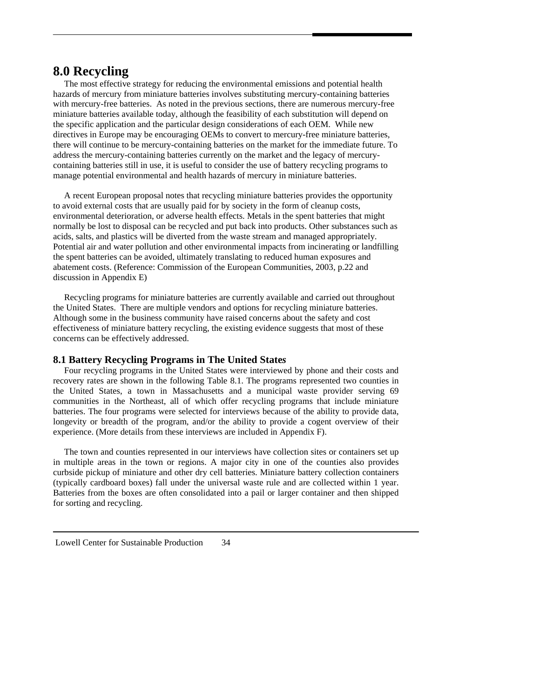# **8.0 Recycling**

 The most effective strategy for reducing the environmental emissions and potential health hazards of mercury from miniature batteries involves substituting mercury-containing batteries with mercury-free batteries. As noted in the previous sections, there are numerous mercury-free miniature batteries available today, although the feasibility of each substitution will depend on the specific application and the particular design considerations of each OEM. While new directives in Europe may be encouraging OEMs to convert to mercury-free miniature batteries, there will continue to be mercury-containing batteries on the market for the immediate future. To address the mercury-containing batteries currently on the market and the legacy of mercurycontaining batteries still in use, it is useful to consider the use of battery recycling programs to manage potential environmental and health hazards of mercury in miniature batteries.

 A recent European proposal notes that recycling miniature batteries provides the opportunity to avoid external costs that are usually paid for by society in the form of cleanup costs, environmental deterioration, or adverse health effects. Metals in the spent batteries that might normally be lost to disposal can be recycled and put back into products. Other substances such as acids, salts, and plastics will be diverted from the waste stream and managed appropriately. Potential air and water pollution and other environmental impacts from incinerating or landfilling the spent batteries can be avoided, ultimately translating to reduced human exposures and abatement costs. (Reference: Commission of the European Communities, 2003, p.22 and discussion in Appendix E)

 Recycling programs for miniature batteries are currently available and carried out throughout the United States. There are multiple vendors and options for recycling miniature batteries. Although some in the business community have raised concerns about the safety and cost effectiveness of miniature battery recycling, the existing evidence suggests that most of these concerns can be effectively addressed.

# **8.1 Battery Recycling Programs in The United State***s*

 Four recycling programs in the United States were interviewed by phone and their costs and recovery rates are shown in the following Table 8.1. The programs represented two counties in the United States, a town in Massachusetts and a municipal waste provider serving 69 communities in the Northeast, all of which offer recycling programs that include miniature batteries. The four programs were selected for interviews because of the ability to provide data, longevity or breadth of the program, and/or the ability to provide a cogent overview of their experience. (More details from these interviews are included in Appendix F).

 The town and counties represented in our interviews have collection sites or containers set up in multiple areas in the town or regions. A major city in one of the counties also provides curbside pickup of miniature and other dry cell batteries. Miniature battery collection containers (typically cardboard boxes) fall under the universal waste rule and are collected within 1 year. Batteries from the boxes are often consolidated into a pail or larger container and then shipped for sorting and recycling.

Lowell Center for Sustainable Production 34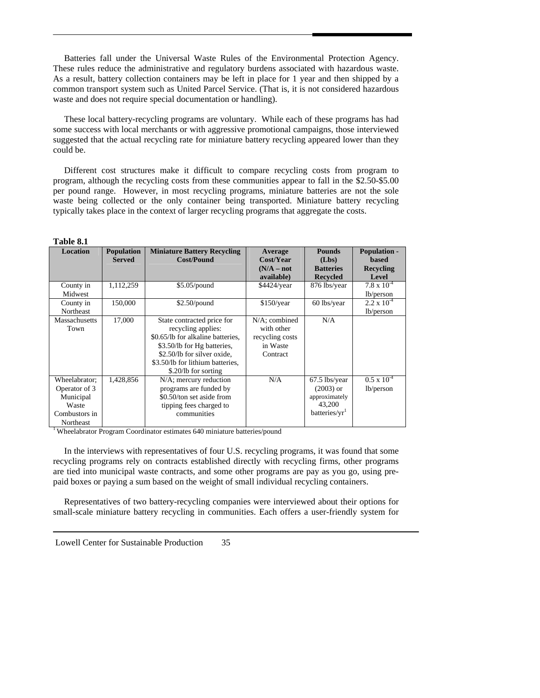Batteries fall under the Universal Waste Rules of the Environmental Protection Agency. These rules reduce the administrative and regulatory burdens associated with hazardous waste. As a result, battery collection containers may be left in place for 1 year and then shipped by a common transport system such as United Parcel Service. (That is, it is not considered hazardous waste and does not require special documentation or handling).

 These local battery-recycling programs are voluntary. While each of these programs has had some success with local merchants or with aggressive promotional campaigns, those interviewed suggested that the actual recycling rate for miniature battery recycling appeared lower than they could be.

 Different cost structures make it difficult to compare recycling costs from program to program, although the recycling costs from these communities appear to fall in the \$2.50-\$5.00 per pound range. However, in most recycling programs, miniature batteries are not the sole waste being collected or the only container being transported. Miniature battery recycling typically takes place in the context of larger recycling programs that aggregate the costs.

| <b>Location</b> | <b>Population</b> | <b>Miniature Battery Recycling</b> | Average         | <b>Pounds</b>             | <b>Population -</b>  |
|-----------------|-------------------|------------------------------------|-----------------|---------------------------|----------------------|
|                 | <b>Served</b>     | <b>Cost/Pound</b>                  | Cost/Year       | (Lbs)                     | based                |
|                 |                   |                                    | $(N/A - not$    | <b>Batteries</b>          | Recycling            |
|                 |                   |                                    | available)      | <b>Recycled</b>           | Level                |
| County in       | 1,112,259         | $$5.05$ /pound                     | \$4424/year     | 876 lbs/year              | $7.8 \times 10^{-4}$ |
| Midwest         |                   |                                    |                 |                           | lb/person            |
| County in       | 150,000           | $$2.50$ /pound                     | \$150/year      | 60 lbs/year               | $2.2 \times 10^{-4}$ |
| Northeast       |                   |                                    |                 |                           | lb/person            |
| Massachusetts   | 17,000            | State contracted price for         | N/A; combined   | N/A                       |                      |
| Town            |                   | recycling applies:                 | with other      |                           |                      |
|                 |                   | \$0.65/lb for alkaline batteries,  | recycling costs |                           |                      |
|                 |                   | \$3.50/lb for Hg batteries,        | in Waste        |                           |                      |
|                 |                   | \$2.50/lb for silver oxide.        | Contract        |                           |                      |
|                 |                   | \$3.50/lb for lithium batteries,   |                 |                           |                      |
|                 |                   | \$.20/lb for sorting               |                 |                           |                      |
| Wheelabrator:   | 1,428,856         | N/A; mercury reduction             | N/A             | 67.5 lbs/year             | $0.5 \times 10^{-4}$ |
| Operator of 3   |                   | programs are funded by             |                 | $(2003)$ or               | lb/person            |
| Municipal       |                   | \$0.50/ton set aside from          |                 | approximately             |                      |
| Waste           |                   | tipping fees charged to            |                 | 43,200                    |                      |
| Combustors in   |                   | communities                        |                 | batteries/yr <sup>1</sup> |                      |
| Northeast       |                   |                                    |                 |                           |                      |

1 Wheelabrator Program Coordinator estimates 640 miniature batteries/pound

 In the interviews with representatives of four U.S. recycling programs, it was found that some recycling programs rely on contracts established directly with recycling firms, other programs are tied into municipal waste contracts, and some other programs are pay as you go, using prepaid boxes or paying a sum based on the weight of small individual recycling containers.

 Representatives of two battery-recycling companies were interviewed about their options for small-scale miniature battery recycling in communities. Each offers a user-friendly system for

| Lowell Center for Sustainable Production | 35 |
|------------------------------------------|----|
|------------------------------------------|----|

**Table 8.1**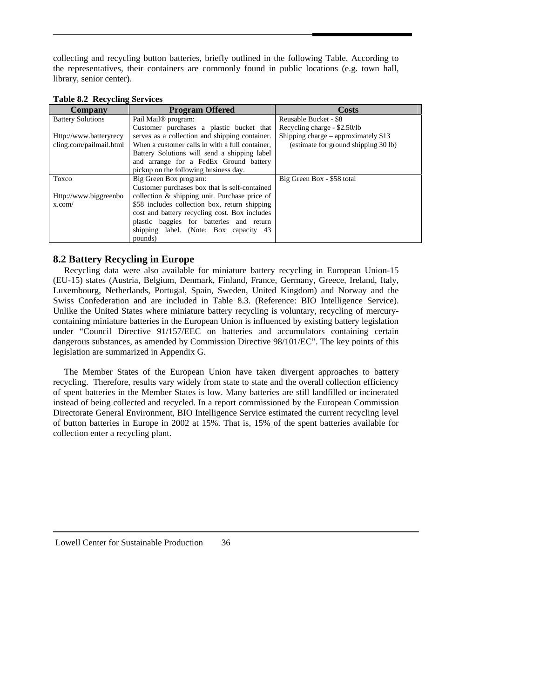collecting and recycling button batteries, briefly outlined in the following Table. According to the representatives, their containers are commonly found in public locations (e.g. town hall, library, senior center).

| <b>Table 8.2 Recycling Services</b> |  |  |
|-------------------------------------|--|--|
|-------------------------------------|--|--|

| Company                  | <b>Program Offered</b>                          | Costs                                 |
|--------------------------|-------------------------------------------------|---------------------------------------|
| <b>Battery Solutions</b> | Pail Mail <sup>®</sup> program:                 | Reusable Bucket - \$8                 |
|                          | Customer purchases a plastic bucket that        | Recycling charge - \$2.50/lb          |
| Http://www.batteryrecy   | serves as a collection and shipping container.  | Shipping charge – approximately $$13$ |
| cling.com/pailmail.html  | When a customer calls in with a full container. | (estimate for ground shipping 30 lb)  |
|                          | Battery Solutions will send a shipping label    |                                       |
|                          | and arrange for a FedEx Ground battery          |                                       |
|                          | pickup on the following business day.           |                                       |
| Toxco                    | Big Green Box program:                          | Big Green Box - \$58 total            |
|                          | Customer purchases box that is self-contained   |                                       |
| Http://www.biggreenbo    | collection & shipping unit. Purchase price of   |                                       |
| x.com/                   | \$58 includes collection box, return shipping   |                                       |
|                          | cost and battery recycling cost. Box includes   |                                       |
|                          | plastic baggies for batteries and return        |                                       |
|                          | shipping label. (Note: Box capacity 43)         |                                       |
|                          | pounds)                                         |                                       |

# **8.2 Battery Recycling in Europe**

 Recycling data were also available for miniature battery recycling in European Union-15 (EU-15) states (Austria, Belgium, Denmark, Finland, France, Germany, Greece, Ireland, Italy, Luxembourg, Netherlands, Portugal, Spain, Sweden, United Kingdom) and Norway and the Swiss Confederation and are included in Table 8.3. (Reference: BIO Intelligence Service). Unlike the United States where miniature battery recycling is voluntary, recycling of mercurycontaining miniature batteries in the European Union is influenced by existing battery legislation under "Council Directive 91/157/EEC on batteries and accumulators containing certain dangerous substances, as amended by Commission Directive 98/101/EC". The key points of this legislation are summarized in Appendix G.

 The Member States of the European Union have taken divergent approaches to battery recycling. Therefore, results vary widely from state to state and the overall collection efficiency of spent batteries in the Member States is low. Many batteries are still landfilled or incinerated instead of being collected and recycled. In a report commissioned by the European Commission Directorate General Environment, BIO Intelligence Service estimated the current recycling level of button batteries in Europe in 2002 at 15%. That is, 15% of the spent batteries available for collection enter a recycling plant.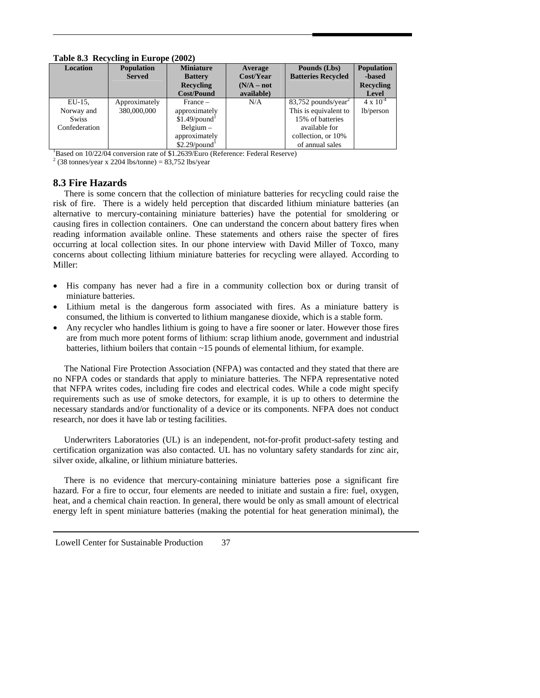| rabic $0.5$ Recycling in Europe (2002) |                   |                             |              |                                   |                    |  |  |  |
|----------------------------------------|-------------------|-----------------------------|--------------|-----------------------------------|--------------------|--|--|--|
| <b>Location</b>                        | <b>Population</b> | <b>Miniature</b>            | Average      | Pounds (Lbs)                      | <b>Population</b>  |  |  |  |
|                                        | <b>Served</b>     | <b>Battery</b>              | Cost/Year    | <b>Batteries Recycled</b>         | -based             |  |  |  |
|                                        |                   | Recycling                   | $(N/A - not$ |                                   | <b>Recycling</b>   |  |  |  |
|                                        |                   | <b>Cost/Pound</b>           | available)   |                                   | Level              |  |  |  |
| $EU-15$ ,                              | Approximately     | $France -$                  | N/A          | $83,752$ pounds/year <sup>2</sup> | $4 \times 10^{-4}$ |  |  |  |
| Norway and                             | 380,000,000       | approximately               |              | This is equivalent to             | lb/person          |  |  |  |
| <b>Swiss</b>                           |                   | $$1.49$ /pound <sup>1</sup> |              | 15% of batteries                  |                    |  |  |  |
| Confederation                          |                   | $Belqium -$                 |              | available for                     |                    |  |  |  |
|                                        |                   | approximately               |              | collection, or 10%                |                    |  |  |  |
|                                        |                   | $$2.29$ /pound <sup>1</sup> |              | of annual sales                   |                    |  |  |  |

**Table 8.3 Recycling in Europe (2002)** 

<sup>1</sup>Based on 10/22/04 conversion rate of \$1.2639/Euro (Reference: Federal Reserve)

 $2 (38 \text{ tonnes/year} \times 2204 \text{ lbs/tonne}) = 83,752 \text{ lbs/year}$ 

# **8.3 Fire Hazards**

 There is some concern that the collection of miniature batteries for recycling could raise the risk of fire. There is a widely held perception that discarded lithium miniature batteries (an alternative to mercury-containing miniature batteries) have the potential for smoldering or causing fires in collection containers. One can understand the concern about battery fires when reading information available online. These statements and others raise the specter of fires occurring at local collection sites. In our phone interview with David Miller of Toxco, many concerns about collecting lithium miniature batteries for recycling were allayed. According to Miller:

- His company has never had a fire in a community collection box or during transit of miniature batteries.
- Lithium metal is the dangerous form associated with fires. As a miniature battery is consumed, the lithium is converted to lithium manganese dioxide, which is a stable form.
- Any recycler who handles lithium is going to have a fire sooner or later. However those fires are from much more potent forms of lithium: scrap lithium anode, government and industrial batteries, lithium boilers that contain ~15 pounds of elemental lithium, for example.

 The National Fire Protection Association (NFPA) was contacted and they stated that there are no NFPA codes or standards that apply to miniature batteries. The NFPA representative noted that NFPA writes codes, including fire codes and electrical codes. While a code might specify requirements such as use of smoke detectors, for example, it is up to others to determine the necessary standards and/or functionality of a device or its components. NFPA does not conduct research, nor does it have lab or testing facilities.

 Underwriters Laboratories (UL) is an independent, not-for-profit product-safety testing and certification organization was also contacted. UL has no voluntary safety standards for zinc air, silver oxide, alkaline, or lithium miniature batteries.

 There is no evidence that mercury-containing miniature batteries pose a significant fire hazard. For a fire to occur, four elements are needed to initiate and sustain a fire: fuel, oxygen, heat, and a chemical chain reaction. In general, there would be only as small amount of electrical energy left in spent miniature batteries (making the potential for heat generation minimal), the

Lowell Center for Sustainable Production 37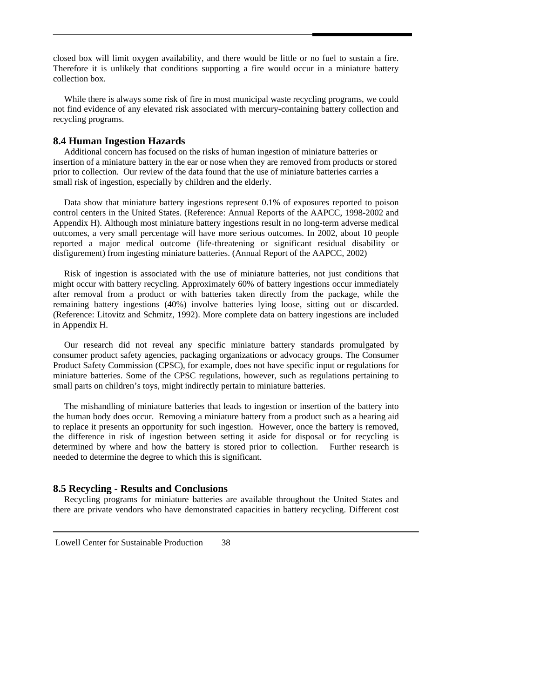closed box will limit oxygen availability, and there would be little or no fuel to sustain a fire. Therefore it is unlikely that conditions supporting a fire would occur in a miniature battery collection box.

 While there is always some risk of fire in most municipal waste recycling programs, we could not find evidence of any elevated risk associated with mercury-containing battery collection and recycling programs.

### **8.4 Human Ingestion Hazards**

 Additional concern has focused on the risks of human ingestion of miniature batteries or insertion of a miniature battery in the ear or nose when they are removed from products or stored prior to collection. Our review of the data found that the use of miniature batteries carries a small risk of ingestion, especially by children and the elderly.

 Data show that miniature battery ingestions represent 0.1% of exposures reported to poison control centers in the United States. (Reference: Annual Reports of the AAPCC, 1998-2002 and Appendix H). Although most miniature battery ingestions result in no long-term adverse medical outcomes, a very small percentage will have more serious outcomes. In 2002, about 10 people reported a major medical outcome (life-threatening or significant residual disability or disfigurement) from ingesting miniature batteries. (Annual Report of the AAPCC, 2002)

 Risk of ingestion is associated with the use of miniature batteries, not just conditions that might occur with battery recycling. Approximately 60% of battery ingestions occur immediately after removal from a product or with batteries taken directly from the package, while the remaining battery ingestions (40%) involve batteries lying loose, sitting out or discarded. (Reference: Litovitz and Schmitz, 1992). More complete data on battery ingestions are included in Appendix H.

 Our research did not reveal any specific miniature battery standards promulgated by consumer product safety agencies, packaging organizations or advocacy groups. The Consumer Product Safety Commission (CPSC), for example, does not have specific input or regulations for miniature batteries. Some of the CPSC regulations, however, such as regulations pertaining to small parts on children's toys, might indirectly pertain to miniature batteries.

 The mishandling of miniature batteries that leads to ingestion or insertion of the battery into the human body does occur. Removing a miniature battery from a product such as a hearing aid to replace it presents an opportunity for such ingestion. However, once the battery is removed, the difference in risk of ingestion between setting it aside for disposal or for recycling is determined by where and how the battery is stored prior to collection. Further research is needed to determine the degree to which this is significant.

# **8.5 Recycling - Results and Conclusions**

 Recycling programs for miniature batteries are available throughout the United States and there are private vendors who have demonstrated capacities in battery recycling. Different cost

Lowell Center for Sustainable Production 38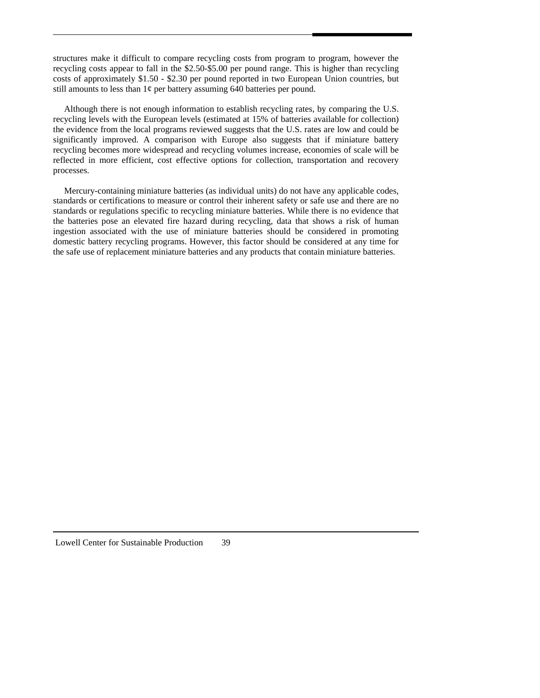structures make it difficult to compare recycling costs from program to program, however the recycling costs appear to fall in the \$2.50-\$5.00 per pound range. This is higher than recycling costs of approximately \$1.50 - \$2.30 per pound reported in two European Union countries, but still amounts to less than  $1¢$  per battery assuming 640 batteries per pound.

 Although there is not enough information to establish recycling rates, by comparing the U.S. recycling levels with the European levels (estimated at 15% of batteries available for collection) the evidence from the local programs reviewed suggests that the U.S. rates are low and could be significantly improved. A comparison with Europe also suggests that if miniature battery recycling becomes more widespread and recycling volumes increase, economies of scale will be reflected in more efficient, cost effective options for collection, transportation and recovery processes.

 Mercury-containing miniature batteries (as individual units) do not have any applicable codes, standards or certifications to measure or control their inherent safety or safe use and there are no standards or regulations specific to recycling miniature batteries. While there is no evidence that the batteries pose an elevated fire hazard during recycling, data that shows a risk of human ingestion associated with the use of miniature batteries should be considered in promoting domestic battery recycling programs. However, this factor should be considered at any time for the safe use of replacement miniature batteries and any products that contain miniature batteries.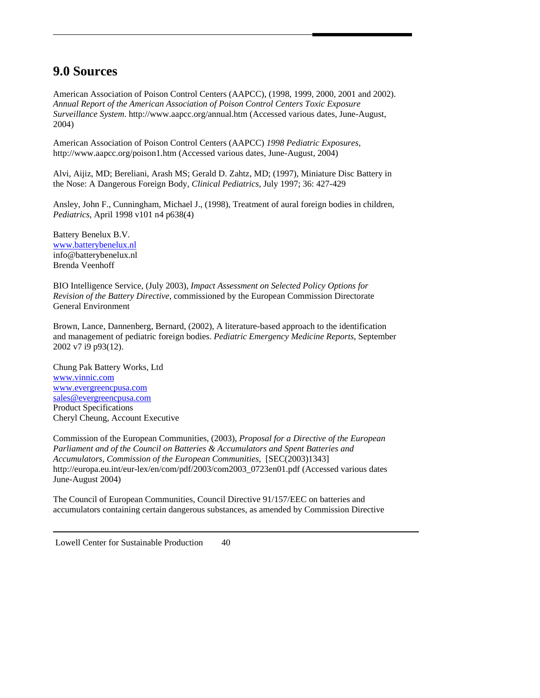# **9.0 Sources**

American Association of Poison Control Centers (AAPCC), (1998, 1999, 2000, 2001 and 2002). *Annual Report of the American Association of Poison Control Centers Toxic Exposure Surveillance System*. http://www.aapcc.org/annual.htm (Accessed various dates, June-August, 2004)

American Association of Poison Control Centers (AAPCC) *1998 Pediatric Exposures*, http://www.aapcc.org/poison1.htm (Accessed various dates, June-August, 2004)

Alvi, Aijiz, MD; Bereliani, Arash MS; Gerald D. Zahtz, MD; (1997), Miniature Disc Battery in the Nose: A Dangerous Foreign Body, *Clinical Pediatrics*, July 1997; 36: 427-429

Ansley, John F., Cunningham, Michael J., (1998), Treatment of aural foreign bodies in children, *Pediatrics*, April 1998 v101 n4 p638(4)

Battery Benelux B.V. [www.batterybenelux.nl](http://www.batterybenelux.nl/) info@batterybenelux.nl Brenda Veenhoff

BIO Intelligence Service, (July 2003), *Impact Assessment on Selected Policy Options for Revision of the Battery Directive*, commissioned by the European Commission Directorate General Environment

Brown, Lance, Dannenberg, Bernard, (2002), A literature-based approach to the identification and management of pediatric foreign bodies. *Pediatric Emergency Medicine Reports*, September 2002 v7 i9 p93(12).

Chung Pak Battery Works, Ltd [www.vinnic.com](http://www.vinnic.com/) [www.evergreencpusa.com](http://www.evergreencpusa.com/) [sales@evergreencpusa.com](mailto:sales@evergreencpusa.com) Product Specifications Cheryl Cheung, Account Executive

Commission of the European Communities, (2003), *Proposal for a Directive of the European Parliament and of the Council on Batteries & Accumulators and Spent Batteries and Accumulators, Commission of the European Communities*, [SEC(2003)1343] http://europa.eu.int/eur-lex/en/com/pdf/2003/com2003\_0723en01.pdf (Accessed various dates June-August 2004)

The Council of European Communities, Council Directive 91/157/EEC on batteries and accumulators containing certain dangerous substances, as amended by Commission Directive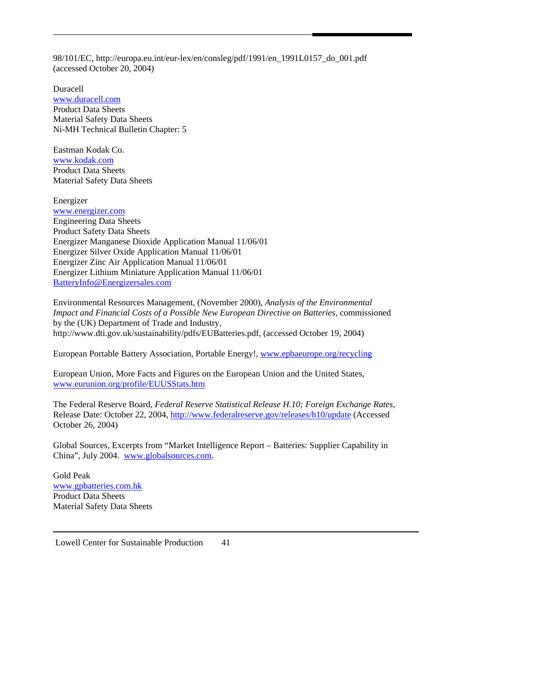98/101/EC, http://europa.eu.int/eur-lex/en/consleg/pdf/1991/en\_1991L0157\_do\_001.pdf (accessed October 20, 2004)

Duracell [www.duracell.com](http://www.duracell.com/) Product Data Sheets Material Safety Data Sheets Ni-MH Technical Bulletin Chapter: 5

Eastman Kodak Co. [www.kodak.com](http://www.kodak.com/) Product Data Sheets Material Safety Data Sheets

Energizer [www.energizer.com](http://www.energizer.com/) Engineering Data Sheets Product Safety Data Sheets Energizer Manganese Dioxide Application Manual 11/06/01 Energizer Silver Oxide Application Manual 11/06/01 Energizer Zinc Air Application Manual 11/06/01 Energizer Lithium Miniature Application Manual 11/06/01 [BatteryInfo@Energizersales.com](mailto:BatteryInfo@Energizersales.com)

Environmental Resources Management, (November 2000), *Analysis of the Environmental Impact and Financial Costs of a Possible New European Directive on Batteries*, commissioned by the (UK) Department of Trade and Industry, http://www.dti.gov.uk/sustainability/pdfs/EUBatteries.pdf, (accessed October 19, 2004)

European Portable Battery Association, Portable Energy!, [www.epbaeurope.org/recycling](http://www.epbaeurope.org/recycling)

European Union, More Facts and Figures on the European Union and the United States, [www.eurunion.org/profile/EUUSStats.htm](http://www.eurunion.org/profile/EUUSStats.htm)

The Federal Reserve Board, *Federal Reserve Statistical Release H.10; Foreign Exchange Rates*, Release Date: October 22, 2004,<http://www.federalreserve.gov/releases/h10/update> (Accessed October 26, 2004)

Global Sources, Excerpts from "Market Intelligence Report – Batteries: Supplier Capability in China", July 2004. [www.globalsources.com](http://www.globalsources.com/).

Gold Peak [www.gpbatteries.com.hk](http://www.gpbatteries.com.hk/) Product Data Sheets Material Safety Data Sheets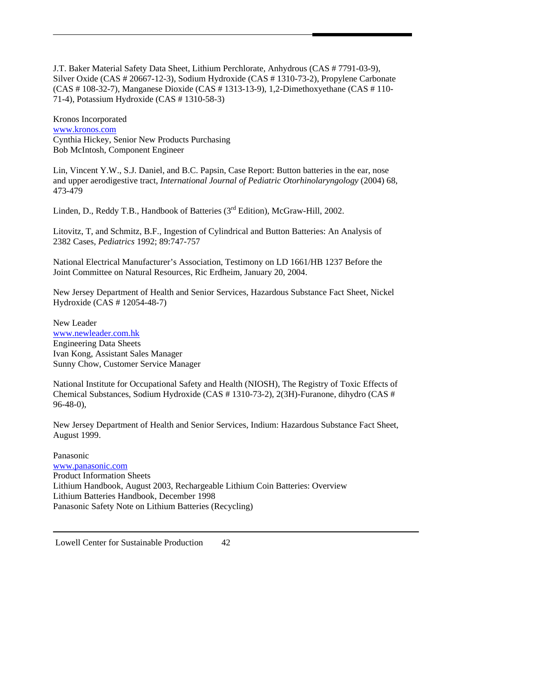J.T. Baker Material Safety Data Sheet, Lithium Perchlorate, Anhydrous (CAS # 7791-03-9), Silver Oxide (CAS # 20667-12-3), Sodium Hydroxide (CAS # 1310-73-2), Propylene Carbonate (CAS # 108-32-7), Manganese Dioxide (CAS # 1313-13-9), 1,2-Dimethoxyethane (CAS # 110- 71-4), Potassium Hydroxide (CAS # 1310-58-3)

Kronos Incorporated [www.kronos.com](http://www.kronos.com/) Cynthia Hickey, Senior New Products Purchasing Bob McIntosh, Component Engineer

Lin, Vincent Y.W., S.J. Daniel, and B.C. Papsin, Case Report: Button batteries in the ear, nose and upper aerodigestive tract, *International Journal of Pediatric Otorhinolaryngology* (2004) 68, 473-479

Linden, D., Reddy T.B., Handbook of Batteries (3<sup>rd</sup> Edition), McGraw-Hill, 2002.

Litovitz, T, and Schmitz, B.F., Ingestion of Cylindrical and Button Batteries: An Analysis of 2382 Cases, *Pediatrics* 1992; 89:747-757

National Electrical Manufacturer's Association, Testimony on LD 1661/HB 1237 Before the Joint Committee on Natural Resources, Ric Erdheim, January 20, 2004.

New Jersey Department of Health and Senior Services, Hazardous Substance Fact Sheet, Nickel Hydroxide (CAS # 12054-48-7)

New Leader [www.newleader.com.hk](http://www.newleader.com.hk/) Engineering Data Sheets Ivan Kong, Assistant Sales Manager Sunny Chow, Customer Service Manager

National Institute for Occupational Safety and Health (NIOSH), The Registry of Toxic Effects of Chemical Substances, Sodium Hydroxide (CAS # 1310-73-2), 2(3H)-Furanone, dihydro (CAS # 96-48-0),

New Jersey Department of Health and Senior Services, Indium: Hazardous Substance Fact Sheet, August 1999.

Panasonic [www.panasonic.com](http://www.panasonic.com/) Product Information Sheets Lithium Handbook, August 2003, Rechargeable Lithium Coin Batteries: Overview Lithium Batteries Handbook, December 1998 Panasonic Safety Note on Lithium Batteries (Recycling)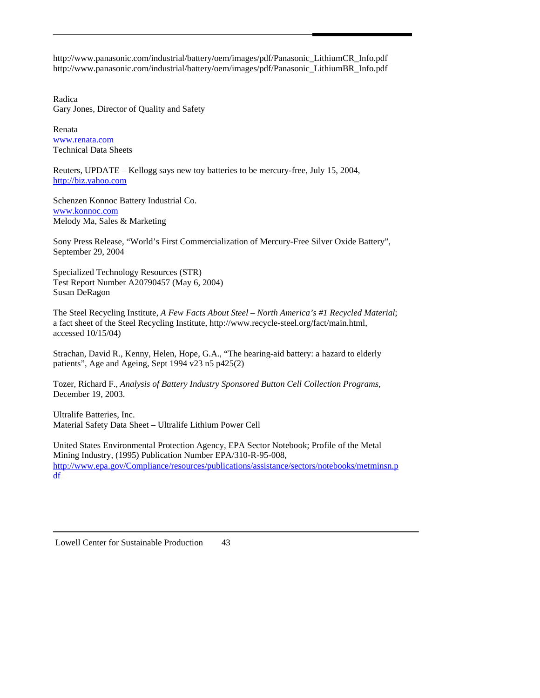http://www.panasonic.com/industrial/battery/oem/images/pdf/Panasonic\_LithiumCR\_Info.pdf http://www.panasonic.com/industrial/battery/oem/images/pdf/Panasonic\_LithiumBR\_Info.pdf

Radica Gary Jones, Director of Quality and Safety

Renata [www.renata.com](http://www.renata.com/) Technical Data Sheets

Reuters, UPDATE – Kellogg says new toy batteries to be mercury-free, July 15, 2004, [http://biz.yahoo.com](http://biz.yahoo.com/)

Schenzen Konnoc Battery Industrial Co. [www.konnoc.com](http://www.konnoc.com/) Melody Ma, Sales & Marketing

Sony Press Release, "World's First Commercialization of Mercury-Free Silver Oxide Battery", September 29, 2004

Specialized Technology Resources (STR) Test Report Number A20790457 (May 6, 2004) Susan DeRagon

The Steel Recycling Institute, *A Few Facts About Steel – North America's #1 Recycled Material*; a fact sheet of the Steel Recycling Institute, http://www.recycle-steel.org/fact/main.html, accessed 10/15/04)

Strachan, David R., Kenny, Helen, Hope, G.A., "The hearing-aid battery: a hazard to elderly patients", Age and Ageing, Sept 1994 v23 n5 p425(2)

Tozer, Richard F., *Analysis of Battery Industry Sponsored Button Cell Collection Programs*, December 19, 2003.

Ultralife Batteries, Inc. Material Safety Data Sheet – Ultralife Lithium Power Cell

United States Environmental Protection Agency, EPA Sector Notebook; Profile of the Metal Mining Industry, (1995) Publication Number EPA/310-R-95-008, [http://www.epa.gov/Compliance/resources/publications/assistance/sectors/notebooks/metminsn.p](http://www.epa.gov/Compliance/resources/publications/assistance/sectors/notebooks/metminsn.pdf)) [df](http://www.epa.gov/Compliance/resources/publications/assistance/sectors/notebooks/metminsn.pdf))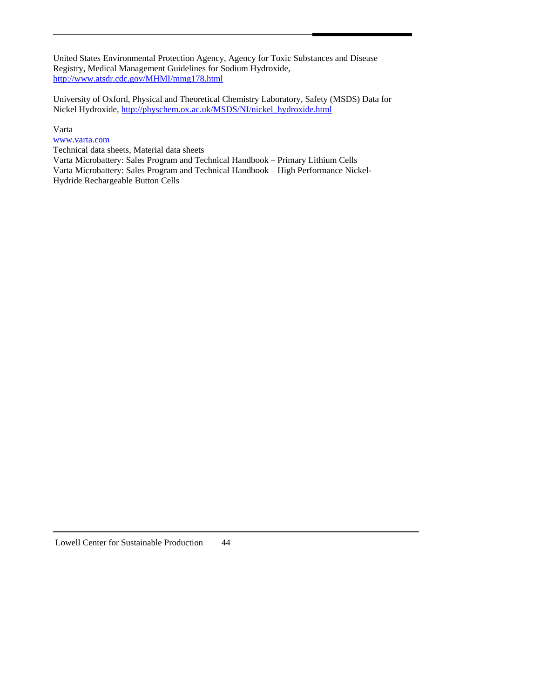United States Environmental Protection Agency, Agency for Toxic Substances and Disease Registry, Medical Management Guidelines for Sodium Hydroxide, <http://www.atsdr.cdc.gov/MHMI/mmg178.html>

University of Oxford, Physical and Theoretical Chemistry Laboratory, Safety (MSDS) Data for Nickel Hydroxide, [http://physchem.ox.ac.uk/MSDS/NI/nickel\\_hydroxide.html](http://physchem.ox.ac.uk/MSDS/NI/nickel_hydroxide.html)

# Varta

[www.varta.com](http://www.varta.com/)

Technical data sheets, Material data sheets

Varta Microbattery: Sales Program and Technical Handbook – Primary Lithium Cells Varta Microbattery: Sales Program and Technical Handbook – High Performance Nickel-Hydride Rechargeable Button Cells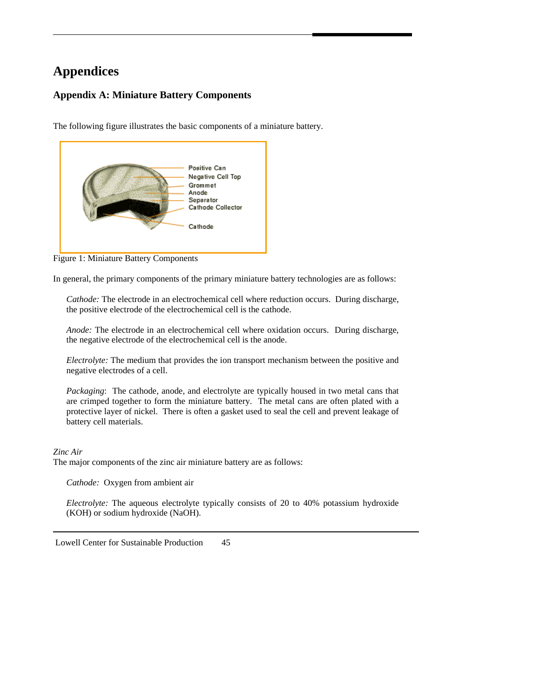# **Appendices**

# **Appendix A: Miniature Battery Components**

The following figure illustrates the basic components of a miniature battery.



Figure 1: Miniature Battery Components

In general, the primary components of the primary miniature battery technologies are as follows:

*Cathode:* The electrode in an electrochemical cell where reduction occurs. During discharge, the positive electrode of the electrochemical cell is the cathode.

*Anode:* The electrode in an electrochemical cell where oxidation occurs. During discharge, the negative electrode of the electrochemical cell is the anode.

*Electrolyte:* The medium that provides the ion transport mechanism between the positive and negative electrodes of a cell.

*Packaging*: The cathode, anode, and electrolyte are typically housed in two metal cans that are crimped together to form the miniature battery. The metal cans are often plated with a protective layer of nickel. There is often a gasket used to seal the cell and prevent leakage of battery cell materials.

# *Zinc Air*

The major components of the zinc air miniature battery are as follows:

*Cathode:* Oxygen from ambient air

*Electrolyte:* The aqueous electrolyte typically consists of 20 to 40% potassium hydroxide (KOH) or sodium hydroxide (NaOH).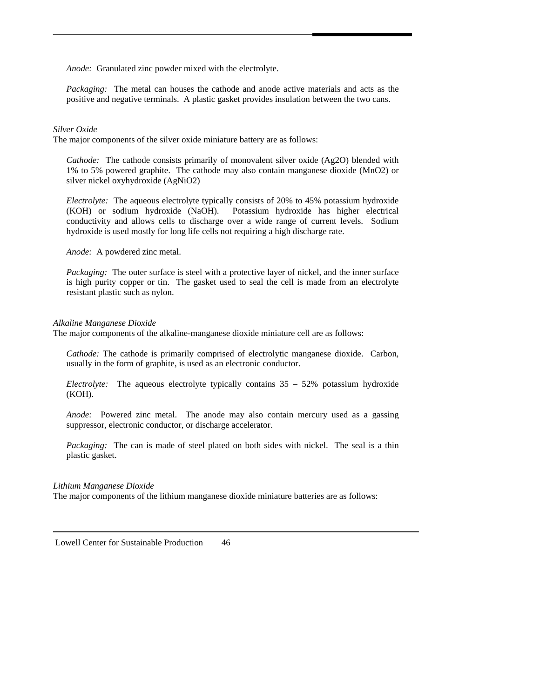*Anode:* Granulated zinc powder mixed with the electrolyte.

*Packaging:* The metal can houses the cathode and anode active materials and acts as the positive and negative terminals. A plastic gasket provides insulation between the two cans.

#### *Silver Oxide*

The major components of the silver oxide miniature battery are as follows:

*Cathode:* The cathode consists primarily of monovalent silver oxide (Ag2O) blended with 1% to 5% powered graphite. The cathode may also contain manganese dioxide (MnO2) or silver nickel oxyhydroxide (AgNiO2)

*Electrolyte:* The aqueous electrolyte typically consists of 20% to 45% potassium hydroxide (KOH) or sodium hydroxide (NaOH). Potassium hydroxide has higher electrical conductivity and allows cells to discharge over a wide range of current levels. Sodium hydroxide is used mostly for long life cells not requiring a high discharge rate.

*Anode:* A powdered zinc metal.

*Packaging:* The outer surface is steel with a protective layer of nickel, and the inner surface is high purity copper or tin. The gasket used to seal the cell is made from an electrolyte resistant plastic such as nylon.

#### *Alkaline Manganese Dioxide*

The major components of the alkaline-manganese dioxide miniature cell are as follows:

*Cathode:* The cathode is primarily comprised of electrolytic manganese dioxide. Carbon, usually in the form of graphite, is used as an electronic conductor.

*Electrolyte:* The aqueous electrolyte typically contains 35 – 52% potassium hydroxide (KOH).

*Anode:* Powered zinc metal. The anode may also contain mercury used as a gassing suppressor, electronic conductor, or discharge accelerator.

*Packaging:* The can is made of steel plated on both sides with nickel. The seal is a thin plastic gasket.

#### *Lithium Manganese Dioxide*

The major components of the lithium manganese dioxide miniature batteries are as follows: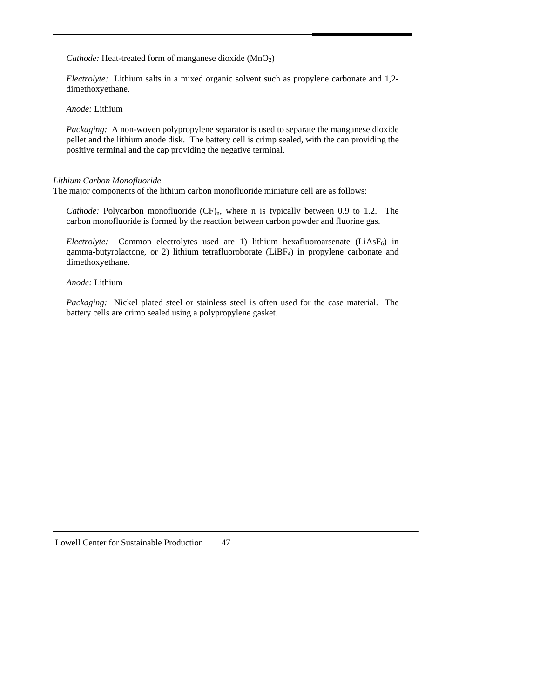*Cathode:* Heat-treated form of manganese dioxide (MnO<sub>2</sub>)

*Electrolyte:* Lithium salts in a mixed organic solvent such as propylene carbonate and 1,2 dimethoxyethane.

*Anode:* Lithium

*Packaging:* A non-woven polypropylene separator is used to separate the manganese dioxide pellet and the lithium anode disk. The battery cell is crimp sealed, with the can providing the positive terminal and the cap providing the negative terminal.

## *Lithium Carbon Monofluoride*

The major components of the lithium carbon monofluoride miniature cell are as follows:

*Cathode:* Polycarbon monofluoride  $(CF)$ <sub>n</sub>, where n is typically between 0.9 to 1.2. The carbon monofluoride is formed by the reaction between carbon powder and fluorine gas.

*Electrolyte:* Common electrolytes used are 1) lithium hexafluoroarsenate  $(LiAsF_6)$  in gamma-butyrolactone, or 2) lithium tetrafluoroborate (LiBF4) in propylene carbonate and dimethoxyethane.

*Anode:* Lithium

*Packaging:* Nickel plated steel or stainless steel is often used for the case material. The battery cells are crimp sealed using a polypropylene gasket.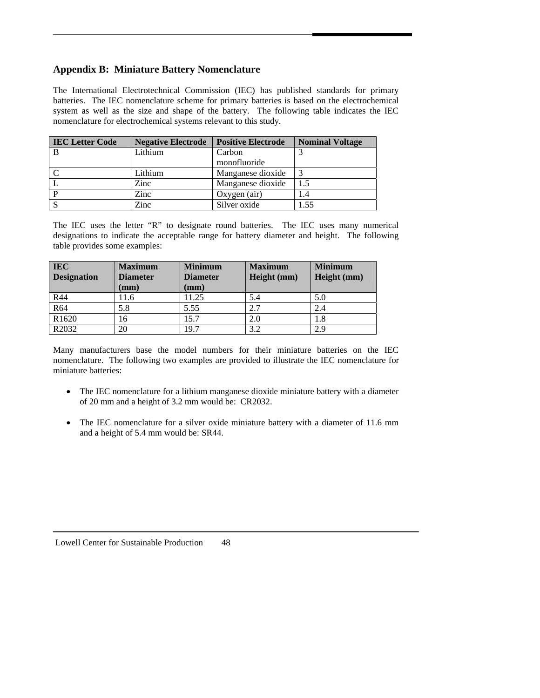# **Appendix B: Miniature Battery Nomenclature**

The International Electrotechnical Commission (IEC) has published standards for primary batteries. The IEC nomenclature scheme for primary batteries is based on the electrochemical system as well as the size and shape of the battery. The following table indicates the IEC nomenclature for electrochemical systems relevant to this study.

| <b>IEC Letter Code</b> | <b>Negative Electrode</b> | <b>Positive Electrode</b> | <b>Nominal Voltage</b> |
|------------------------|---------------------------|---------------------------|------------------------|
| B                      | Lithium                   | Carbon                    |                        |
|                        |                           | monofluoride              |                        |
| $\mathbf C$            | Lithium                   | Manganese dioxide         |                        |
| $\mathbf{L}$           | Zinc                      | Manganese dioxide         | 1.5                    |
| $\mathbf{P}$           | Zinc                      | Oxygen (air)              | 1.4                    |
| <sub>S</sub>           | Zinc                      | Silver oxide              | 1.55                   |

The IEC uses the letter "R" to designate round batteries. The IEC uses many numerical designations to indicate the acceptable range for battery diameter and height. The following table provides some examples:

| <b>IEC</b><br><b>Designation</b> | <b>Maximum</b><br><b>Diameter</b><br>mm) | <b>Minimum</b><br><b>Diameter</b><br>(mm) | <b>Maximum</b><br>Height (mm) | <b>Minimum</b><br>Height (mm) |
|----------------------------------|------------------------------------------|-------------------------------------------|-------------------------------|-------------------------------|
| R44                              | 11.6                                     | 11.25                                     | 5.4                           | 5.0                           |
| R64                              | 5.8                                      | 5.55                                      |                               | 2.4                           |
| R <sub>1620</sub>                | 16                                       | 15.7                                      | 2.0                           | 1.8                           |
| R <sub>2032</sub>                | 20                                       | 19.7                                      | 3.2                           | 2.9                           |

Many manufacturers base the model numbers for their miniature batteries on the IEC nomenclature. The following two examples are provided to illustrate the IEC nomenclature for miniature batteries:

- The IEC nomenclature for a lithium manganese dioxide miniature battery with a diameter of 20 mm and a height of 3.2 mm would be: CR2032.
- The IEC nomenclature for a silver oxide miniature battery with a diameter of 11.6 mm and a height of 5.4 mm would be: SR44.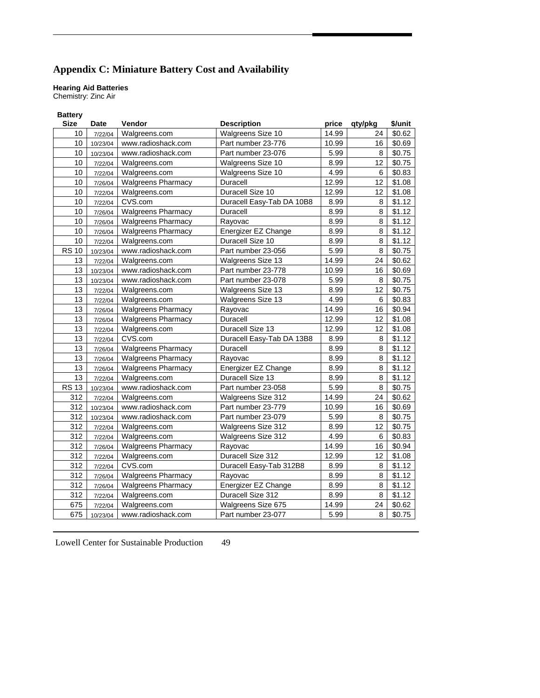# **Appendix C: Miniature Battery Cost and Availability**

# **Hearing Aid Batteries**

Chemistry: Zinc Air

| <b>Battery</b> |          |                           |                           |       |                 |         |
|----------------|----------|---------------------------|---------------------------|-------|-----------------|---------|
| <b>Size</b>    | Date     | Vendor                    | <b>Description</b>        | price | qty/pkg         | \$/unit |
| 10             | 7/22/04  | Walgreens.com             | Walgreens Size 10         | 14.99 | 24              | \$0.62  |
| 10             | 10/23/04 | www.radioshack.com        | Part number 23-776        | 10.99 | 16              | \$0.69  |
| 10             | 10/23/04 | www.radioshack.com        | Part number 23-076        | 5.99  | 8               | \$0.75  |
| 10             | 7/22/04  | Walgreens.com             | Walgreens Size 10         | 8.99  | 12              | \$0.75  |
| 10             | 7/22/04  | Walgreens.com             | Walgreens Size 10         | 4.99  | 6               | \$0.83  |
| 10             | 7/26/04  | <b>Walgreens Pharmacy</b> | Duracell                  | 12.99 | 12              | \$1.08  |
| 10             | 7/22/04  | Walgreens.com             | Duracell Size 10          | 12.99 | 12 <sup>2</sup> | \$1.08  |
| 10             | 7/22/04  | CVS.com                   | Duracell Easy-Tab DA 10B8 | 8.99  | 8               | \$1.12  |
| 10             | 7/26/04  | <b>Walgreens Pharmacy</b> | Duracell                  | 8.99  | 8               | \$1.12  |
| 10             | 7/26/04  | <b>Walgreens Pharmacy</b> | Rayovac                   | 8.99  | 8               | \$1.12  |
| 10             | 7/26/04  | <b>Walgreens Pharmacy</b> | Energizer EZ Change       | 8.99  | 8               | \$1.12  |
| 10             | 7/22/04  | Walgreens.com             | Duracell Size 10          | 8.99  | 8               | \$1.12  |
| <b>RS 10</b>   | 10/23/04 | www.radioshack.com        | Part number 23-056        | 5.99  | 8               | \$0.75  |
| 13             | 7/22/04  | Walgreens.com             | Walgreens Size 13         | 14.99 | 24              | \$0.62  |
| 13             | 10/23/04 | www.radioshack.com        | Part number 23-778        | 10.99 | 16              | \$0.69  |
| 13             | 10/23/04 | www.radioshack.com        | Part number 23-078        | 5.99  | 8               | \$0.75  |
| 13             | 7/22/04  | Walgreens.com             | Walgreens Size 13         | 8.99  | 12              | \$0.75  |
| 13             | 7/22/04  | Walgreens.com             | Walgreens Size 13         | 4.99  | 6               | \$0.83  |
| 13             | 7/26/04  | <b>Walgreens Pharmacy</b> | Rayovac                   | 14.99 | 16              | \$0.94  |
| 13             | 7/26/04  | <b>Walgreens Pharmacy</b> | Duracell                  | 12.99 | 12              | \$1.08  |
| 13             | 7/22/04  | Walgreens.com             | Duracell Size 13          | 12.99 | 12              | \$1.08  |
| 13             | 7/22/04  | CVS.com                   | Duracell Easy-Tab DA 13B8 | 8.99  | 8               | \$1.12  |
| 13             | 7/26/04  | <b>Walgreens Pharmacy</b> | Duracell                  | 8.99  | 8               | \$1.12  |
| 13             | 7/26/04  | <b>Walgreens Pharmacy</b> | Rayovac                   | 8.99  | 8               | \$1.12  |
| 13             | 7/26/04  | <b>Walgreens Pharmacy</b> | Energizer EZ Change       | 8.99  | 8               | \$1.12  |
| 13             | 7/22/04  | Walgreens.com             | Duracell Size 13          | 8.99  | 8               | \$1.12  |
| <b>RS 13</b>   | 10/23/04 | www.radioshack.com        | Part number 23-058        | 5.99  | 8               | \$0.75  |
| 312            | 7/22/04  | Walgreens.com             | <b>Walgreens Size 312</b> | 14.99 | 24              | \$0.62  |
| 312            | 10/23/04 | www.radioshack.com        | Part number 23-779        | 10.99 | 16              | \$0.69  |
| 312            | 10/23/04 | www.radioshack.com        | Part number 23-079        | 5.99  | 8               | \$0.75  |
| 312            | 7/22/04  | Walgreens.com             | Walgreens Size 312        | 8.99  | 12              | \$0.75  |
| 312            | 7/22/04  | Walgreens.com             | Walgreens Size 312        | 4.99  | 6               | \$0.83  |
| 312            | 7/26/04  | <b>Walgreens Pharmacy</b> | Rayovac                   | 14.99 | 16              | \$0.94  |
| 312            | 7/22/04  | Walgreens.com             | Duracell Size 312         | 12.99 | 12 <sup>2</sup> | \$1.08  |
| 312            | 7/22/04  | CVS.com                   | Duracell Easy-Tab 312B8   | 8.99  | 8               | \$1.12  |
| 312            | 7/26/04  | <b>Walgreens Pharmacy</b> | Rayovac                   | 8.99  | 8               | \$1.12  |
| 312            | 7/26/04  | <b>Walgreens Pharmacy</b> | Energizer EZ Change       | 8.99  | 8               | \$1.12  |
| 312            | 7/22/04  | Walgreens.com             | Duracell Size 312         | 8.99  | 8               | \$1.12  |
| 675            | 7/22/04  | Walgreens.com             | Walgreens Size 675        | 14.99 | 24              | \$0.62  |
| 675            | 10/23/04 | www.radioshack.com        | Part number 23-077        | 5.99  | 8               | \$0.75  |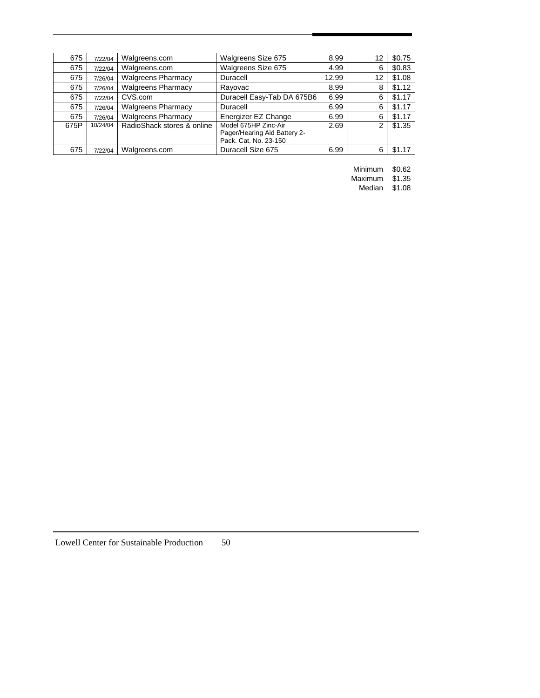| 675  | 7/22/04  | Walgreens.com              | Walgreens Size 675                                                            | 8.99  | 12 | \$0.75 |
|------|----------|----------------------------|-------------------------------------------------------------------------------|-------|----|--------|
| 675  | 7/22/04  | Walgreens.com              | Walgreens Size 675                                                            | 4.99  | 6  | \$0.83 |
| 675  | 7/26/04  | <b>Walgreens Pharmacy</b>  | Duracell                                                                      | 12.99 | 12 | \$1.08 |
| 675  | 7/26/04  | <b>Walgreens Pharmacy</b>  | Rayovac                                                                       | 8.99  | 8  | \$1.12 |
| 675  | 7/22/04  | CVS.com                    | Duracell Easy-Tab DA 675B6                                                    | 6.99  | 6  | \$1.17 |
| 675  | 7/26/04  | <b>Walgreens Pharmacy</b>  | Duracell                                                                      | 6.99  | 6  | \$1.17 |
| 675  | 7/26/04  | <b>Walgreens Pharmacy</b>  | Energizer EZ Change                                                           | 6.99  | 6  | \$1.17 |
| 675P | 10/24/04 | RadioShack stores & online | Model 675HP Zinc-Air<br>Pager/Hearing Aid Battery 2-<br>Pack. Cat. No. 23-150 | 2.69  | 2  | \$1.35 |
| 675  | 7/22/04  | Walgreens.com              | Duracell Size 675                                                             | 6.99  | 6  | \$1.17 |

Minimum \$0.62

 Maximum \$1.35 Median \$1.08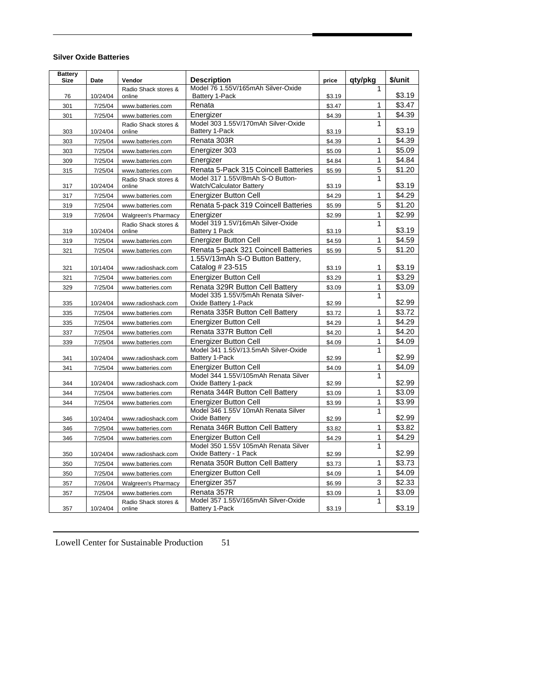#### **Silver Oxide Batteries**

| <b>Battery</b><br><b>Size</b> | Date     | Vendor                         | <b>Description</b>                                                     | price  | qty/pkg      | \$/unit |
|-------------------------------|----------|--------------------------------|------------------------------------------------------------------------|--------|--------------|---------|
|                               |          | Radio Shack stores &           | Model 76 1.55V/165mAh Silver-Oxide                                     |        | 1            |         |
| 76                            | 10/24/04 | online                         | Battery 1-Pack                                                         | \$3.19 |              | \$3.19  |
| 301                           | 7/25/04  | www.batteries.com              | Renata                                                                 | \$3.47 | 1            | \$3.47  |
| 301                           | 7/25/04  | www.batteries.com              | Energizer                                                              | \$4.39 | 1            | \$4.39  |
|                               |          | Radio Shack stores &           | Model 303 1.55V/170mAh Silver-Oxide                                    |        | 1            |         |
| 303                           | 10/24/04 | online                         | Battery 1-Pack                                                         | \$3.19 |              | \$3.19  |
| 303                           | 7/25/04  | www.batteries.com              | Renata 303R                                                            | \$4.39 | 1            | \$4.39  |
| 303                           | 7/25/04  | www.batteries.com              | Energizer 303                                                          | \$5.09 | $\mathbf{1}$ | \$5.09  |
| 309                           | 7/25/04  | www.batteries.com              | Energizer                                                              | \$4.84 | 1            | \$4.84  |
| 315                           | 7/25/04  | www.batteries.com              | Renata 5-Pack 315 Coincell Batteries                                   | \$5.99 | 5            | \$1.20  |
| 317                           | 10/24/04 | Radio Shack stores &<br>online | Model 317 1.55V/8mAh S-O Button-<br>Watch/Calculator Battery           | \$3.19 | $\mathbf{1}$ | \$3.19  |
| 317                           | 7/25/04  | www.batteries.com              | <b>Energizer Button Cell</b>                                           | \$4.29 | $\mathbf{1}$ | \$4.29  |
| 319                           | 7/25/04  | www.batteries.com              | Renata 5-pack 319 Coincell Batteries                                   | \$5.99 | 5            | \$1.20  |
| 319                           | 7/26/04  | Walgreen's Pharmacy            | Energizer                                                              | \$2.99 | 1            | \$2.99  |
|                               |          | Radio Shack stores &           | Model 319 1.5V/16mAh Silver-Oxide                                      |        | 1            |         |
| 319                           | 10/24/04 | online                         | Battery 1 Pack                                                         | \$3.19 |              | \$3.19  |
| 319                           | 7/25/04  | www.batteries.com              | Energizer Button Cell                                                  | \$4.59 | 1            | \$4.59  |
| 321                           | 7/25/04  | www.batteries.com              | Renata 5-pack 321 Coincell Batteries                                   | \$5.99 | 5            | \$1.20  |
|                               |          |                                | 1.55V/13mAh S-O Button Battery,                                        |        |              |         |
| 321                           | 10/14/04 | www.radioshack.com             | Catalog # 23-515                                                       | \$3.19 | 1            | \$3.19  |
| 321                           | 7/25/04  | www.batteries.com              | <b>Energizer Button Cell</b>                                           | \$3.29 | $\mathbf{1}$ | \$3.29  |
| 329                           | 7/25/04  | www.batteries.com              | Renata 329R Button Cell Battery<br>Model 335 1.55V/5mAh Renata Silver- | \$3.09 | $\mathbf{1}$ | \$3.09  |
| 335                           | 10/24/04 | www.radioshack.com             | Oxide Battery 1-Pack                                                   | \$2.99 | $\mathbf{1}$ | \$2.99  |
| 335                           | 7/25/04  | www.batteries.com              | Renata 335R Button Cell Battery                                        | \$3.72 | 1            | \$3.72  |
| 335                           | 7/25/04  | www.batteries.com              | Energizer Button Cell                                                  | \$4.29 | $\mathbf{1}$ | \$4.29  |
| 337                           | 7/25/04  | www.batteries.com              | Renata 337R Button Cell                                                | \$4.20 | $\mathbf{1}$ | \$4.20  |
| 339                           | 7/25/04  | www.batteries.com              | Energizer Button Cell                                                  | \$4.09 | $\mathbf{1}$ | \$4.09  |
|                               |          |                                | Model 341 1.55V/13.5mAh Silver-Oxide                                   |        | 1            |         |
| 341                           | 10/24/04 | www.radioshack.com             | Battery 1-Pack                                                         | \$2.99 |              | \$2.99  |
| 341                           | 7/25/04  | www.batteries.com              | Energizer Button Cell                                                  | \$4.09 | 1            | \$4.09  |
| 344                           | 10/24/04 | www.radioshack.com             | Model 344 1.55V/105mAh Renata Silver<br>Oxide Battery 1-pack           | \$2.99 | 1            | \$2.99  |
| 344                           | 7/25/04  | www.batteries.com              | Renata 344R Button Cell Battery                                        | \$3.09 | 1            | \$3.09  |
| 344                           | 7/25/04  | www.batteries.com              | <b>Energizer Button Cell</b>                                           | \$3.99 | $\mathbf{1}$ | \$3.99  |
|                               |          |                                | Model 346 1.55V 10mAh Renata Silver                                    |        | 1            |         |
| 346                           | 10/24/04 | www.radioshack.com             | Oxide Battery                                                          | \$2.99 |              | \$2.99  |
| 346                           | 7/25/04  | www.batteries.com              | Renata 346R Button Cell Battery                                        | \$3.82 | $\mathbf 1$  | \$3.82  |
| 346                           | 7/25/04  | www.batteries.com              | Energizer Button Cell                                                  | \$4.29 | 1            | \$4.29  |
| 350                           | 10/24/04 | www.radioshack.com             | Model 350 1.55V 105mAh Renata Silver<br>Oxide Battery - 1 Pack         | \$2.99 | $\mathbf{1}$ | \$2.99  |
| 350                           | 7/25/04  | www.batteries.com              | Renata 350R Button Cell Battery                                        | \$3.73 | 1            | \$3.73  |
| 350                           | 7/25/04  | www.batteries.com              | Energizer Button Cell                                                  | \$4.09 | 1            | \$4.09  |
| 357                           | 7/26/04  | Walgreen's Pharmacy            | Energizer 357                                                          | \$6.99 | 3            | \$2.33  |
| 357                           | 7/25/04  | www.batteries.com              | Renata 357R                                                            | \$3.09 | 1            | \$3.09  |
|                               |          | Radio Shack stores &           | Model 357 1.55V/165mAh Silver-Oxide                                    |        | 1            |         |
| 357                           | 10/24/04 | online                         | Battery 1-Pack                                                         | \$3.19 |              | \$3.19  |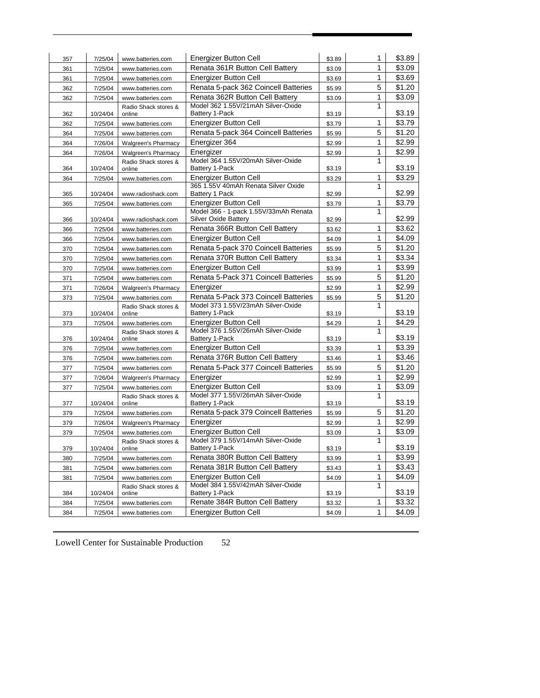| 357        | 7/25/04             | www.batteries.com              | Energizer Button Cell                                        | \$3.89           | 1            | \$3.89           |
|------------|---------------------|--------------------------------|--------------------------------------------------------------|------------------|--------------|------------------|
| 361        | 7/25/04             | www.batteries.com              | Renata 361R Button Cell Battery                              | \$3.09           | 1            | \$3.09           |
| 361        | 7/25/04             | www.batteries.com              | <b>Energizer Button Cell</b>                                 | \$3.69           | 1            | \$3.69           |
| 362        | 7/25/04             | www.batteries.com              | Renata 5-pack 362 Coincell Batteries                         | \$5.99           | 5            | \$1.20           |
| 362        | 7/25/04             | www.batteries.com              | Renata 362R Button Cell Battery                              | \$3.09           | 1            | \$3.09           |
|            |                     | Radio Shack stores &           | Model 362 1.55V/21mAh Silver-Oxide                           |                  | 1            |                  |
| 362        | 10/24/04            | online                         | Battery 1-Pack                                               | \$3.19           |              | \$3.19           |
| 362        | 7/25/04             | www.batteries.com              | <b>Energizer Button Cell</b>                                 | \$3.79           | 1            | \$3.79           |
| 364        | 7/25/04             | www.batteries.com              | Renata 5-pack 364 Coincell Batteries                         | \$5.99           | 5            | \$1.20           |
| 364        | 7/26/04             | <b>Walgreen's Pharmacy</b>     | Energizer 364                                                | \$2.99           | 1            | \$2.99           |
| 364        | 7/26/04             | Walgreen's Pharmacy            | Energizer                                                    | \$2.99           | 1            | \$2.99           |
|            |                     | Radio Shack stores &           | Model 364 1.55V/20mAh Silver-Oxide                           |                  | $\mathbf{1}$ |                  |
| 364        | 10/24/04            | online                         | Battery 1-Pack                                               | \$3.19           |              | \$3.19           |
| 364        | 7/25/04             | www.batteries.com              | Energizer Button Cell<br>365 1.55V 40mAh Renata Silver Oxide | \$3.29           | 1<br>1       | \$3.29           |
| 365        | 10/24/04            | www.radioshack.com             | Battery 1 Pack                                               | \$2.99           |              | \$2.99           |
| 365        | 7/25/04             | www.batteries.com              | <b>Energizer Button Cell</b>                                 | \$3.79           | 1            | \$3.79           |
|            |                     |                                | Model 366 - 1-pack 1.55V/33mAh Renata                        |                  | 1            |                  |
| 366        | 10/24/04            | www.radioshack.com             | Silver Oxide Battery                                         | \$2.99           |              | \$2.99           |
| 366        | 7/25/04             | www.batteries.com              | Renata 366R Button Cell Battery                              | \$3.62           | 1            | \$3.62           |
| 366        | 7/25/04             | www.batteries.com              | <b>Energizer Button Cell</b>                                 | \$4.09           | 1            | \$4.09           |
| 370        | 7/25/04             | www.batteries.com              | Renata 5-pack 370 Coincell Batteries                         | \$5.99           | 5            | \$1.20           |
| 370        | 7/25/04             | www.batteries.com              | Renata 370R Button Cell Battery                              | \$3.34           | 1            | \$3.34           |
| 370        | 7/25/04             | www.batteries.com              | <b>Energizer Button Cell</b>                                 | \$3.99           | 1            | \$3.99           |
| 371        | 7/25/04             | www.batteries.com              | Renata 5-Pack 371 Coincell Batteries                         | \$5.99           | 5            | \$1.20           |
| 371        | 7/26/04             | <b>Walgreen's Pharmacy</b>     | Energizer                                                    | \$2.99           | 1            | \$2.99           |
| 373        | 7/25/04             | www.batteries.com              | Renata 5-Pack 373 Coincell Batteries                         | \$5.99           | 5            | \$1.20           |
|            |                     | Radio Shack stores &           | Model 373 1.55V/23mAh Silver-Oxide                           |                  | 1            |                  |
| 373        | 10/24/04            | online                         | Battery 1-Pack                                               | \$3.19           |              | \$3.19           |
| 373        | 7/25/04             | www.batteries.com              | Energizer Button Cell<br>Model 376 1.55V/26mAh Silver-Oxide  | \$4.29           | 1<br>1       | \$4.29           |
| 376        | 10/24/04            | Radio Shack stores &<br>online | Battery 1-Pack                                               | \$3.19           |              | \$3.19           |
| 376        | 7/25/04             | www.batteries.com              | <b>Energizer Button Cell</b>                                 | \$3.39           | 1            | \$3.39           |
| 376        | 7/25/04             | www.batteries.com              | Renata 376R Button Cell Battery                              | \$3.46           | 1            | \$3.46           |
| 377        | 7/25/04             | www.batteries.com              | Renata 5-Pack 377 Coincell Batteries                         | \$5.99           | 5            | \$1.20           |
| 377        | 7/26/04             | <b>Walgreen's Pharmacy</b>     | Energizer                                                    | \$2.99           | 1            | \$2.99           |
| 377        | 7/25/04             | www.batteries.com              | <b>Energizer Button Cell</b>                                 | \$3.09           | 1            | \$3.09           |
|            |                     | Radio Shack stores &           | Model 377 1.55V/26mAh Silver-Oxide                           |                  | 1            |                  |
| 377        | 10/24/04            | online                         | Battery 1-Pack                                               | \$3.19           |              | \$3.19           |
| 379        | 7/25/04             | www.batteries.com              | Renata 5-pack 379 Coincell Batteries                         | \$5.99           | 5            | \$1.20           |
| 379        | 7/26/04             | <b>Walgreen's Pharmacy</b>     | Energizer                                                    | \$2.99           | 1            | \$2.99           |
| 379        | 7/25/04             | www.batteries.com              | <b>Energizer Button Cell</b>                                 | \$3.09           | 1            | \$3.09           |
|            |                     | Radio Shack stores &           | Model 379 1.55V/14mAh Silver-Oxide                           |                  | 1            |                  |
| 379        | 10/24/04            | online                         | Battery 1-Pack                                               | \$3.19           |              | \$3.19           |
| 380        | 7/25/04             | www.batteries.com              | Renata 380R Button Cell Battery                              | \$3.99           | 1            | \$3.99           |
| 381        | 7/25/04             | www.batteries.com              | Renata 381R Button Cell Battery                              | \$3.43           | 1            | \$3.43           |
| 381        | 7/25/04             | www.batteries.com              | <b>Energizer Button Cell</b>                                 | \$4.09           | 1            | \$4.09           |
|            |                     | Radio Shack stores &           | Model 384 1.55V/42mAh Silver-Oxide                           |                  | 1            |                  |
|            |                     |                                |                                                              |                  |              |                  |
| 384<br>384 | 10/24/04<br>7/25/04 | online<br>www.batteries.com    | Battery 1-Pack<br>Renate 384R Button Cell Battery            | \$3.19<br>\$3.32 | 1            | \$3.19<br>\$3.32 |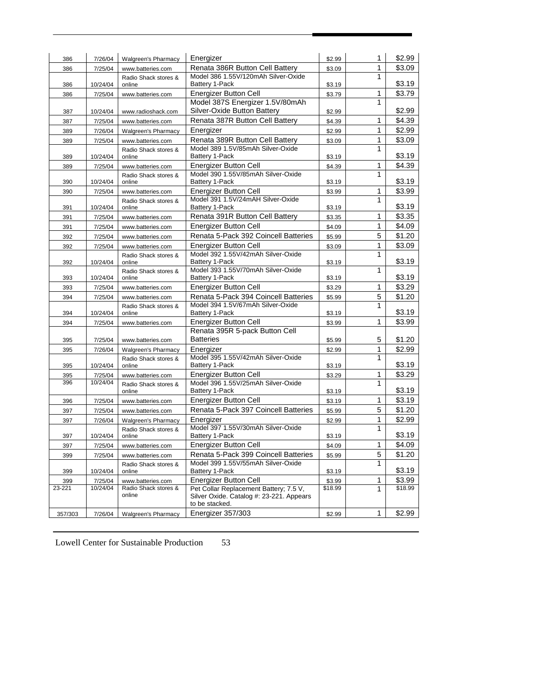| 386     | 7/26/04             | Walgreen's Pharmacy                       | Energizer                                                              | \$2.99  | 1                 | \$2.99            |
|---------|---------------------|-------------------------------------------|------------------------------------------------------------------------|---------|-------------------|-------------------|
| 386     | 7/25/04             | www.batteries.com                         | Renata 386R Button Cell Battery                                        | \$3.09  | 1                 | \$3.09            |
|         |                     | Radio Shack stores &                      | Model 386 1.55V/120mAh Silver-Oxide                                    |         | 1                 |                   |
| 386     | 10/24/04            | online                                    | Battery 1-Pack                                                         | \$3.19  |                   | \$3.19            |
| 386     | 7/25/04             | www.batteries.com                         | Energizer Button Cell                                                  | \$3.79  | 1                 | \$3.79            |
|         |                     |                                           | Model 387S Energizer 1.5V/80mAh                                        |         | 1                 |                   |
| 387     | 10/24/04            | www.radioshack.com                        | Silver-Oxide Button Battery                                            | \$2.99  |                   | \$2.99            |
| 387     | 7/25/04             | www.batteries.com                         | Renata 387R Button Cell Battery                                        | \$4.39  | 1                 | \$4.39            |
| 389     | 7/26/04             | <b>Walgreen's Pharmacy</b>                | Energizer                                                              | \$2.99  | 1                 | \$2.99            |
| 389     | 7/25/04             | www.batteries.com                         | Renata 389R Button Cell Battery                                        | \$3.09  | 1                 | \$3.09            |
|         |                     | Radio Shack stores &                      | Model 389 1.5V/85mAh Silver-Oxide                                      |         | 1                 |                   |
| 389     | 10/24/04            | online                                    | Battery 1-Pack                                                         | \$3.19  |                   | \$3.19            |
| 389     | 7/25/04             | www.batteries.com                         | <b>Energizer Button Cell</b>                                           | \$4.39  | 1                 | \$4.39            |
|         |                     | Radio Shack stores &                      | Model 390 1.55V/85mAh Silver-Oxide                                     |         | 1                 | \$3.19            |
| 390     | 10/24/04            | online                                    | Battery 1-Pack                                                         | \$3.19  |                   |                   |
| 390     | 7/25/04             | www.batteries.com                         | <b>Energizer Button Cell</b><br>Model 391 1.5V/24mAH Silver-Oxide      | \$3.99  | 1<br>1            | \$3.99            |
| 391     | 10/24/04            | Radio Shack stores &<br>online            | Battery 1-Pack                                                         | \$3.19  |                   | \$3.19            |
| 391     | 7/25/04             | www.batteries.com                         | Renata 391R Button Cell Battery                                        | \$3.35  | 1                 | \$3.35            |
| 391     | 7/25/04             | www.batteries.com                         | <b>Energizer Button Cell</b>                                           | \$4.09  | 1                 | \$4.09            |
| 392     | 7/25/04             | www.batteries.com                         | Renata 5-Pack 392 Coincell Batteries                                   | \$5.99  | 5                 | \$1.20            |
|         |                     |                                           | <b>Energizer Button Cell</b>                                           |         | 1                 | \$3.09            |
| 392     | 7/25/04             | www.batteries.com<br>Radio Shack stores & | Model 392 1.55V/42mAh Silver-Oxide                                     | \$3.09  | 1                 |                   |
| 392     | 10/24/04            | online                                    | Battery 1-Pack                                                         | \$3.19  |                   | \$3.19            |
|         |                     | Radio Shack stores &                      | Model 393 1.55V/70mAh Silver-Oxide                                     |         | 1                 |                   |
| 393     | 10/24/04            | online                                    | Battery 1-Pack                                                         | \$3.19  |                   | \$3.19            |
| 393     | 7/25/04             | www.batteries.com                         | <b>Energizer Button Cell</b>                                           | \$3.29  | 1                 | \$3.29            |
| 394     | 7/25/04             | www.batteries.com                         | Renata 5-Pack 394 Coincell Batteries                                   | \$5.99  | 5                 | \$1.20            |
|         |                     | Radio Shack stores &                      | Model 394 1.5V/67mAh Silver-Oxide                                      |         | 1                 |                   |
| 394     | 10/24/04            | online                                    | <b>Battery 1-Pack</b>                                                  | \$3.19  |                   | \$3.19            |
| 394     | 7/25/04             | www.batteries.com                         | Energizer Button Cell                                                  | \$3.99  | 1                 | \$3.99            |
|         |                     |                                           | Renata 395R 5-pack Button Cell                                         |         |                   |                   |
| 395     | 7/25/04             | www.batteries.com                         | <b>Batteries</b>                                                       | \$5.99  | 5                 | \$1.20            |
| 395     | 7/26/04             | Walgreen's Pharmacy                       | Energizer<br>Model 395 1.55V/42mAh Silver-Oxide                        | \$2.99  | $\mathbf{1}$<br>1 | \$2.99            |
| 395     | 10/24/04            | Radio Shack stores &<br>online            | Battery 1-Pack                                                         | \$3.19  |                   | \$3.19            |
| 395     | 7/25/04             | www.batteries.com                         | <b>Energizer Button Cell</b>                                           | \$3.29  | 1                 | \$3.29            |
| 396     | 10/24/04            | Radio Shack stores &                      | Model 396 1.55V/25mAh Silver-Oxide                                     |         | 1                 |                   |
|         |                     | online                                    | Battery 1-Pack                                                         | \$3.19  |                   | \$3.19            |
| 396     | 7/25/04             | www.batteries.com                         | Energizer Button Cell                                                  | \$3.19  | 1                 | \$3.19            |
| 397     | 7/25/04             | www.batteries.com                         | Renata 5-Pack 397 Coincell Batteries                                   | \$5.99  | 5                 | \$1.20            |
| 397     | 7/26/04             | <b>Walgreen's Pharmacy</b>                | Energizer                                                              | \$2.99  | 1                 | \$2.99            |
|         |                     | Radio Shack stores &                      | Model 397 1.55V/30mAh Silver-Oxide                                     |         | 1                 |                   |
| 397     | 10/24/04            | online                                    | Battery 1-Pack                                                         | \$3.19  |                   | \$3.19            |
| 397     | 7/25/04             | www.batteries.com                         | Energizer Button Cell                                                  | \$4.09  | 1                 | \$4.09            |
| 399     | 7/25/04             | www.batteries.com                         | Renata 5-Pack 399 Coincell Batteries                                   | \$5.99  | 5                 | \$1.20            |
|         |                     | Radio Shack stores &                      | Model 399 1.55V/55mAh Silver-Oxide                                     |         | 1                 |                   |
| 399     | 10/24/04            | online                                    | Battery 1-Pack                                                         | \$3.19  |                   | \$3.19            |
| 399     | 7/25/04<br>10/24/04 | www.batteries.com<br>Radio Shack stores & | <b>Energizer Button Cell</b><br>Pet Collar Replacement Battery; 7.5 V, | \$3.99  | 1                 | \$3.99<br>\$18.99 |
| 23-221  |                     | online                                    | Silver Oxide. Catalog #: 23-221. Appears                               | \$18.99 | 1                 |                   |
|         |                     |                                           | to be stacked.                                                         |         |                   |                   |
| 357/303 | 7/26/04             | <b>Walgreen's Pharmacy</b>                | Energizer 357/303                                                      | \$2.99  | 1                 | \$2.99            |
|         |                     |                                           |                                                                        |         |                   |                   |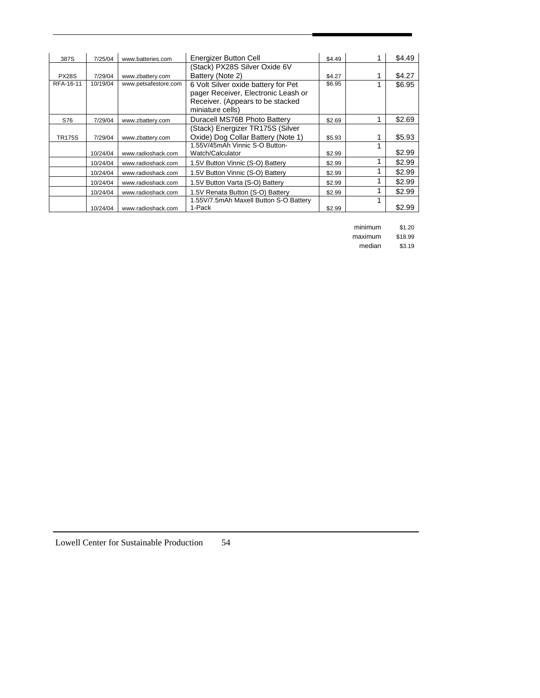| 387S          | 7/25/04  | www.batteries.com    | Energizer Button Cell                  | \$4.49 | \$4.49 |
|---------------|----------|----------------------|----------------------------------------|--------|--------|
|               |          |                      | (Stack) PX28S Silver Oxide 6V          |        |        |
| PX28S         | 7/29/04  | www.zbatterv.com     | Battery (Note 2)                       | \$4.27 | \$4.27 |
| RFA-16-11     | 10/19/04 | www.petsafestore.com | 6 Volt Silver oxide battery for Pet    | \$6.95 | \$6.95 |
|               |          |                      | pager Receiver, Electronic Leash or    |        |        |
|               |          |                      | Receiver. (Appears to be stacked       |        |        |
|               |          |                      | miniature cells)                       |        |        |
| S76           | 7/29/04  | www.zbattery.com     | Duracell MS76B Photo Battery           | \$2.69 | \$2.69 |
|               |          |                      | (Stack) Energizer TR175S (Silver       |        |        |
| <b>TR175S</b> | 7/29/04  | www.zbattery.com     | Oxide) Dog Collar Battery (Note 1)     | \$5.93 | \$5.93 |
|               |          |                      | 1.55V/45mAh Vinnic S-O Button-         |        |        |
|               | 10/24/04 | www.radioshack.com   | Watch/Calculator                       | \$2.99 | \$2.99 |
|               | 10/24/04 | www.radioshack.com   | 1.5V Button Vinnic (S-O) Battery       | \$2.99 | \$2.99 |
|               | 10/24/04 | www.radioshack.com   | 1.5V Button Vinnic (S-O) Battery       | \$2.99 | \$2.99 |
|               | 10/24/04 | www.radioshack.com   | 1.5V Button Varta (S-O) Battery        | \$2.99 | \$2.99 |
|               | 10/24/04 | www.radioshack.com   | 1.5V Renata Button (S-O) Battery       | \$2.99 | \$2.99 |
|               |          |                      | 1.55V/7.5mAh Maxell Button S-O Battery |        |        |
|               | 10/24/04 | www.radioshack.com   | 1-Pack                                 | \$2.99 | \$2.99 |

minimum \$1.20

 maximum \$18.99 median \$3.19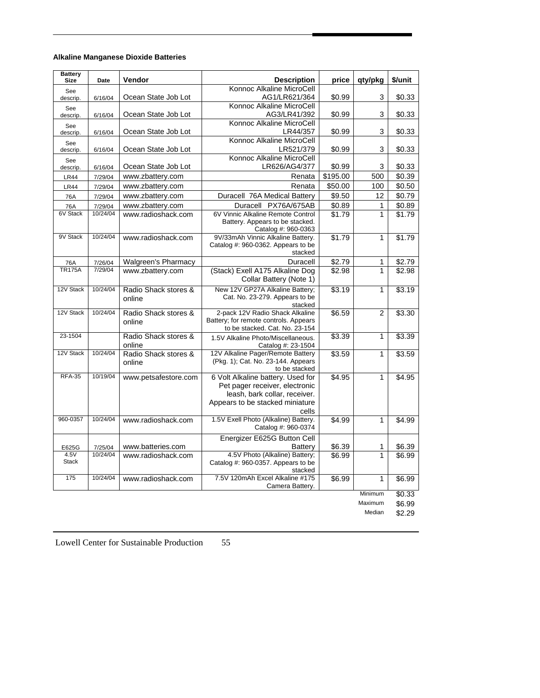# **Alkaline Manganese Dioxide Batteries**

| <b>Battery</b><br><b>Size</b> | Date     | Vendor                         | <b>Description</b>                                      | price    | qty/pkg        | \$/unit |
|-------------------------------|----------|--------------------------------|---------------------------------------------------------|----------|----------------|---------|
| See                           |          |                                | Konnoc Alkaline MicroCell                               |          |                |         |
| descrip.                      | 6/16/04  | Ocean State Job Lot            | AG1/LR621/364                                           | \$0.99   | 3              | \$0.33  |
| See<br>descrip.               | 6/16/04  | Ocean State Job Lot            | Konnoc Alkaline MicroCell<br>AG3/LR41/392               | \$0.99   | 3              | \$0.33  |
|                               |          |                                | Konnoc Alkaline MicroCell                               |          |                |         |
| See<br>descrip.               | 6/16/04  | Ocean State Job Lot            | LR44/357                                                | \$0.99   | 3              | \$0.33  |
| See                           |          |                                | Konnoc Alkaline MicroCell                               |          |                |         |
| descrip.                      | 6/16/04  | Ocean State Job Lot            | LR521/379                                               | \$0.99   | 3              | \$0.33  |
| See                           |          |                                | Konnoc Alkaline MicroCell                               |          |                |         |
| descrip.                      | 6/16/04  | Ocean State Job Lot            | LR626/AG4/377                                           | \$0.99   | 3              | \$0.33  |
| <b>LR44</b>                   | 7/29/04  | www.zbattery.com               | Renata                                                  | \$195.00 | 500            | \$0.39  |
| <b>LR44</b>                   | 7/29/04  | www.zbattery.com               | Renata                                                  | \$50.00  | 100            | \$0.50  |
| 76A                           | 7/29/04  | www.zbattery.com               | Duracell 76A Medical Battery                            | \$9.50   | 12             | \$0.79  |
| 76A                           | 7/29/04  | www.zbattery.com               | Duracell PX76A/675AB                                    | \$0.89   | 1              | \$0.89  |
| 6V Stack                      | 10/24/04 | www.radioshack.com             | 6V Vinnic Alkaline Remote Control                       | \$1.79   | $\mathbf{1}$   | \$1.79  |
|                               |          |                                | Battery. Appears to be stacked.<br>Catalog #: 960-0363  |          |                |         |
| 9V Stack                      | 10/24/04 | www.radioshack.com             | 9V/33mAh Vinnic Alkaline Battery.                       | \$1.79   | 1              | \$1.79  |
|                               |          |                                | Catalog #: 960-0362. Appears to be                      |          |                |         |
|                               |          |                                | stacked                                                 |          |                |         |
| 76A                           | 7/26/04  | Walgreen's Pharmacy            | Duracell                                                | \$2.79   | 1              | \$2.79  |
| <b>TR175A</b>                 | 7/29/04  | www.zbattery.com               | (Stack) Exell A175 Alkaline Dog                         | \$2.98   | 1              | \$2.98  |
|                               |          |                                | Collar Battery (Note 1)                                 |          |                |         |
| 12V Stack                     | 10/24/04 | Radio Shack stores &           | New 12V GP27A Alkaline Battery;                         | \$3.19   | $\mathbf{1}$   | \$3.19  |
|                               |          | online                         | Cat. No. 23-279. Appears to be<br>stacked               |          |                |         |
| 12V Stack                     | 10/24/04 | Radio Shack stores &           | 2-pack 12V Radio Shack Alkaline                         | \$6.59   | $\overline{2}$ | \$3.30  |
|                               |          | online                         | Battery; for remote controls. Appears                   |          |                |         |
|                               |          |                                | to be stacked. Cat. No. 23-154                          |          |                |         |
| 23-1504                       |          | Radio Shack stores &<br>online | 1.5V Alkaline Photo/Miscellaneous.                      | \$3.39   | $\mathbf{1}$   | \$3.39  |
| 12V Stack                     | 10/24/04 | Radio Shack stores &           | Catalog #: 23-1504<br>12V Alkaline Pager/Remote Battery | \$3.59   | $\overline{1}$ | \$3.59  |
|                               |          | online                         | (Pkg. 1); Cat. No. 23-144. Appears                      |          |                |         |
|                               |          |                                | to be stacked                                           |          |                |         |
| <b>RFA-35</b>                 | 10/19/04 | www.petsafestore.com           | 6 Volt Alkaline battery. Used for                       | \$4.95   | $\mathbf{1}$   | \$4.95  |
|                               |          |                                | Pet pager receiver, electronic                          |          |                |         |
|                               |          |                                | leash, bark collar, receiver.                           |          |                |         |
|                               |          |                                | Appears to be stacked miniature<br>cells                |          |                |         |
| 960-0357                      | 10/24/04 | www.radioshack.com             | 1.5V Exell Photo (Alkaline) Battery.                    | \$4.99   | $\mathbf{1}$   | \$4.99  |
|                               |          |                                | Catalog #: 960-0374                                     |          |                |         |
|                               |          |                                | Energizer E625G Button Cell                             |          |                |         |
| E625G                         | 7/25/04  | www.batteries.com              | Battery                                                 | \$6.39   | 1              | \$6.39  |
| 4.5V<br><b>Stack</b>          | 10/24/04 | www.radioshack.com             | 4.5V Photo (Alkaline) Battery;                          | \$6.99   | $\mathbf{1}$   | \$6.99  |
|                               |          |                                | Catalog #: 960-0357. Appears to be<br>stacked           |          |                |         |
| 175                           | 10/24/04 | www.radioshack.com             | 7.5V 120mAh Excel Alkaline #175                         | \$6.99   | 1              | \$6.99  |
|                               |          |                                | Camera Battery.                                         |          |                |         |
|                               |          |                                |                                                         |          | Minimum        | \$0.33  |
|                               |          |                                |                                                         |          | Maximum        | \$6.99  |
|                               |          |                                |                                                         |          | Median         | \$2.29  |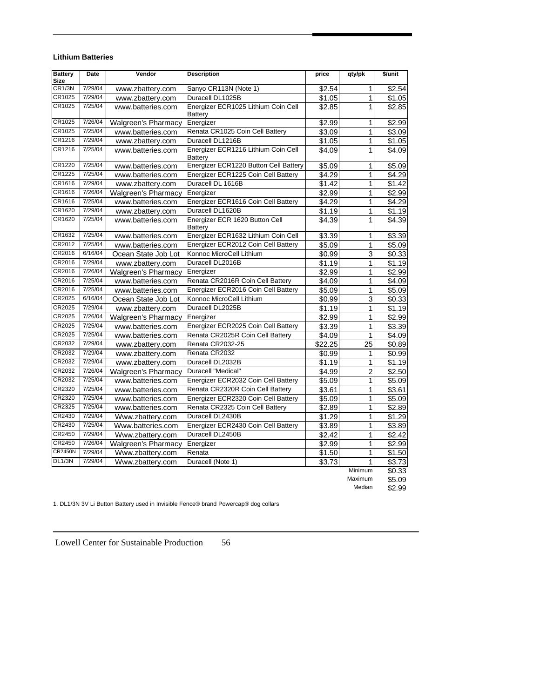# **Lithium Batteries**

| <b>Battery</b><br><b>Size</b> | <b>Date</b> | Vendor                     | <b>Description</b>                                    | price   | qty/pk          | \$/unit            |
|-------------------------------|-------------|----------------------------|-------------------------------------------------------|---------|-----------------|--------------------|
| CR1/3N                        | 7/29/04     | www.zbattery.com           | Sanyo CR113N (Note 1)                                 | \$2.54  | 1               | $\overline{$2.54}$ |
| CR1025                        | 7/29/04     | www.zbattery.com           | Duracell DL1025B                                      | \$1.05  | $\mathbf{1}$    | \$1.05             |
| CR1025                        | 7/25/04     | www.batteries.com          | Energizer ECR1025 Lithium Coin Cell<br><b>Battery</b> | \$2.85  | 1               | \$2.85             |
| CR1025                        | 7/26/04     | Walgreen's Pharmacy        | Energizer                                             | \$2.99  | 1               | \$2.99             |
| CR1025                        | 7/25/04     | www.batteries.com          | Renata CR1025 Coin Cell Battery                       | \$3.09  | 1               | \$3.09             |
| CR1216                        | 7/29/04     | www.zbattery.com           | Duracell DL1216B                                      | \$1.05  | 1               | \$1.05             |
| CR1216                        | 7/25/04     | www.batteries.com          | Energizer ECR1216 Lithium Coin Cell<br>Battery        | \$4.09  | 1               | \$4.09             |
| CR1220                        | 7/25/04     | www.batteries.com          | Energizer ECR1220 Button Cell Battery                 | \$5.09  | 1               | \$5.09             |
| CR1225                        | 7/25/04     | www.batteries.com          | Energizer ECR1225 Coin Cell Battery                   | \$4.29  | 1               | \$4.29             |
| CR1616                        | 7/29/04     | www.zbattery.com           | Duracell DL 1616B                                     | \$1.42  | $\mathbf{1}$    | \$1.42             |
| CR1616                        | 7/26/04     | Walgreen's Pharmacy        | Energizer                                             | \$2.99  | 1               | \$2.99             |
| CR1616                        | 7/25/04     | www.batteries.com          | Energizer ECR1616 Coin Cell Battery                   | \$4.29  | 1               | \$4.29             |
| CR1620                        | 7/29/04     | www.zbattery.com           | Duracell DL1620B                                      | \$1.19  | $\mathbf{1}$    | \$1.19             |
| CR1620                        | 7/25/04     | www.batteries.com          | Energizer ECR 1620 Button Cell<br><b>Battery</b>      | \$4.39  | 1               | \$4.39             |
| CR1632                        | 7/25/04     | www.batteries.com          | Energizer ECR1632 Lithium Coin Cell                   | \$3.39  | 1               | \$3.39             |
| CR2012                        | 7/25/04     | www.batteries.com          | Energizer ECR2012 Coin Cell Battery                   | \$5.09  | 1               | \$5.09             |
| CR2016                        | 6/16/04     | Ocean State Job Lot        | Konnoc MicroCell Lithium                              | \$0.99  | 3               | \$0.33             |
| CR2016                        | 7/29/04     | www.zbattery.com           | Duracell DL2016B                                      | \$1.19  | 1               | \$1.19             |
| <b>CR2016</b>                 | 7/26/04     | <b>Walgreen's Pharmacy</b> | Energizer                                             | \$2.99  | 1               | \$2.99             |
| CR2016                        | 7/25/04     | www.batteries.com          | Renata CR2016R Coin Cell Battery                      | \$4.09  | 1               | \$4.09             |
| CR2016                        | 7/25/04     | www.batteries.com          | Energizer ECR2016 Coin Cell Battery                   | \$5.09  | 1               | \$5.09             |
| CR2025                        | 6/16/04     | Ocean State Job Lot        | Konnoc MicroCell Lithium                              | \$0.99  | 3               | \$0.33             |
| CR2025                        | 7/29/04     | www.zbattery.com           | Duracell DL2025B                                      | \$1.19  | 1               | \$1.19             |
| <b>CR2025</b>                 | 7/26/04     | <b>Walgreen's Pharmacy</b> | Energizer                                             | \$2.99  | 1               | \$2.99             |
| CR2025                        | 7/25/04     | www.batteries.com          | Energizer ECR2025 Coin Cell Battery                   | \$3.39  | 1               | \$3.39             |
| CR2025                        | 7/25/04     | www.batteries.com          | Renata CR2025R Coin Cell Battery                      | \$4.09  | 1               | \$4.09             |
| CR2032                        | 7/29/04     | www.zbattery.com           | Renata CR2032-25                                      | \$22.25 | $\overline{25}$ | \$0.89             |
| CR2032                        | 7/29/04     | www.zbattery.com           | Renata CR2032                                         | \$0.99  | $\mathbf{1}$    | \$0.99             |
| CR2032                        | 7/29/04     | www.zbattery.com           | Duracell DL2032B                                      | \$1.19  | $\mathbf{1}$    | \$1.19             |
| CR2032                        | 7/26/04     | <b>Walgreen's Pharmacy</b> | Duracell "Medical"                                    | \$4.99  | $\overline{c}$  | \$2.50             |
| CR2032                        | 7/25/04     | www.batteries.com          | Energizer ECR2032 Coin Cell Battery                   | \$5.09  | 1               | \$5.09             |
| CR2320                        | 7/25/04     | www.batteries.com          | Renata CR2320R Coin Cell Battery                      | \$3.61  | 1               | \$3.61             |
| CR2320                        | 7/25/04     | www.batteries.com          | Energizer ECR2320 Coin Cell Battery                   | \$5.09  | 1               | \$5.09             |
| CR2325                        | 7/25/04     | www.batteries.com          | Renata CR2325 Coin Cell Battery                       | \$2.89  | 1               | $\sqrt{$2.89}$     |
| CR2430                        | 7/29/04     | Www.zbattery.com           | Duracell DL2430B                                      | \$1.29  | 1               | \$1.29             |
| CR2430                        | 7/25/04     | Www.batteries.com          | Energizer ECR2430 Coin Cell Battery                   | \$3.89  | 1               | \$3.89             |
| CR2450                        | 7/29/04     | Www.zbattery.com           | Duracell DL2450B                                      | \$2.42  | 1               | \$2.42             |
| CR2450                        | 7/26/04     | <b>Walgreen's Pharmacy</b> | Energizer                                             | \$2.99  | 1               | \$2.99             |
| <b>CR2450N</b>                | 7/29/04     | Www.zbattery.com           | Renata                                                | \$1.50  | 1               | \$1.50             |
| DL1/3N                        | 7/29/04     | Www.zbattery.com           | Duracell (Note 1)                                     | \$3.73  | 1               | \$3.73             |
|                               |             |                            |                                                       |         | Minimum         | \$0.33             |
|                               |             |                            |                                                       |         | Maximum         | \$5.09             |
|                               |             |                            |                                                       |         | Median          | \$2.99             |

1. DL1/3N 3V Li Button Battery used in Invisible Fence® brand Powercap® dog collars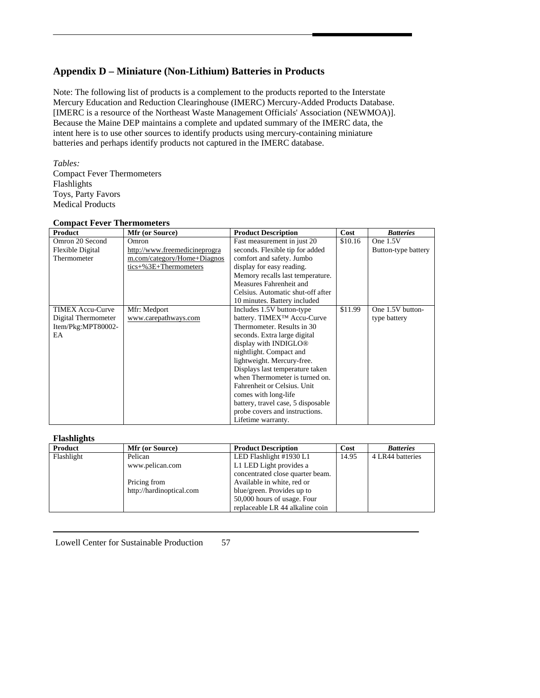# **Appendix D – Miniature (Non-Lithium) Batteries in Products**

Note: The following list of products is a complement to the products reported to the Interstate Mercury Education and Reduction Clearinghouse (IMERC) Mercury-Added Products Database. [IMERC is a resource of the Northeast Waste Management Officials' Association (NEWMOA)]. Because the Maine DEP maintains a complete and updated summary of the IMERC data, the intent here is to use other sources to identify products using mercury-containing miniature batteries and perhaps identify products not captured in the IMERC database.

# *Tables:*  Compact Fever Thermometers Flashlights Toys, Party Favors Medical Products

# **Compact Fever Thermometers**

| <b>Product</b>          | <b>Mfr (or Source)</b>        | <b>Product Description</b>              | Cost    | <b>Batteries</b>    |
|-------------------------|-------------------------------|-----------------------------------------|---------|---------------------|
| Omron 20 Second         | Omron                         | Fast measurement in just 20             | \$10.16 | One 1.5V            |
| Flexible Digital        | http://www.freemedicineprogra | seconds. Flexible tip for added         |         | Button-type battery |
| Thermometer             | m.com/category/Home+Diagnos   | comfort and safety. Jumbo               |         |                     |
|                         | $tics+%3E+Thermometers$       | display for easy reading.               |         |                     |
|                         |                               | Memory recalls last temperature.        |         |                     |
|                         |                               | Measures Fahrenheit and                 |         |                     |
|                         |                               | Celsius. Automatic shut-off after       |         |                     |
|                         |                               | 10 minutes. Battery included            |         |                     |
| <b>TIMEX Accu-Curve</b> | Mfr: Medport                  | Includes 1.5V button-type               | \$11.99 | One 1.5V button-    |
| Digital Thermometer     | www.carepathways.com          | battery. TIMEX <sup>TM</sup> Accu-Curve |         | type battery        |
| Item/Pkg:MPT80002-      |                               | Thermometer, Results in 30              |         |                     |
| EA                      |                               | seconds. Extra large digital            |         |                     |
|                         |                               | display with INDIGLO <sup>®</sup>       |         |                     |
|                         |                               | nightlight. Compact and                 |         |                     |
|                         |                               | lightweight. Mercury-free.              |         |                     |
|                         |                               | Displays last temperature taken         |         |                     |
|                         |                               | when Thermometer is turned on.          |         |                     |
|                         |                               | Fahrenheit or Celsius. Unit             |         |                     |
|                         |                               | comes with long-life                    |         |                     |
|                         |                               | battery, travel case, 5 disposable      |         |                     |
|                         |                               | probe covers and instructions.          |         |                     |
|                         |                               | Lifetime warranty.                      |         |                     |

### **Flashlights**

| -------------- |                          |                                  |       |                  |
|----------------|--------------------------|----------------------------------|-------|------------------|
| Product        | <b>Mfr (or Source)</b>   | <b>Product Description</b>       | Cost  | <b>Batteries</b> |
| Flashlight     | Pelican                  | LED Flashlight #1930 L1          | 14.95 | 4 LR44 batteries |
|                | www.pelican.com          | L1 LED Light provides a          |       |                  |
|                |                          | concentrated close quarter beam. |       |                  |
|                | Pricing from             | Available in white, red or       |       |                  |
|                | http://hardinoptical.com | blue/green. Provides up to       |       |                  |
|                |                          | 50,000 hours of usage. Four      |       |                  |
|                |                          | replaceable LR 44 alkaline coin  |       |                  |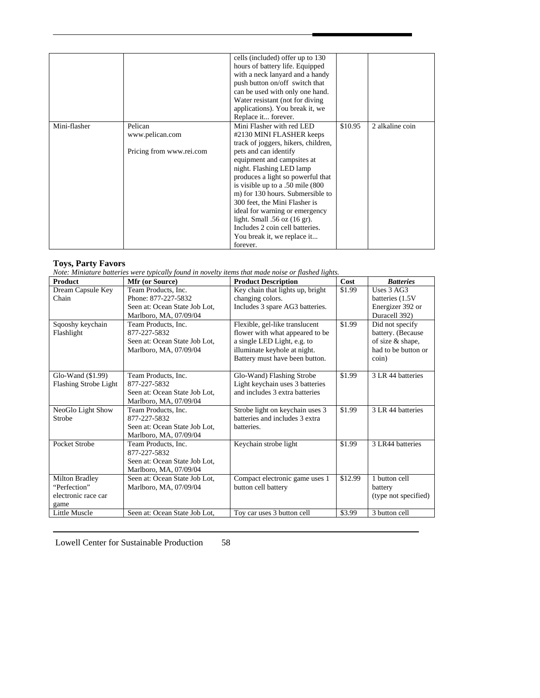|              |                          | cells (included) offer up to 130    |         |                 |
|--------------|--------------------------|-------------------------------------|---------|-----------------|
|              |                          | hours of battery life. Equipped     |         |                 |
|              |                          | with a neck lanyard and a handy     |         |                 |
|              |                          | push button on/off switch that      |         |                 |
|              |                          | can be used with only one hand.     |         |                 |
|              |                          | Water resistant (not for diving)    |         |                 |
|              |                          | applications). You break it, we     |         |                 |
|              |                          | Replace it forever.                 |         |                 |
| Mini-flasher | Pelican                  | Mini Flasher with red LED           | \$10.95 | 2 alkaline coin |
|              | www.pelican.com          | #2130 MINI FLASHER keeps            |         |                 |
|              |                          | track of joggers, hikers, children, |         |                 |
|              | Pricing from www.rei.com | pets and can identify               |         |                 |
|              |                          | equipment and campsites at          |         |                 |
|              |                          | night. Flashing LED lamp            |         |                 |
|              |                          | produces a light so powerful that   |         |                 |
|              |                          | is visible up to a .50 mile (800)   |         |                 |
|              |                          | m) for 130 hours. Submersible to    |         |                 |
|              |                          | 300 feet, the Mini Flasher is       |         |                 |
|              |                          | ideal for warning or emergency      |         |                 |
|              |                          | light. Small $.56$ oz $(16$ gr).    |         |                 |
|              |                          | Includes 2 coin cell batteries.     |         |                 |
|              |                          | You break it, we replace it         |         |                 |
|              |                          | forever.                            |         |                 |

#### **Toys, Party Favors**

*Note: Miniature batteries were typically found in novelty items that made noise or flashed lights.* 

| <b>Product</b>               | Mfr (or Source)               | <b>Product Description</b>       | Cost    | <b>Batteries</b>     |
|------------------------------|-------------------------------|----------------------------------|---------|----------------------|
| Dream Capsule Key            | Team Products, Inc.           | Key chain that lights up, bright | \$1.99  | Uses 3 AG3           |
| Chain                        | Phone: 877-227-5832           | changing colors.                 |         | batteries (1.5V)     |
|                              | Seen at: Ocean State Job Lot, | Includes 3 spare AG3 batteries.  |         | Energizer 392 or     |
|                              | Marlboro, MA, 07/09/04        |                                  |         | Duracell 392)        |
| Sqooshy keychain             | Team Products, Inc.           | Flexible, gel-like translucent   | \$1.99  | Did not specify      |
| Flashlight                   | 877-227-5832                  | flower with what appeared to be  |         | battery. (Because    |
|                              | Seen at: Ocean State Job Lot, | a single LED Light, e.g. to      |         | of size & shape,     |
|                              | Marlboro, MA, 07/09/04        | illuminate keyhole at night.     |         | had to be button or  |
|                              |                               | Battery must have been button.   |         | $\sin$ )             |
|                              |                               |                                  |         |                      |
| Glo-Wand $(\$1.99)$          | Team Products, Inc.           | Glo-Wand) Flashing Strobe        | \$1.99  | 3 LR 44 batteries    |
| <b>Flashing Strobe Light</b> | 877-227-5832                  | Light keychain uses 3 batteries  |         |                      |
|                              | Seen at: Ocean State Job Lot, | and includes 3 extra batteries   |         |                      |
|                              | Marlboro, MA, 07/09/04        |                                  |         |                      |
| NeoGlo Light Show            | Team Products, Inc.           | Strobe light on keychain uses 3  | \$1.99  | 3 LR 44 batteries    |
| Strobe                       | 877-227-5832                  | batteries and includes 3 extra   |         |                      |
|                              | Seen at: Ocean State Job Lot. | batteries.                       |         |                      |
|                              | Marlboro, MA, 07/09/04        |                                  |         |                      |
| Pocket Strobe                | Team Products, Inc.           | Keychain strobe light            | \$1.99  | 3 LR44 batteries     |
|                              | 877-227-5832                  |                                  |         |                      |
|                              | Seen at: Ocean State Job Lot, |                                  |         |                      |
|                              | Marlboro, MA, 07/09/04        |                                  |         |                      |
| Milton Bradley               | Seen at: Ocean State Job Lot. | Compact electronic game uses 1   | \$12.99 | 1 button cell        |
| "Perfection"                 | Marlboro, MA, 07/09/04        | button cell battery              |         | battery              |
| electronic race car          |                               |                                  |         | (type not specified) |
| game                         |                               |                                  |         |                      |
| Little Muscle                | Seen at: Ocean State Job Lot, | Toy car uses 3 button cell       | \$3.99  | 3 button cell        |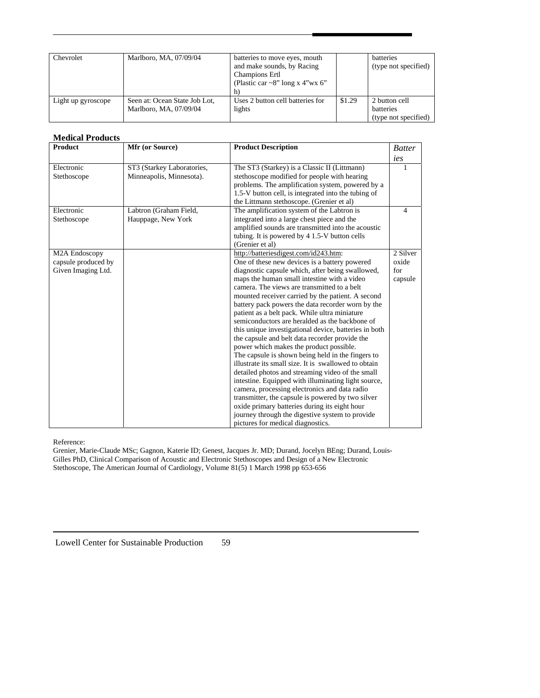| Chevrolet          | Marlboro, MA, 07/09/04                                  | batteries to move eyes, mouth<br>and make sounds, by Racing<br><b>Champions Ertl</b><br>(Plastic car ~8" long x 4"wx 6"<br>h) |        | <b>batteries</b><br>(type not specified)                  |
|--------------------|---------------------------------------------------------|-------------------------------------------------------------------------------------------------------------------------------|--------|-----------------------------------------------------------|
| Light up gyroscope | Seen at: Ocean State Job Lot,<br>Marlboro, MA, 07/09/04 | Uses 2 button cell batteries for<br>lights                                                                                    | \$1.29 | 2 button cell<br><b>batteries</b><br>(type not specified) |

## **Medical Products**

| <b>Product</b>                                                          | Mfr (or Source)                                        | <b>Product Description</b>                                                                                                                                                                                                                                                                                                                                                                                                                                                                                                                                                                                                                                                                                                                                                                                                                                                                                                                                                                                                                                                         | <b>Batter</b>                       |
|-------------------------------------------------------------------------|--------------------------------------------------------|------------------------------------------------------------------------------------------------------------------------------------------------------------------------------------------------------------------------------------------------------------------------------------------------------------------------------------------------------------------------------------------------------------------------------------------------------------------------------------------------------------------------------------------------------------------------------------------------------------------------------------------------------------------------------------------------------------------------------------------------------------------------------------------------------------------------------------------------------------------------------------------------------------------------------------------------------------------------------------------------------------------------------------------------------------------------------------|-------------------------------------|
|                                                                         |                                                        |                                                                                                                                                                                                                                                                                                                                                                                                                                                                                                                                                                                                                                                                                                                                                                                                                                                                                                                                                                                                                                                                                    | ies                                 |
| Electronic<br>Stethoscope                                               | ST3 (Starkey Laboratories,<br>Minneapolis, Minnesota). | The ST3 (Starkey) is a Classic II (Littmann)<br>stethoscope modified for people with hearing<br>problems. The amplification system, powered by a<br>1.5-V button cell, is integrated into the tubing of<br>the Littmann stethoscope. (Grenier et al)                                                                                                                                                                                                                                                                                                                                                                                                                                                                                                                                                                                                                                                                                                                                                                                                                               | 1                                   |
| Electronic<br>Stethoscope                                               | Labtron (Graham Field,<br>Hauppage, New York           | The amplification system of the Labtron is<br>integrated into a large chest piece and the<br>amplified sounds are transmitted into the acoustic<br>tubing. It is powered by 4 1.5-V button cells<br>(Grenier et al)                                                                                                                                                                                                                                                                                                                                                                                                                                                                                                                                                                                                                                                                                                                                                                                                                                                                | 4                                   |
| M <sub>2</sub> A Endoscopy<br>capsule produced by<br>Given Imaging Ltd. |                                                        | http://batteriesdigest.com/id243.htm:<br>One of these new devices is a battery powered<br>diagnostic capsule which, after being swallowed,<br>maps the human small intestine with a video<br>camera. The views are transmitted to a belt<br>mounted receiver carried by the patient. A second<br>battery pack powers the data recorder worn by the<br>patient as a belt pack. While ultra miniature<br>semiconductors are heralded as the backbone of<br>this unique investigational device, batteries in both<br>the capsule and belt data recorder provide the<br>power which makes the product possible.<br>The capsule is shown being held in the fingers to<br>illustrate its small size. It is swallowed to obtain<br>detailed photos and streaming video of the small<br>intestine. Equipped with illuminating light source,<br>camera, processing electronics and data radio<br>transmitter, the capsule is powered by two silver<br>oxide primary batteries during its eight hour<br>journey through the digestive system to provide<br>pictures for medical diagnostics. | 2 Silver<br>oxide<br>for<br>capsule |

#### Reference:

Grenier, Marie-Claude MSc; Gagnon, Katerie ID; Genest, Jacques Jr. MD; Durand, Jocelyn BEng; Durand, Louis-Gilles PhD, Clinical Comparison of Acoustic and Electronic Stethoscopes and Design of a New Electronic Stethoscope, The American Journal of Cardiology, Volume 81(5) 1 March 1998 pp 653-656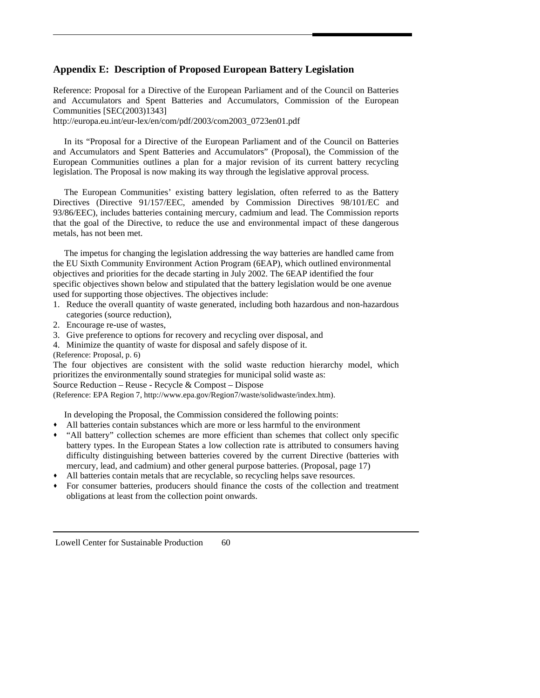# **Appendix E: Description of Proposed European Battery Legislation**

Reference: Proposal for a Directive of the European Parliament and of the Council on Batteries and Accumulators and Spent Batteries and Accumulators, Commission of the European Communities [SEC(2003)1343]

http://europa.eu.int/eur-lex/en/com/pdf/2003/com2003\_0723en01.pdf

 In its "Proposal for a Directive of the European Parliament and of the Council on Batteries and Accumulators and Spent Batteries and Accumulators" (Proposal), the Commission of the European Communities outlines a plan for a major revision of its current battery recycling legislation. The Proposal is now making its way through the legislative approval process.

The European Communities' existing battery legislation, often referred to as the Battery Directives (Directive 91/157/EEC, amended by Commission Directives 98/101/EC and 93/86/EEC), includes batteries containing mercury, cadmium and lead. The Commission reports that the goal of the Directive, to reduce the use and environmental impact of these dangerous metals, has not been met.

 The impetus for changing the legislation addressing the way batteries are handled came from the EU Sixth Community Environment Action Program (6EAP), which outlined environmental objectives and priorities for the decade starting in July 2002. The 6EAP identified the four specific objectives shown below and stipulated that the battery legislation would be one avenue used for supporting those objectives. The objectives include:

- 1. Reduce the overall quantity of waste generated, including both hazardous and non-hazardous categories (source reduction),
- 2. Encourage re-use of wastes,
- 3. Give preference to options for recovery and recycling over disposal, and
- 4. Minimize the quantity of waste for disposal and safely dispose of it.
- (Reference: Proposal, p. 6)

The four objectives are consistent with the solid waste reduction hierarchy model, which prioritizes the environmentally sound strategies for municipal solid waste as: Source Reduction – Reuse - Recycle & Compost – Dispose

(Reference: EPA Region 7, http://www.epa.gov/Region7/waste/solidwaste/index.htm).

In developing the Proposal, the Commission considered the following points:

- All batteries contain substances which are more or less harmful to the environment
- "All battery" collection schemes are more efficient than schemes that collect only specific battery types. In the European States a low collection rate is attributed to consumers having difficulty distinguishing between batteries covered by the current Directive (batteries with mercury, lead, and cadmium) and other general purpose batteries. (Proposal, page 17)
- All batteries contain metals that are recyclable, so recycling helps save resources.
- For consumer batteries, producers should finance the costs of the collection and treatment obligations at least from the collection point onwards.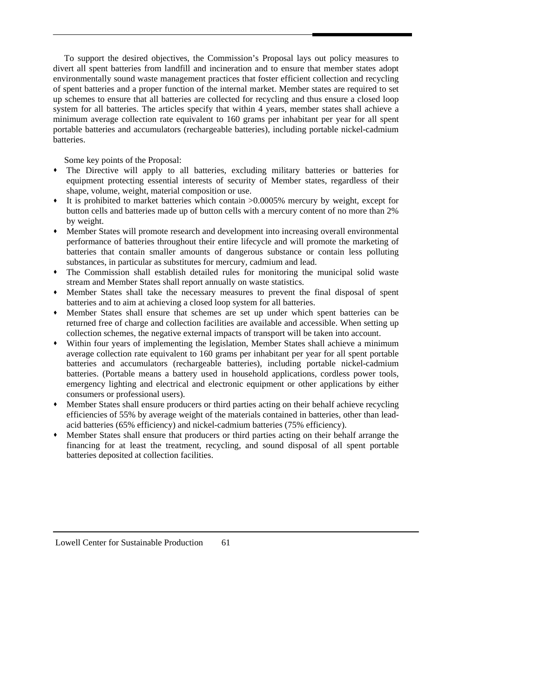To support the desired objectives, the Commission's Proposal lays out policy measures to divert all spent batteries from landfill and incineration and to ensure that member states adopt environmentally sound waste management practices that foster efficient collection and recycling of spent batteries and a proper function of the internal market. Member states are required to set up schemes to ensure that all batteries are collected for recycling and thus ensure a closed loop system for all batteries. The articles specify that within 4 years, member states shall achieve a minimum average collection rate equivalent to 160 grams per inhabitant per year for all spent portable batteries and accumulators (rechargeable batteries), including portable nickel-cadmium batteries.

Some key points of the Proposal:

- The Directive will apply to all batteries, excluding military batteries or batteries for equipment protecting essential interests of security of Member states, regardless of their shape, volume, weight, material composition or use.
- It is prohibited to market batteries which contain >0.0005% mercury by weight, except for button cells and batteries made up of button cells with a mercury content of no more than 2% by weight.
- Member States will promote research and development into increasing overall environmental performance of batteries throughout their entire lifecycle and will promote the marketing of batteries that contain smaller amounts of dangerous substance or contain less polluting substances, in particular as substitutes for mercury, cadmium and lead.
- The Commission shall establish detailed rules for monitoring the municipal solid waste stream and Member States shall report annually on waste statistics.
- Member States shall take the necessary measures to prevent the final disposal of spent batteries and to aim at achieving a closed loop system for all batteries.
- Member States shall ensure that schemes are set up under which spent batteries can be returned free of charge and collection facilities are available and accessible. When setting up collection schemes, the negative external impacts of transport will be taken into account.
- Within four years of implementing the legislation, Member States shall achieve a minimum average collection rate equivalent to 160 grams per inhabitant per year for all spent portable batteries and accumulators (rechargeable batteries), including portable nickel-cadmium batteries. (Portable means a battery used in household applications, cordless power tools, emergency lighting and electrical and electronic equipment or other applications by either consumers or professional users).
- Member States shall ensure producers or third parties acting on their behalf achieve recycling efficiencies of 55% by average weight of the materials contained in batteries, other than leadacid batteries (65% efficiency) and nickel-cadmium batteries (75% efficiency).
- Member States shall ensure that producers or third parties acting on their behalf arrange the financing for at least the treatment, recycling, and sound disposal of all spent portable batteries deposited at collection facilities.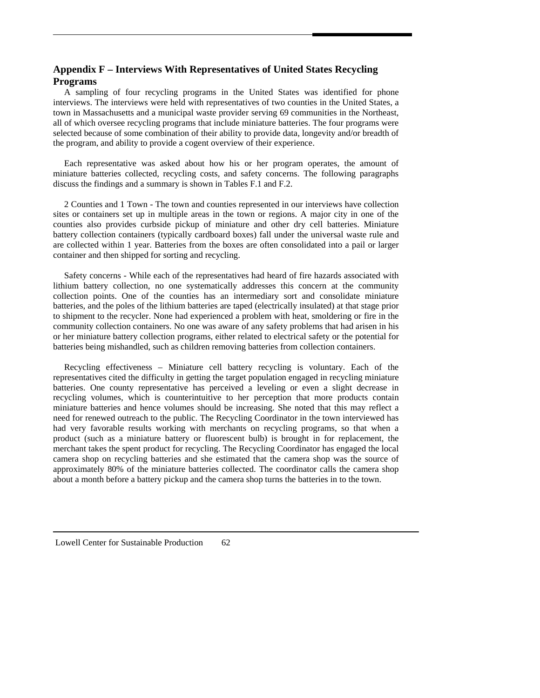# **Appendix F – Interviews With Representatives of United States Recycling Programs**

 A sampling of four recycling programs in the United States was identified for phone interviews. The interviews were held with representatives of two counties in the United States, a town in Massachusetts and a municipal waste provider serving 69 communities in the Northeast, all of which oversee recycling programs that include miniature batteries. The four programs were selected because of some combination of their ability to provide data, longevity and/or breadth of the program, and ability to provide a cogent overview of their experience.

 Each representative was asked about how his or her program operates, the amount of miniature batteries collected, recycling costs, and safety concerns. The following paragraphs discuss the findings and a summary is shown in Tables F.1 and F.2.

 2 Counties and 1 Town - The town and counties represented in our interviews have collection sites or containers set up in multiple areas in the town or regions. A major city in one of the counties also provides curbside pickup of miniature and other dry cell batteries. Miniature battery collection containers (typically cardboard boxes) fall under the universal waste rule and are collected within 1 year. Batteries from the boxes are often consolidated into a pail or larger container and then shipped for sorting and recycling.

 Safety concerns - While each of the representatives had heard of fire hazards associated with lithium battery collection, no one systematically addresses this concern at the community collection points. One of the counties has an intermediary sort and consolidate miniature batteries, and the poles of the lithium batteries are taped (electrically insulated) at that stage prior to shipment to the recycler. None had experienced a problem with heat, smoldering or fire in the community collection containers. No one was aware of any safety problems that had arisen in his or her miniature battery collection programs, either related to electrical safety or the potential for batteries being mishandled, such as children removing batteries from collection containers.

 Recycling effectiveness – Miniature cell battery recycling is voluntary. Each of the representatives cited the difficulty in getting the target population engaged in recycling miniature batteries. One county representative has perceived a leveling or even a slight decrease in recycling volumes, which is counterintuitive to her perception that more products contain miniature batteries and hence volumes should be increasing. She noted that this may reflect a need for renewed outreach to the public. The Recycling Coordinator in the town interviewed has had very favorable results working with merchants on recycling programs, so that when a product (such as a miniature battery or fluorescent bulb) is brought in for replacement, the merchant takes the spent product for recycling. The Recycling Coordinator has engaged the local camera shop on recycling batteries and she estimated that the camera shop was the source of approximately 80% of the miniature batteries collected. The coordinator calls the camera shop about a month before a battery pickup and the camera shop turns the batteries in to the town.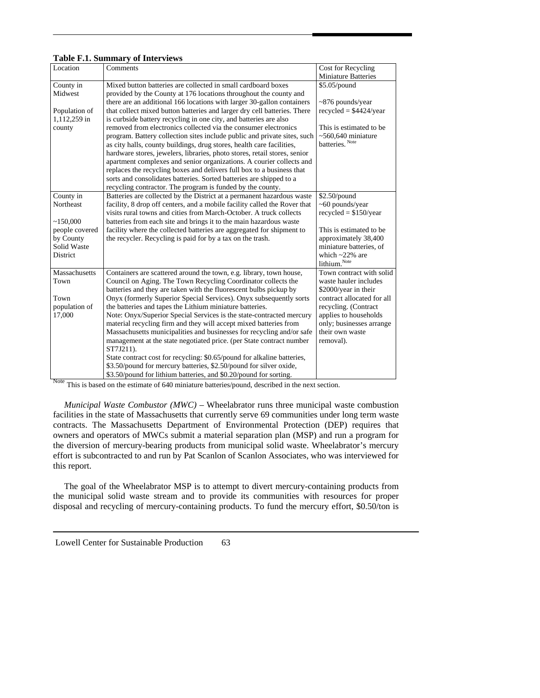### **Table F.1. Summary of Interviews**

| Location       | Comments                                                                  | Cost for Recycling         |
|----------------|---------------------------------------------------------------------------|----------------------------|
|                |                                                                           | <b>Miniature Batteries</b> |
| County in      | Mixed button batteries are collected in small cardboard boxes             | \$5.05/pound               |
| Midwest        | provided by the County at 176 locations throughout the county and         |                            |
|                | there are an additional 166 locations with larger 30-gallon containers    | $\sim$ 876 pounds/year     |
| Population of  | that collect mixed button batteries and larger dry cell batteries. There  | $recycled = $4424/year$    |
| 1,112,259 in   | is curbside battery recycling in one city, and batteries are also         |                            |
| county         | removed from electronics collected via the consumer electronics           | This is estimated to be    |
|                | program. Battery collection sites include public and private sites, such  | $~560,640$ miniature       |
|                | as city halls, county buildings, drug stores, health care facilities,     | batteries. Note            |
|                | hardware stores, jewelers, libraries, photo stores, retail stores, senior |                            |
|                | apartment complexes and senior organizations. A courier collects and      |                            |
|                | replaces the recycling boxes and delivers full box to a business that     |                            |
|                | sorts and consolidates batteries. Sorted batteries are shipped to a       |                            |
|                | recycling contractor. The program is funded by the county.                |                            |
| County in      | Batteries are collected by the District at a permanent hazardous waste    | $$2.50$ /pound             |
| Northeast      | facility, 8 drop off centers, and a mobile facility called the Rover that | $~60$ pounds/year          |
|                | visits rural towns and cities from March-October. A truck collects        | $recycled = $150/year$     |
| ~150,000       | batteries from each site and brings it to the main hazardous waste        |                            |
| people covered | facility where the collected batteries are aggregated for shipment to     | This is estimated to be    |
| by County      | the recycler. Recycling is paid for by a tax on the trash.                | approximately 38,400       |
| Solid Waste    |                                                                           | miniature batteries, of    |
| District       |                                                                           | which $\sim$ 22% are       |
|                |                                                                           | lithium. Note              |
| Massachusetts  | Containers are scattered around the town, e.g. library, town house,       | Town contract with solid   |
| Town           | Council on Aging. The Town Recycling Coordinator collects the             | waste hauler includes      |
|                | batteries and they are taken with the fluorescent bulbs pickup by         | \$2000/year in their       |
| Town           | Onyx (formerly Superior Special Services). Onyx subsequently sorts        | contract allocated for all |
| population of  | the batteries and tapes the Lithium miniature batteries.                  | recycling. (Contract       |
| 17,000         | Note: Onyx/Superior Special Services is the state-contracted mercury      | applies to households      |
|                | material recycling firm and they will accept mixed batteries from         | only; businesses arrange   |
|                | Massachusetts municipalities and businesses for recycling and/or safe     | their own waste            |
|                | management at the state negotiated price. (per State contract number      | removal).                  |
|                | ST7J211).                                                                 |                            |
|                | State contract cost for recycling: \$0.65/pound for alkaline batteries,   |                            |
|                | \$3.50/pound for mercury batteries, \$2.50/pound for silver oxide,        |                            |
|                | \$3.50/pound for lithium batteries, and \$0.20/pound for sorting.         |                            |

Note This is based on the estimate of 640 miniature batteries/pound, described in the next section.

 *Municipal Waste Combustor (MWC)* – Wheelabrator runs three municipal waste combustion facilities in the state of Massachusetts that currently serve 69 communities under long term waste contracts. The Massachusetts Department of Environmental Protection (DEP) requires that owners and operators of MWCs submit a material separation plan (MSP) and run a program for the diversion of mercury-bearing products from municipal solid waste. Wheelabrator's mercury effort is subcontracted to and run by Pat Scanlon of Scanlon Associates, who was interviewed for this report.

The goal of the Wheelabrator MSP is to attempt to divert mercury-containing products from the municipal solid waste stream and to provide its communities with resources for proper disposal and recycling of mercury-containing products. To fund the mercury effort, \$0.50/ton is

| Lowell Center for Sustainable Production | 63 |
|------------------------------------------|----|
|------------------------------------------|----|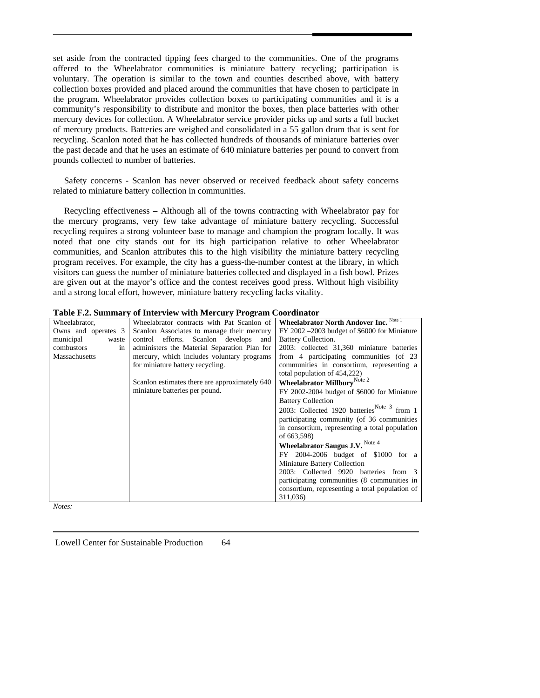set aside from the contracted tipping fees charged to the communities. One of the programs offered to the Wheelabrator communities is miniature battery recycling; participation is voluntary. The operation is similar to the town and counties described above, with battery collection boxes provided and placed around the communities that have chosen to participate in the program. Wheelabrator provides collection boxes to participating communities and it is a community's responsibility to distribute and monitor the boxes, then place batteries with other mercury devices for collection. A Wheelabrator service provider picks up and sorts a full bucket of mercury products. Batteries are weighed and consolidated in a 55 gallon drum that is sent for recycling. Scanlon noted that he has collected hundreds of thousands of miniature batteries over the past decade and that he uses an estimate of 640 miniature batteries per pound to convert from pounds collected to number of batteries.

 Safety concerns - Scanlon has never observed or received feedback about safety concerns related to miniature battery collection in communities.

 Recycling effectiveness – Although all of the towns contracting with Wheelabrator pay for the mercury programs, very few take advantage of miniature battery recycling. Successful recycling requires a strong volunteer base to manage and champion the program locally. It was noted that one city stands out for its high participation relative to other Wheelabrator communities, and Scanlon attributes this to the high visibility the miniature battery recycling program receives. For example, the city has a guess-the-number contest at the library, in which visitors can guess the number of miniature batteries collected and displayed in a fish bowl. Prizes are given out at the mayor's office and the contest receives good press. Without high visibility and a strong local effort, however, miniature battery recycling lacks vitality.

|  | Table F.2. Summary of Interview with Mercury Program Coordinator |  |  |  |  |
|--|------------------------------------------------------------------|--|--|--|--|
|--|------------------------------------------------------------------|--|--|--|--|

|                     | $\sigma$ and $\sigma$ , i.e., $\sigma$ , $\sigma$ , $\sigma$ , $\sigma$ , $\sigma$ , $\sigma$ , $\sigma$ , $\sigma$ , $\sigma$ , $\sigma$ |                                                  |
|---------------------|-------------------------------------------------------------------------------------------------------------------------------------------|--------------------------------------------------|
| Wheelabrator,       | Wheelabrator contracts with Pat Scanlon of                                                                                                | <b>Wheelabrator North Andover Inc.</b> Note 1    |
| Owns and operates 3 | Scanlon Associates to manage their mercury                                                                                                | $FY$ 2002 $-2003$ budget of \$6000 for Miniature |
| municipal<br>waste  | control efforts. Scanlon develops<br>and                                                                                                  | Battery Collection.                              |
| in<br>combustors    | administers the Material Separation Plan for                                                                                              | 2003: collected 31,360 miniature batteries       |
| Massachusetts       | mercury, which includes voluntary programs                                                                                                | from 4 participating communities (of 23          |
|                     | for miniature battery recycling.                                                                                                          | communities in consortium, representing a        |
|                     |                                                                                                                                           | total population of 454,222)                     |
|                     | Scanlon estimates there are approximately 640                                                                                             | Wheelabrator Millbury <sup>Note 2</sup>          |
|                     | miniature batteries per pound.                                                                                                            | FY 2002-2004 budget of \$6000 for Miniature      |
|                     |                                                                                                                                           | <b>Battery Collection</b>                        |
|                     |                                                                                                                                           | 2003: Collected 1920 batteries Note 3 from 1     |
|                     |                                                                                                                                           | participating community (of 36 communities)      |
|                     |                                                                                                                                           | in consortium, representing a total population   |
|                     |                                                                                                                                           | of 663,598)                                      |
|                     |                                                                                                                                           | Wheelabrator Saugus J.V. Note 4                  |
|                     |                                                                                                                                           | FY 2004-2006 budget of \$1000 for a              |
|                     |                                                                                                                                           | <b>Miniature Battery Collection</b>              |
|                     |                                                                                                                                           | 2003: Collected 9920 batteries from 3            |
|                     |                                                                                                                                           | participating communities (8 communities in      |
|                     |                                                                                                                                           | consortium, representing a total population of   |
|                     |                                                                                                                                           | 311,036)                                         |
|                     |                                                                                                                                           |                                                  |

*Notes:*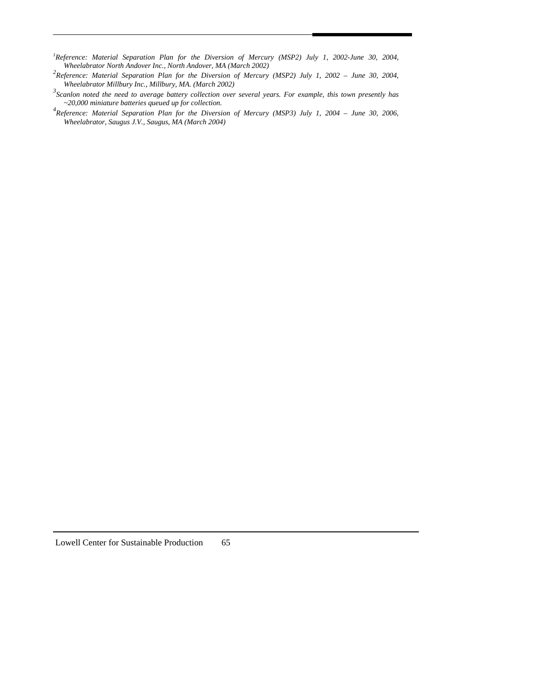- *1 Reference: Material Separation Plan for the Diversion of Mercury (MSP2) July 1, 2002-June 30, 2004, Wheelabrator North Andover Inc., North Andover, MA (March 2002)*
- <sup>2</sup> Reference: Material Separation Plan for the Diversion of Mercury (MSP2) July 1, 2002 June 30, 2004, *Wheelabrator Millbury Inc., Millbury, MA. (March 2002)*
- *3 Scanlon noted the need to average battery collection over several years. For example, this town presently has ~20,000 miniature batteries queued up for collection.*
- *4 Reference: Material Separation Plan for the Diversion of Mercury (MSP3) July 1, 2004 June 30, 2006, Wheelabrator, Saugus J.V., Saugus, MA (March 2004)*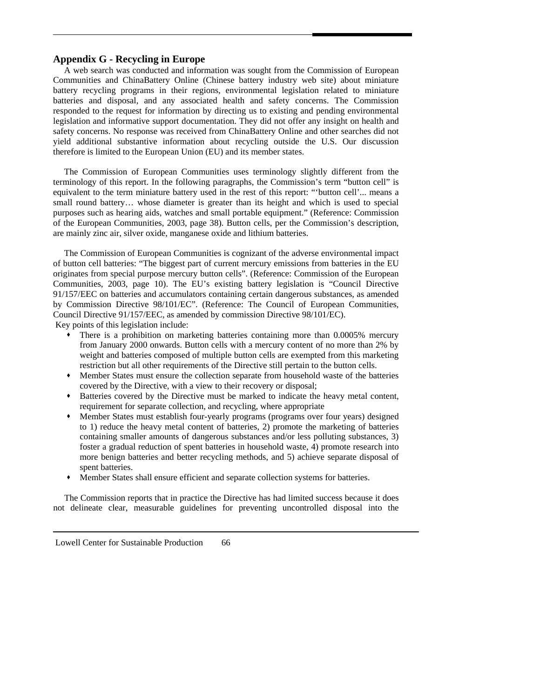# **Appendix G - Recycling in Europe**

A web search was conducted and information was sought from the Commission of European Communities and ChinaBattery Online (Chinese battery industry web site) about miniature battery recycling programs in their regions, environmental legislation related to miniature batteries and disposal, and any associated health and safety concerns. The Commission responded to the request for information by directing us to existing and pending environmental legislation and informative support documentation. They did not offer any insight on health and safety concerns. No response was received from ChinaBattery Online and other searches did not yield additional substantive information about recycling outside the U.S. Our discussion therefore is limited to the European Union (EU) and its member states.

 The Commission of European Communities uses terminology slightly different from the terminology of this report. In the following paragraphs, the Commission's term "button cell" is equivalent to the term miniature battery used in the rest of this report: "'button cell'... means a small round battery… whose diameter is greater than its height and which is used to special purposes such as hearing aids, watches and small portable equipment." (Reference: Commission of the European Communities, 2003, page 38). Button cells, per the Commission's description, are mainly zinc air, silver oxide, manganese oxide and lithium batteries.

The Commission of European Communities is cognizant of the adverse environmental impact of button cell batteries: "The biggest part of current mercury emissions from batteries in the EU originates from special purpose mercury button cells". (Reference: Commission of the European Communities, 2003, page 10). The EU's existing battery legislation is "Council Directive 91/157/EEC on batteries and accumulators containing certain dangerous substances, as amended by Commission Directive 98/101/EC". (Reference: The Council of European Communities, Council Directive 91/157/EEC, as amended by commission Directive 98/101/EC).

Key points of this legislation include:

- There is a prohibition on marketing batteries containing more than 0.0005% mercury from January 2000 onwards. Button cells with a mercury content of no more than 2% by weight and batteries composed of multiple button cells are exempted from this marketing restriction but all other requirements of the Directive still pertain to the button cells.
- Member States must ensure the collection separate from household waste of the batteries covered by the Directive, with a view to their recovery or disposal;
- Batteries covered by the Directive must be marked to indicate the heavy metal content, requirement for separate collection, and recycling, where appropriate
- Member States must establish four-yearly programs (programs over four years) designed to 1) reduce the heavy metal content of batteries, 2) promote the marketing of batteries containing smaller amounts of dangerous substances and/or less polluting substances, 3) foster a gradual reduction of spent batteries in household waste, 4) promote research into more benign batteries and better recycling methods, and 5) achieve separate disposal of spent batteries.
- Member States shall ensure efficient and separate collection systems for batteries.

The Commission reports that in practice the Directive has had limited success because it does not delineate clear, measurable guidelines for preventing uncontrolled disposal into the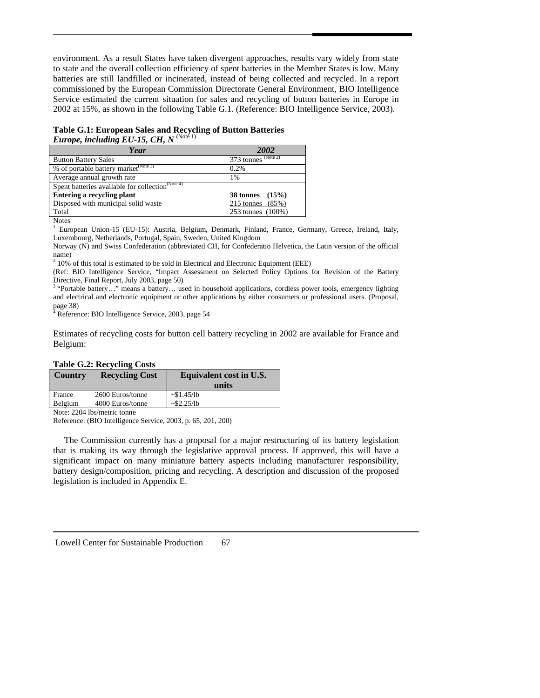environment. As a result States have taken divergent approaches, results vary widely from state to state and the overall collection efficiency of spent batteries in the Member States is low. Many batteries are still landfilled or incinerated, instead of being collected and recycled. In a report commissioned by the European Commission Directorate General Environment, BIO Intelligence Service estimated the current situation for sales and recycling of button batteries in Europe in 2002 at 15%, as shown in the following Table G.1. (Reference: BIO Intelligence Service, 2003).

**Table G.1: European Sales and Recycling of Button Batteries**  *Europe, including EU-15, CH, N* <sup>(Note 1)</sup>

| $373$ tonnes $(Note 2)$ |  |
|-------------------------|--|
| 0.2%                    |  |
| 1%                      |  |
|                         |  |
| 38 tonnes $(15%)$       |  |
| 215 tonnes $(85%)$      |  |
| 253 tonnes (100%)       |  |
|                         |  |

**Notes** 

1 European Union-15 (EU-15): Austria, Belgium, Denmark, Finland, France, Germany, Greece, Ireland, Italy, Luxembourg, Netherlands, Portugal, Spain, Sweden, United Kingdom

Norway (N) and Swiss Confederation (abbreviated CH, for Confederatio Helvetica, the Latin version of the official name)

 $2$  10% of this total is estimated to be sold in Electrical and Electronic Equipment (EEE)

(Ref: BIO Intelligence Service, "Impact Assessment on Selected Policy Options for Revision of the Battery Directive, Final Report, July 2003, page 50)

<sup>3</sup> "Portable battery..." means a battery... used in household applications, cordless power tools, emergency lighting and electrical and electronic equipment or other applications by either consumers or professional users. (Proposal, page 38)

<sup>4</sup> Reference: BIO Intelligence Service, 2003, page 54

Estimates of recycling costs for button cell battery recycling in 2002 are available for France and Belgium:

| <b>Country</b>                 | <b>Recycling Cost</b> | Equivalent cost in U.S.<br>units |  |  |
|--------------------------------|-----------------------|----------------------------------|--|--|
| France                         | 2600 Euros/tonne      | $\sim$ \$1.45/lb                 |  |  |
| Belgium                        | 4000 Euros/tonne      | $\sim$ \$2.25/lb                 |  |  |
| $\mathbf{M}$ $\alpha$ $\alpha$ |                       |                                  |  |  |

Note: 2204 lbs/metric tonne

Reference: (BIO Intelligence Service, 2003, p. 65, 201, 200)

The Commission currently has a proposal for a major restructuring of its battery legislation that is making its way through the legislative approval process. If approved, this will have a significant impact on many miniature battery aspects including manufacturer responsibility, battery design/composition, pricing and recycling. A description and discussion of the proposed legislation is included in Appendix E.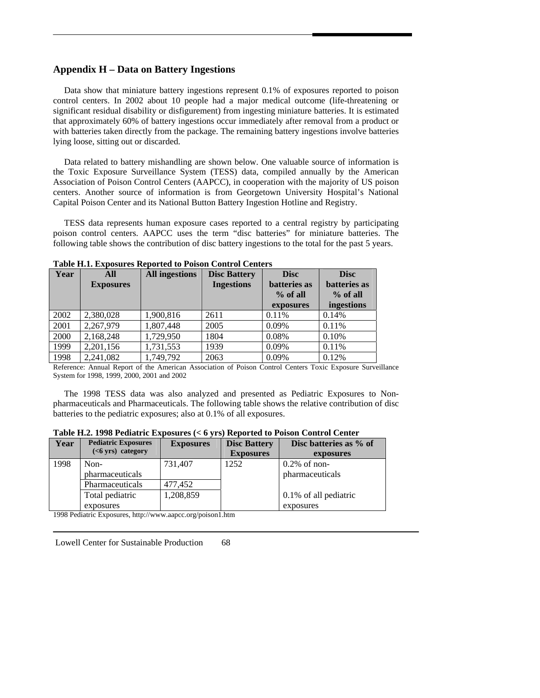# **Appendix H – Data on Battery Ingestions**

 Data show that miniature battery ingestions represent 0.1% of exposures reported to poison control centers. In 2002 about 10 people had a major medical outcome (life-threatening or significant residual disability or disfigurement) from ingesting miniature batteries. It is estimated that approximately 60% of battery ingestions occur immediately after removal from a product or with batteries taken directly from the package. The remaining battery ingestions involve batteries lying loose, sitting out or discarded.

 Data related to battery mishandling are shown below. One valuable source of information is the Toxic Exposure Surveillance System (TESS) data, compiled annually by the American Association of Poison Control Centers (AAPCC), in cooperation with the majority of US poison centers. Another source of information is from Georgetown University Hospital's National Capital Poison Center and its National Button Battery Ingestion Hotline and Registry.

 TESS data represents human exposure cases reported to a central registry by participating poison control centers. AAPCC uses the term "disc batteries" for miniature batteries. The following table shows the contribution of disc battery ingestions to the total for the past 5 years.

| Year | All              | <b>All ingestions</b> | <b>Disc Battery</b> | <b>Disc</b>  | <b>Disc</b>  |
|------|------------------|-----------------------|---------------------|--------------|--------------|
|      | <b>Exposures</b> |                       | <b>Ingestions</b>   | batteries as | batteries as |
|      |                  |                       |                     | $%$ of all   | $%$ of all   |
|      |                  |                       |                     | exposures    | ingestions   |
| 2002 | 2,380,028        | 1,900,816             | 2611                | 0.11%        | 0.14%        |
| 2001 | 2,267,979        | 1,807,448             | 2005                | 0.09%        | 0.11%        |
| 2000 | 2,168,248        | 1,729,950             | 1804                | 0.08%        | 0.10%        |
| 1999 | 2,201,156        | 1,731,553             | 1939                | 0.09%        | 0.11%        |
| 1998 | 2,241,082        | 1,749,792             | 2063                | 0.09%        | 0.12%        |

**Table H.1. Exposures Reported to Poison Control Centers** 

Reference: Annual Report of the American Association of Poison Control Centers Toxic Exposure Surveillance System for 1998, 1999, 2000, 2001 and 2002

 The 1998 TESS data was also analyzed and presented as Pediatric Exposures to Nonpharmaceuticals and Pharmaceuticals. The following table shows the relative contribution of disc batteries to the pediatric exposures; also at 0.1% of all exposures.

| Year | <b>Pediatric Exposures</b> | <b>Exposures</b> | <b>Disc Battery</b> | Disc batteries as % of |  |
|------|----------------------------|------------------|---------------------|------------------------|--|
|      | ( <b>6</b> yrs) category   |                  | <b>Exposures</b>    | exposures              |  |
| 1998 | Non-                       | 731,407          | 1252                | $0.2\%$ of non-        |  |
|      | pharmaceuticals            |                  |                     | pharmaceuticals        |  |
|      | Pharmaceuticals            | 477.452          |                     |                        |  |
|      | Total pediatric            | 1,208,859        |                     | 0.1% of all pediatric  |  |
|      | exposures                  |                  |                     | exposures              |  |

**Table H.2. 1998 Pediatric Exposures (< 6 yrs) Reported to Poison Control Center**

1998 Pediatric Exposures, http://www.aapcc.org/poison1.htm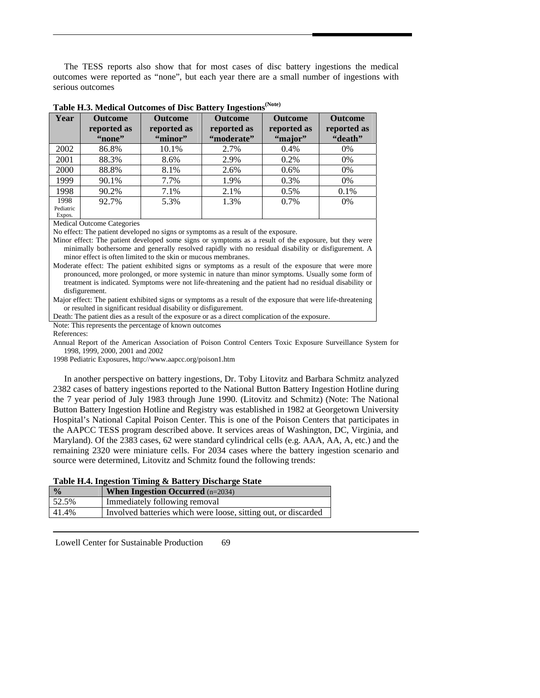The TESS reports also show that for most cases of disc battery ingestions the medical outcomes were reported as "none", but each year there are a small number of ingestions with serious outcomes

| Year                        | <b>Outcome</b><br>reported as<br>"none" | <b>Outcome</b><br>reported as<br>"minor" | <b>Outcome</b><br>reported as<br>"moderate" | <b>Outcome</b><br>reported as<br>"major" | <b>Outcome</b><br>reported as<br>"death" |
|-----------------------------|-----------------------------------------|------------------------------------------|---------------------------------------------|------------------------------------------|------------------------------------------|
| 2002                        | 86.8%                                   | 10.1%                                    | 2.7%                                        | 0.4%                                     | $0\%$                                    |
| 2001                        | 88.3%                                   | 8.6%                                     | 2.9%                                        | 0.2%                                     | 0%                                       |
| 2000                        | 88.8%                                   | 8.1%                                     | 2.6%                                        | $0.6\%$                                  | $0\%$                                    |
| 1999                        | 90.1%                                   | 7.7%                                     | 1.9%                                        | 0.3%                                     | $0\%$                                    |
| 1998                        | 90.2%                                   | 7.1%                                     | 2.1%                                        | 0.5%                                     | 0.1%                                     |
| 1998<br>Pediatric<br>Expos. | 92.7%                                   | 5.3%                                     | 1.3%                                        | $0.7\%$                                  | 0%                                       |

Medical Outcome Categories

No effect: The patient developed no signs or symptoms as a result of the exposure.

Minor effect: The patient developed some signs or symptoms as a result of the exposure, but they were minimally bothersome and generally resolved rapidly with no residual disability or disfigurement. A minor effect is often limited to the skin or mucous membranes.

Moderate effect: The patient exhibited signs or symptoms as a result of the exposure that were more pronounced, more prolonged, or more systemic in nature than minor symptoms. Usually some form of treatment is indicated. Symptoms were not life-threatening and the patient had no residual disability or disfigurement.

Major effect: The patient exhibited signs or symptoms as a result of the exposure that were life-threatening or resulted in significant residual disability or disfigurement.

Death: The patient dies as a result of the exposure or as a direct complication of the exposure.

Note: This represents the percentage of known outcomes

References:

Annual Report of the American Association of Poison Control Centers Toxic Exposure Surveillance System for 1998, 1999, 2000, 2001 and 2002

1998 Pediatric Exposures, http://www.aapcc.org/poison1.htm

 In another perspective on battery ingestions, Dr. Toby Litovitz and Barbara Schmitz analyzed 2382 cases of battery ingestions reported to the National Button Battery Ingestion Hotline during the 7 year period of July 1983 through June 1990. (Litovitz and Schmitz) (Note: The National Button Battery Ingestion Hotline and Registry was established in 1982 at Georgetown University Hospital's National Capital Poison Center. This is one of the Poison Centers that participates in the AAPCC TESS program described above. It services areas of Washington, DC, Virginia, and Maryland). Of the 2383 cases, 62 were standard cylindrical cells (e.g. AAA, AA, A, etc.) and the remaining 2320 were miniature cells. For 2034 cases where the battery ingestion scenario and source were determined, Litovitz and Schmitz found the following trends:

| Table H.4. Ingestion Timing & Battery Discharge State |  |  |  |
|-------------------------------------------------------|--|--|--|
|                                                       |  |  |  |

| $\frac{0}{0}$ | <b>When Ingestion Occurred</b> $(n=2034)$                      |
|---------------|----------------------------------------------------------------|
| 52.5%         | Immediately following removal                                  |
| 41.4%         | Involved batteries which were loose, sitting out, or discarded |

 Lowell Center for Sustainable Production 69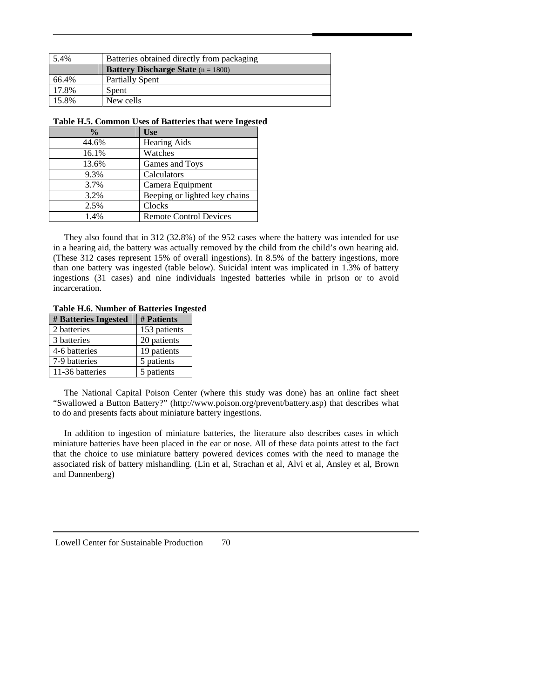| 5.4%  | Batteries obtained directly from packaging  |  |
|-------|---------------------------------------------|--|
|       | <b>Battery Discharge State</b> $(n = 1800)$ |  |
| 66.4% | <b>Partially Spent</b>                      |  |
| 17.8% | Spent                                       |  |
| 15.8% | New cells                                   |  |

## **Table H.5. Common Uses of Batteries that were Ingested**

| $\frac{0}{0}$ | <b>Use</b>                    |
|---------------|-------------------------------|
| 44.6%         | <b>Hearing Aids</b>           |
| 16.1%         | Watches                       |
| 13.6%         | Games and Toys                |
| 9.3%          | Calculators                   |
| 3.7%          | Camera Equipment              |
| 3.2%          | Beeping or lighted key chains |
| 2.5%          | Clocks                        |
| 1.4%          | <b>Remote Control Devices</b> |

 They also found that in 312 (32.8%) of the 952 cases where the battery was intended for use in a hearing aid, the battery was actually removed by the child from the child's own hearing aid. (These 312 cases represent 15% of overall ingestions). In 8.5% of the battery ingestions, more than one battery was ingested (table below). Suicidal intent was implicated in 1.3% of battery ingestions (31 cases) and nine individuals ingested batteries while in prison or to avoid incarceration.

## **Table H.6. Number of Batteries Ingested**

| # Batteries Ingested | # Patients   |
|----------------------|--------------|
| 2 batteries          | 153 patients |
| 3 batteries          | 20 patients  |
| 4-6 batteries        | 19 patients  |
| 7-9 batteries        | 5 patients   |
| 11-36 batteries      | 5 patients   |

The National Capital Poison Center (where this study was done) has an online fact sheet "Swallowed a Button Battery?" (http://www.poison.org/prevent/battery.asp) that describes what to do and presents facts about miniature battery ingestions.

 In addition to ingestion of miniature batteries, the literature also describes cases in which miniature batteries have been placed in the ear or nose. All of these data points attest to the fact that the choice to use miniature battery powered devices comes with the need to manage the associated risk of battery mishandling. (Lin et al, Strachan et al, Alvi et al, Ansley et al, Brown and Dannenberg)

 Lowell Center for Sustainable Production 70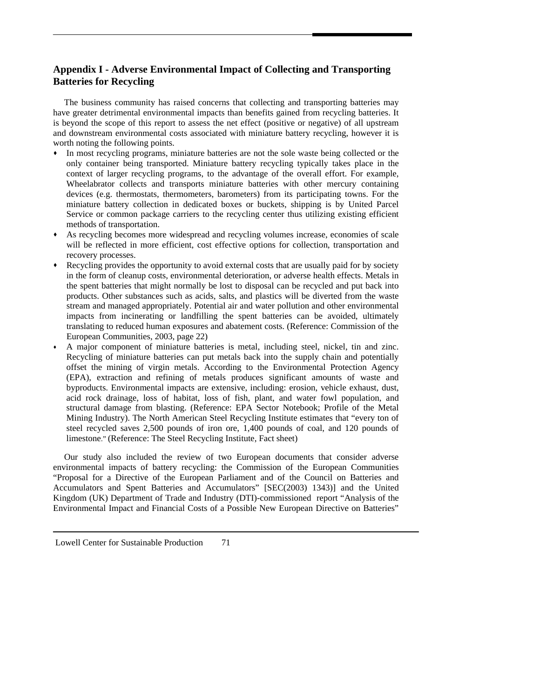## **Appendix I - Adverse Environmental Impact of Collecting and Transporting Batteries for Recycling**

 The business community has raised concerns that collecting and transporting batteries may have greater detrimental environmental impacts than benefits gained from recycling batteries. It is beyond the scope of this report to assess the net effect (positive or negative) of all upstream and downstream environmental costs associated with miniature battery recycling, however it is worth noting the following points.

- In most recycling programs, miniature batteries are not the sole waste being collected or the only container being transported. Miniature battery recycling typically takes place in the context of larger recycling programs, to the advantage of the overall effort. For example, Wheelabrator collects and transports miniature batteries with other mercury containing devices (e.g. thermostats, thermometers, barometers) from its participating towns. For the miniature battery collection in dedicated boxes or buckets, shipping is by United Parcel Service or common package carriers to the recycling center thus utilizing existing efficient methods of transportation.
- As recycling becomes more widespread and recycling volumes increase, economies of scale will be reflected in more efficient, cost effective options for collection, transportation and recovery processes.
- Recycling provides the opportunity to avoid external costs that are usually paid for by society in the form of cleanup costs, environmental deterioration, or adverse health effects. Metals in the spent batteries that might normally be lost to disposal can be recycled and put back into products. Other substances such as acids, salts, and plastics will be diverted from the waste stream and managed appropriately. Potential air and water pollution and other environmental impacts from incinerating or landfilling the spent batteries can be avoided, ultimately translating to reduced human exposures and abatement costs. (Reference: Commission of the European Communities, 2003, page 22)
- A major component of miniature batteries is metal, including steel, nickel, tin and zinc. Recycling of miniature batteries can put metals back into the supply chain and potentially offset the mining of virgin metals. According to the Environmental Protection Agency (EPA), extraction and refining of metals produces significant amounts of waste and byproducts. Environmental impacts are extensive, including: erosion, vehicle exhaust, dust, acid rock drainage, loss of habitat, loss of fish, plant, and water fowl population, and structural damage from blasting. (Reference: EPA Sector Notebook; Profile of the Metal Mining Industry). The North American Steel Recycling Institute estimates that "every ton of steel recycled saves 2,500 pounds of iron ore, 1,400 pounds of coal, and 120 pounds of limestone." (Reference: The Steel Recycling Institute, Fact sheet)

 Our study also included the review of two European documents that consider adverse environmental impacts of battery recycling: the Commission of the European Communities "Proposal for a Directive of the European Parliament and of the Council on Batteries and Accumulators and Spent Batteries and Accumulators" [SEC(2003) 1343)] and the United Kingdom (UK) Department of Trade and Industry (DTI)-commissioned report "Analysis of the Environmental Impact and Financial Costs of a Possible New European Directive on Batteries"

Lowell Center for Sustainable Production 71